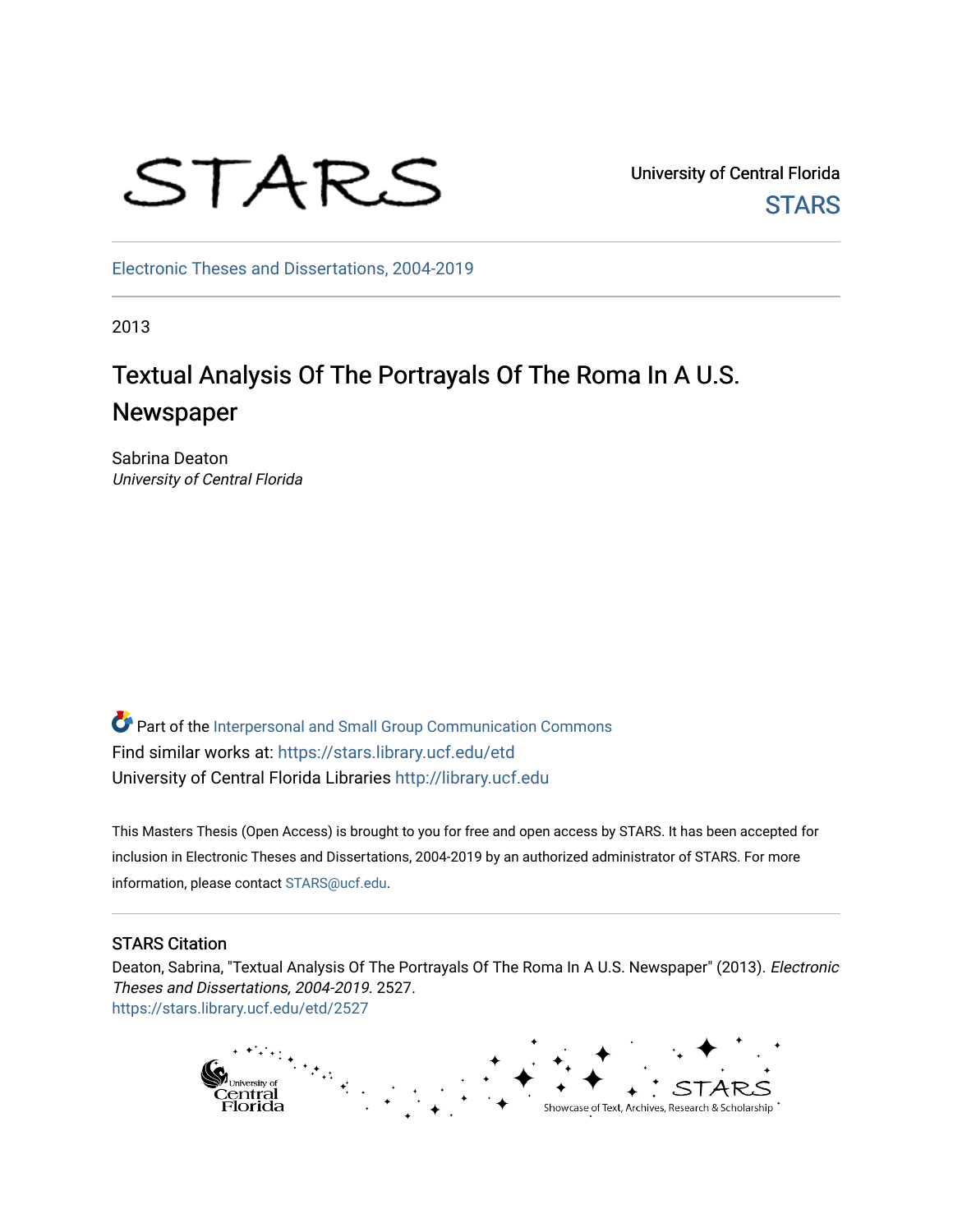# STARS

University of Central Florida **STARS** 

[Electronic Theses and Dissertations, 2004-2019](https://stars.library.ucf.edu/etd) 

2013

## Textual Analysis Of The Portrayals Of The Roma In A U.S. Newspaper

Sabrina Deaton University of Central Florida

Part of the [Interpersonal and Small Group Communication Commons](http://network.bepress.com/hgg/discipline/332?utm_source=stars.library.ucf.edu%2Fetd%2F2527&utm_medium=PDF&utm_campaign=PDFCoverPages)  Find similar works at: <https://stars.library.ucf.edu/etd> University of Central Florida Libraries [http://library.ucf.edu](http://library.ucf.edu/) 

This Masters Thesis (Open Access) is brought to you for free and open access by STARS. It has been accepted for inclusion in Electronic Theses and Dissertations, 2004-2019 by an authorized administrator of STARS. For more information, please contact [STARS@ucf.edu.](mailto:STARS@ucf.edu)

#### STARS Citation

Deaton, Sabrina, "Textual Analysis Of The Portrayals Of The Roma In A U.S. Newspaper" (2013). Electronic Theses and Dissertations, 2004-2019. 2527. [https://stars.library.ucf.edu/etd/2527](https://stars.library.ucf.edu/etd/2527?utm_source=stars.library.ucf.edu%2Fetd%2F2527&utm_medium=PDF&utm_campaign=PDFCoverPages) 

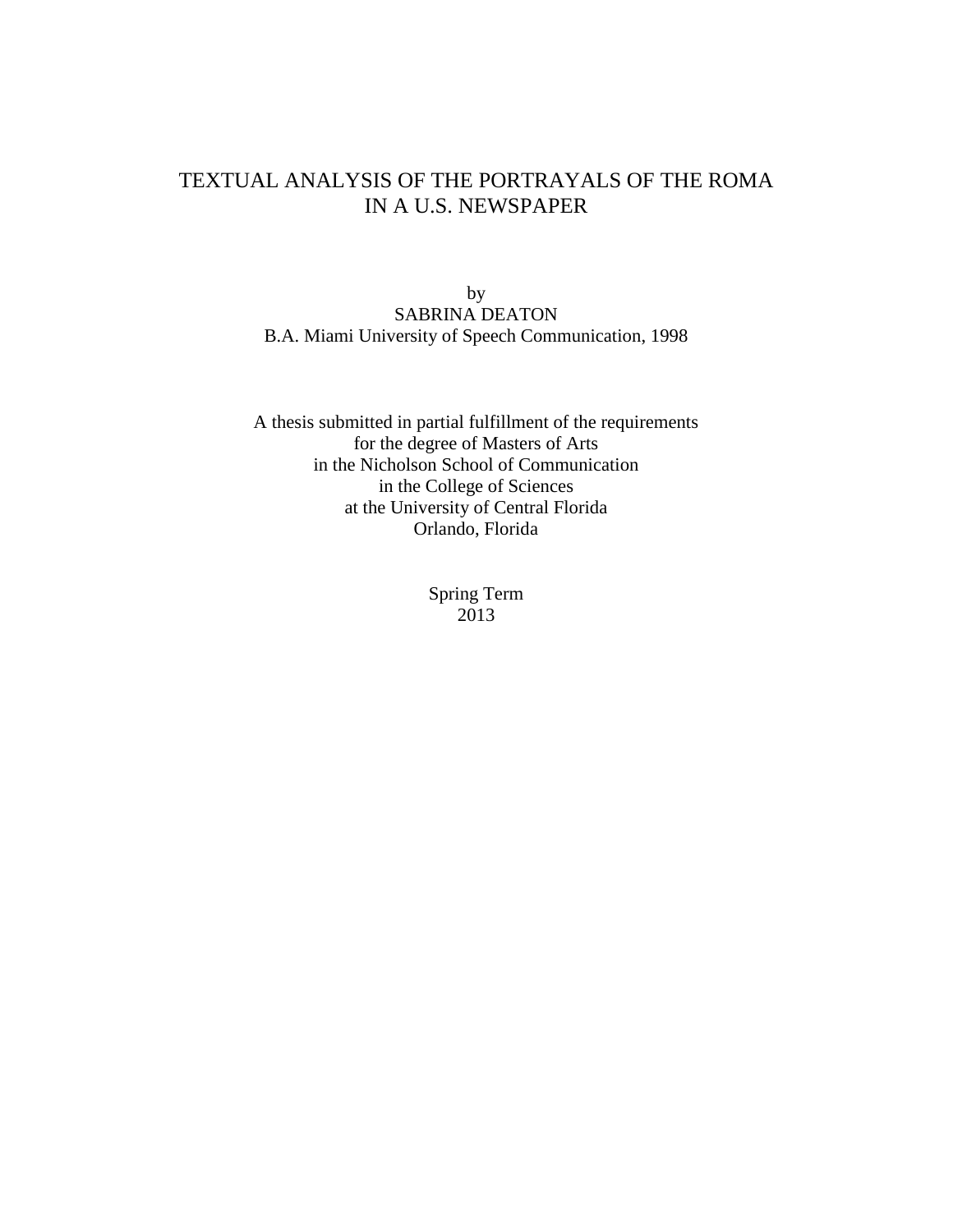## TEXTUAL ANALYSIS OF THE PORTRAYALS OF THE ROMA IN A U.S. NEWSPAPER

by SABRINA DEATON B.A. Miami University of Speech Communication, 1998

A thesis submitted in partial fulfillment of the requirements for the degree of Masters of Arts in the Nicholson School of Communication in the College of Sciences at the University of Central Florida Orlando, Florida

> Spring Term 2013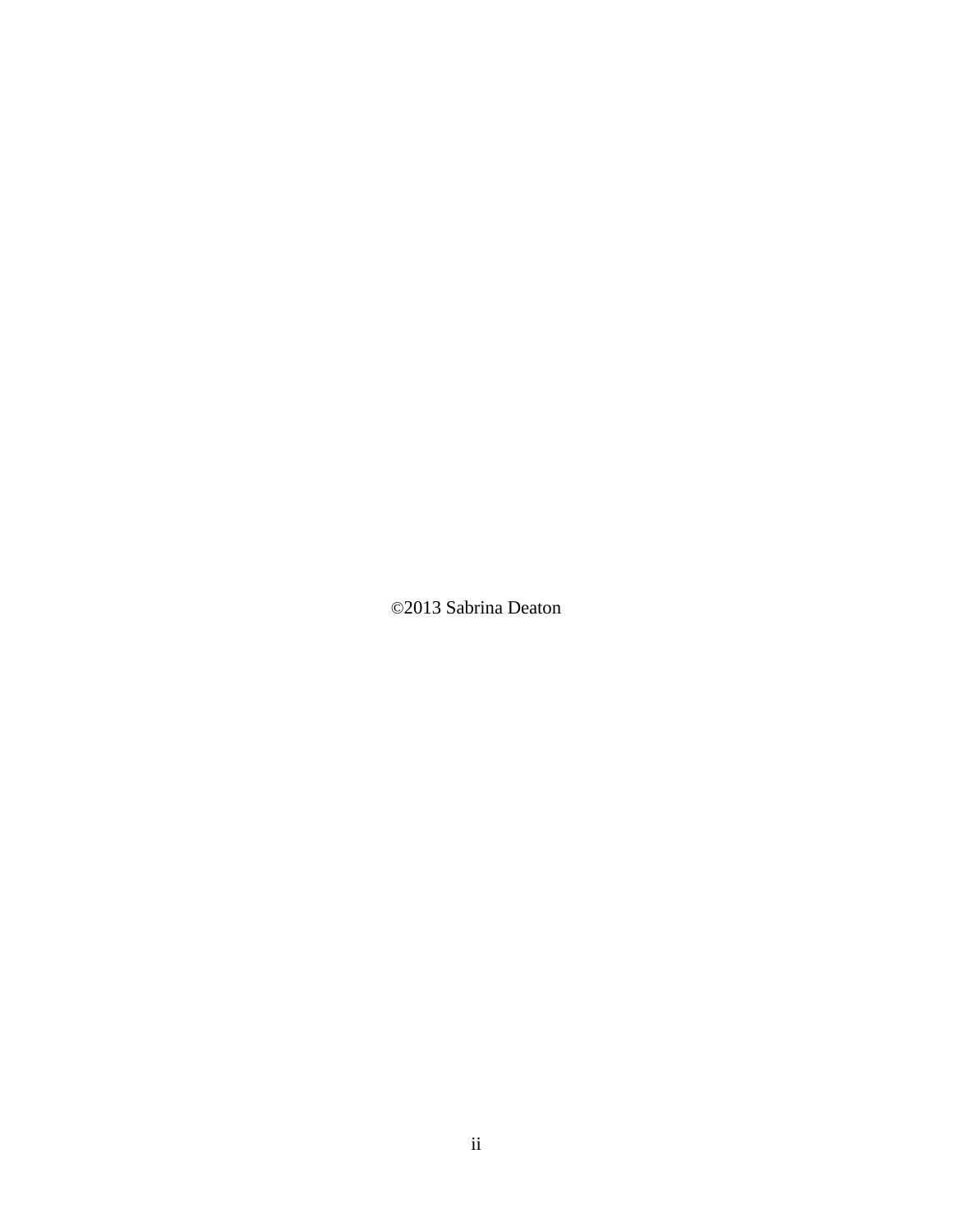©2013 Sabrina Deaton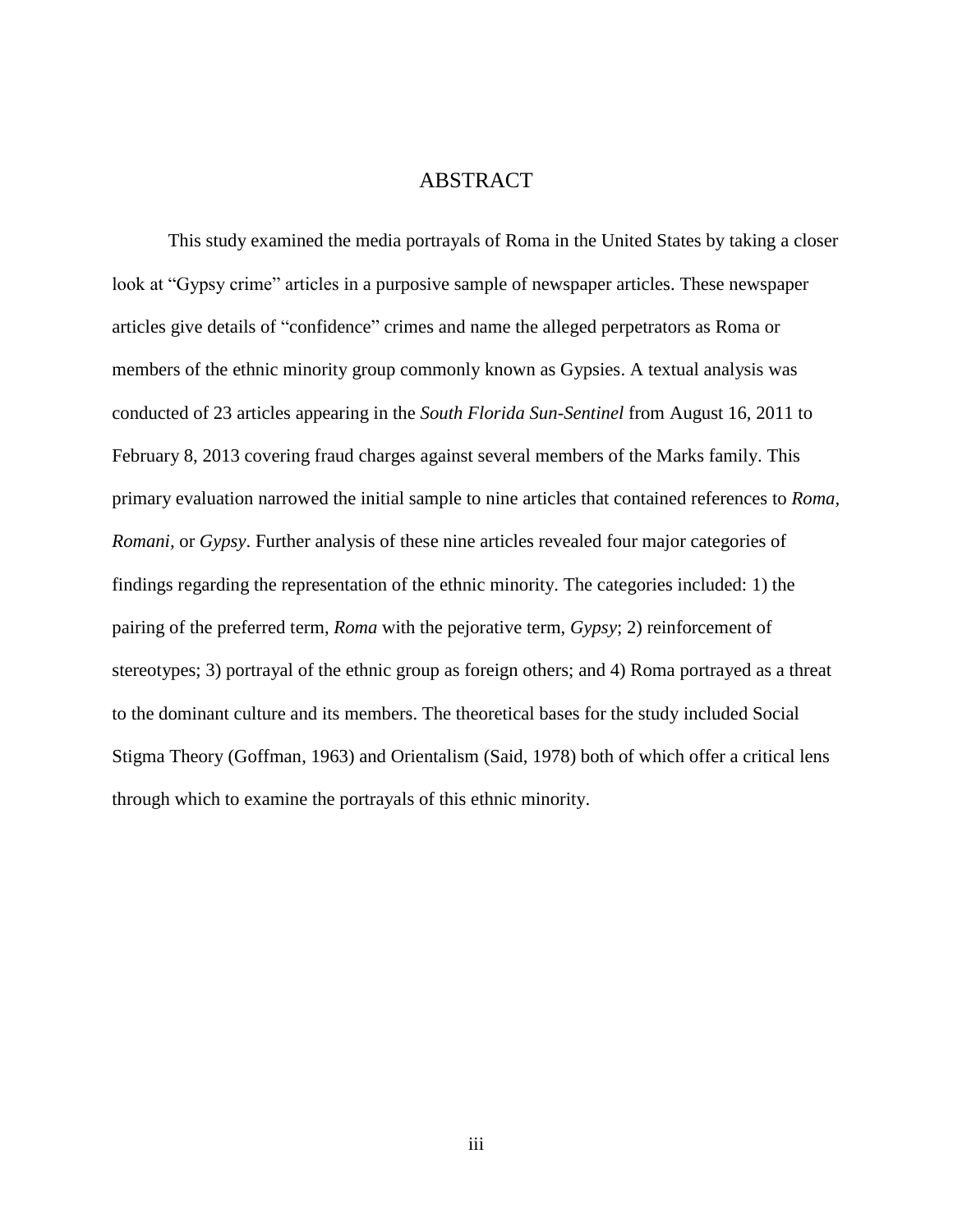## ABSTRACT

This study examined the media portrayals of Roma in the United States by taking a closer look at "Gypsy crime" articles in a purposive sample of newspaper articles. These newspaper articles give details of "confidence" crimes and name the alleged perpetrators as Roma or members of the ethnic minority group commonly known as Gypsies. A textual analysis was conducted of 23 articles appearing in the *South Florida Sun-Sentinel* from August 16, 2011 to February 8, 2013 covering fraud charges against several members of the Marks family. This primary evaluation narrowed the initial sample to nine articles that contained references to *Roma, Romani,* or *Gypsy*. Further analysis of these nine articles revealed four major categories of findings regarding the representation of the ethnic minority. The categories included: 1) the pairing of the preferred term, *Roma* with the pejorative term, *Gypsy*; 2) reinforcement of stereotypes; 3) portrayal of the ethnic group as foreign others; and 4) Roma portrayed as a threat to the dominant culture and its members. The theoretical bases for the study included Social Stigma Theory (Goffman, 1963) and Orientalism (Said, 1978) both of which offer a critical lens through which to examine the portrayals of this ethnic minority.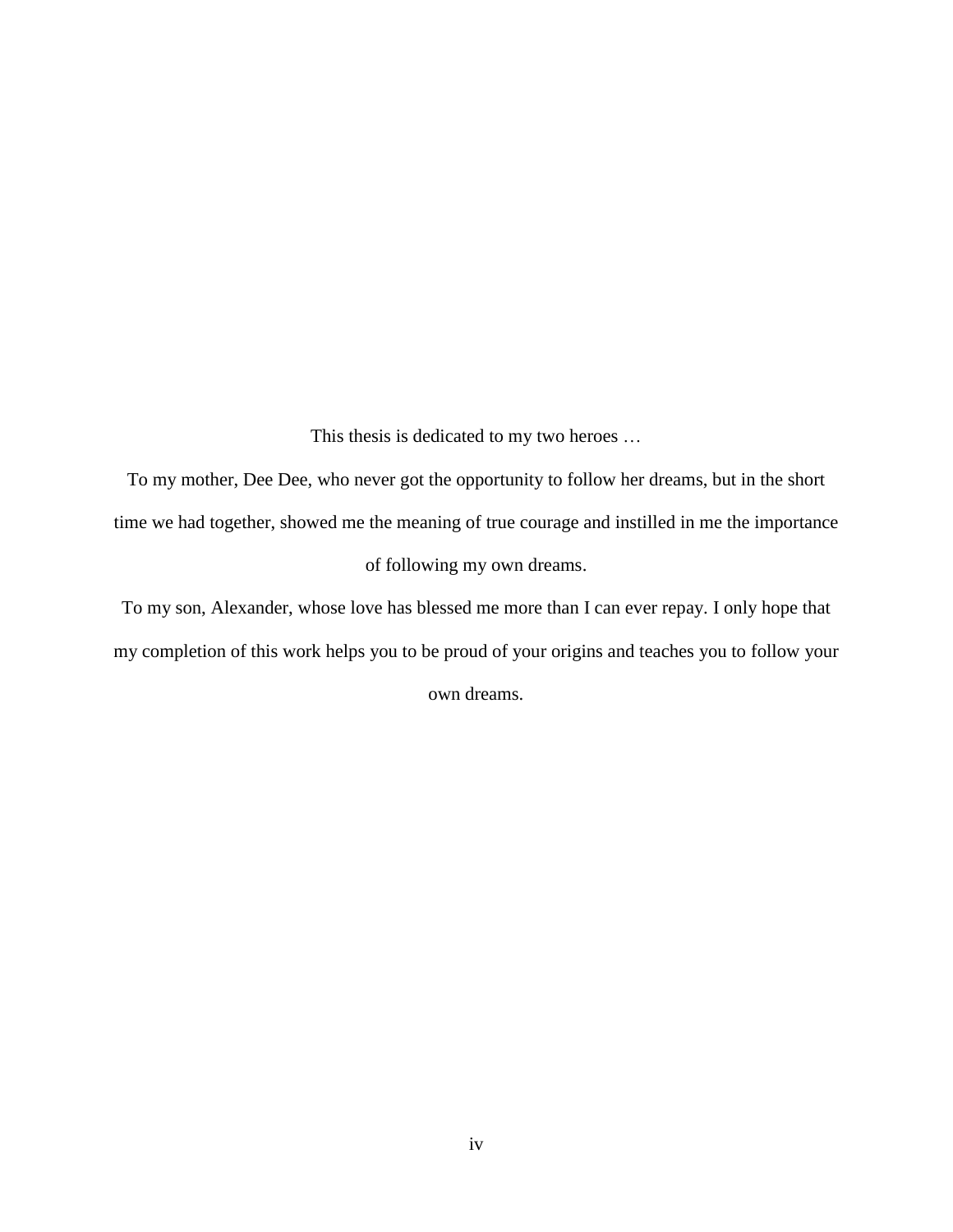This thesis is dedicated to my two heroes …

To my mother, Dee Dee, who never got the opportunity to follow her dreams, but in the short time we had together, showed me the meaning of true courage and instilled in me the importance of following my own dreams.

To my son, Alexander, whose love has blessed me more than I can ever repay. I only hope that my completion of this work helps you to be proud of your origins and teaches you to follow your own dreams.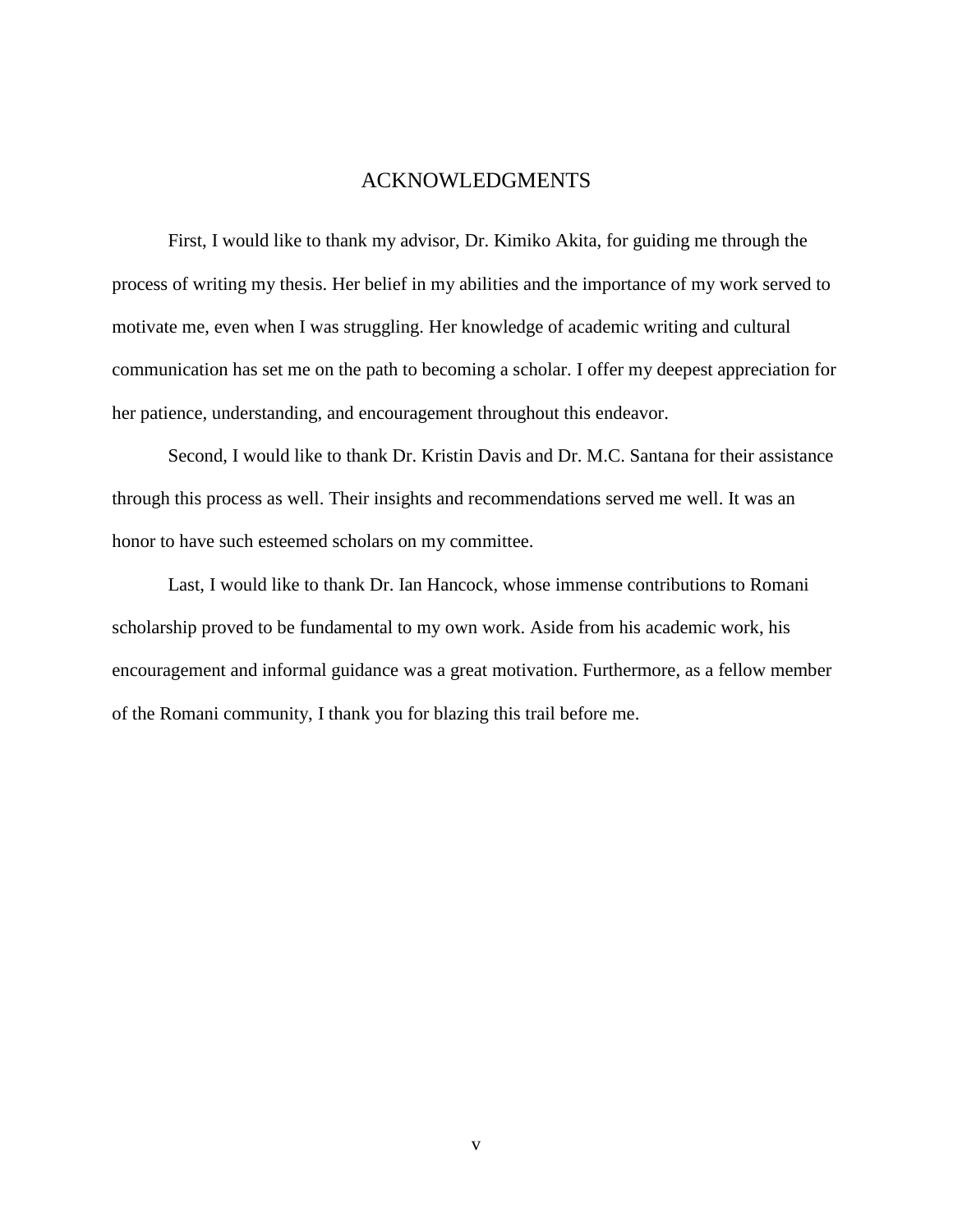## ACKNOWLEDGMENTS

First, I would like to thank my advisor, Dr. Kimiko Akita, for guiding me through the process of writing my thesis. Her belief in my abilities and the importance of my work served to motivate me, even when I was struggling. Her knowledge of academic writing and cultural communication has set me on the path to becoming a scholar. I offer my deepest appreciation for her patience, understanding, and encouragement throughout this endeavor.

Second, I would like to thank Dr. Kristin Davis and Dr. M.C. Santana for their assistance through this process as well. Their insights and recommendations served me well. It was an honor to have such esteemed scholars on my committee.

Last, I would like to thank Dr. Ian Hancock, whose immense contributions to Romani scholarship proved to be fundamental to my own work. Aside from his academic work, his encouragement and informal guidance was a great motivation. Furthermore, as a fellow member of the Romani community, I thank you for blazing this trail before me.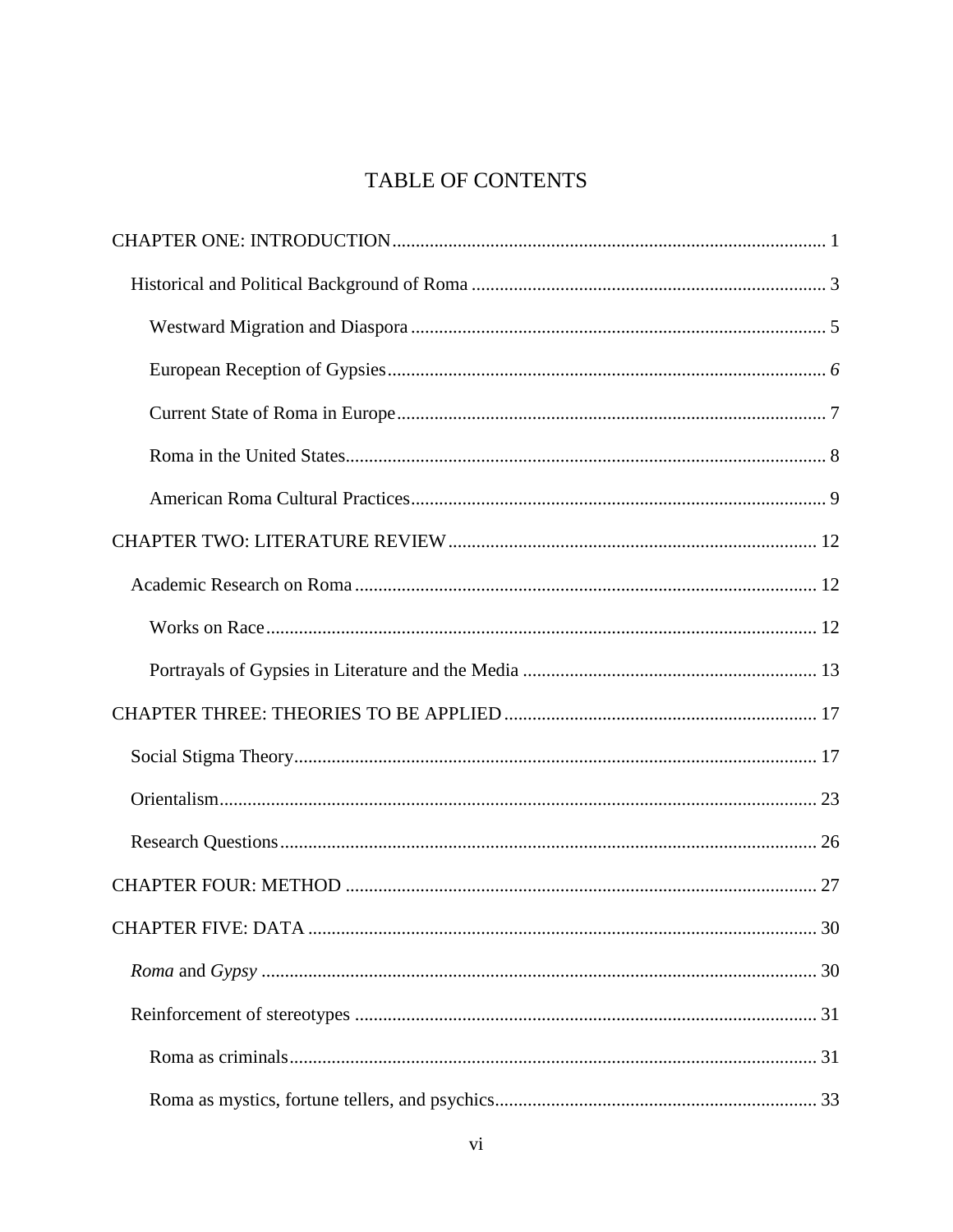## **TABLE OF CONTENTS**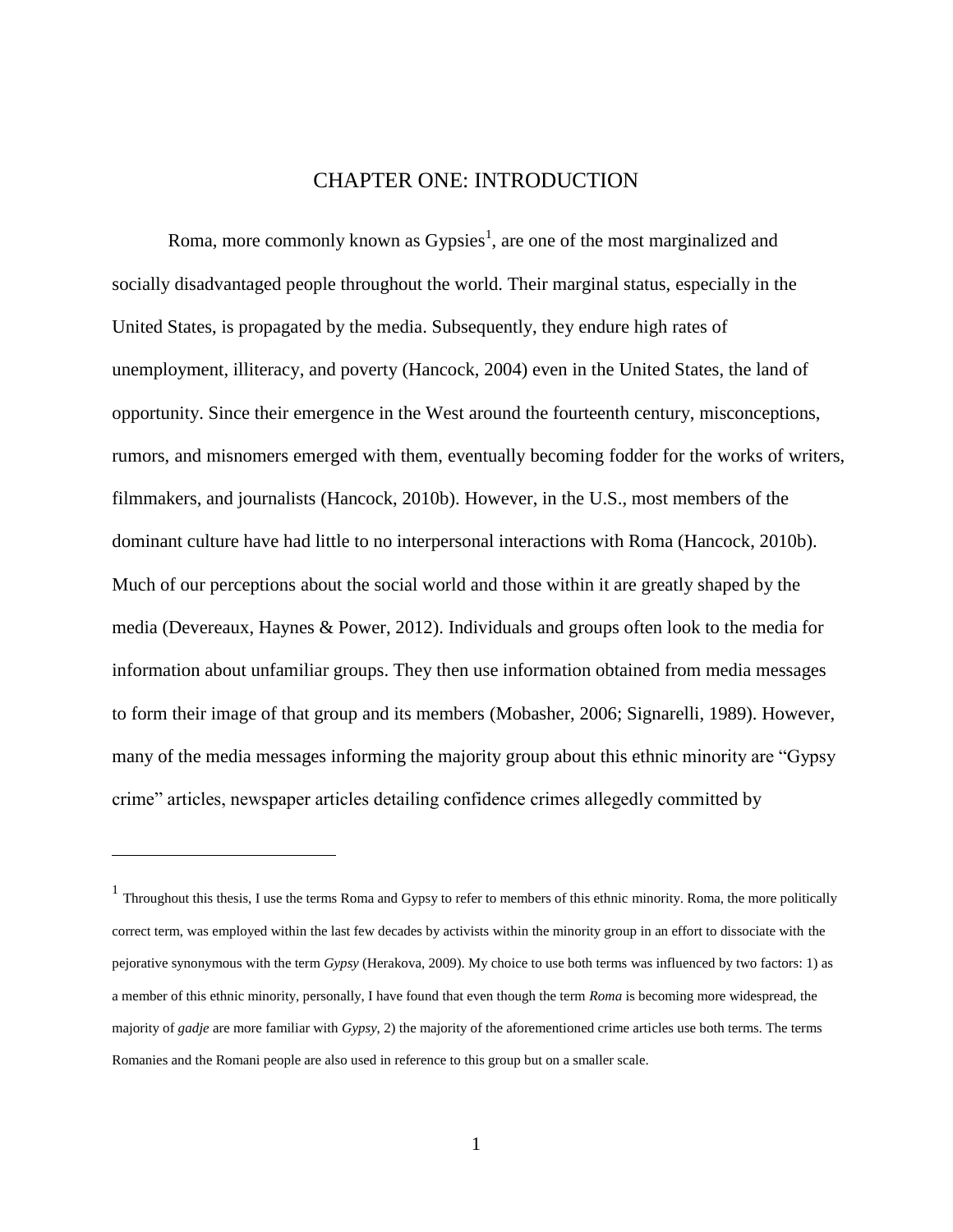## CHAPTER ONE: INTRODUCTION

<span id="page-8-0"></span>Roma, more commonly known as Gypsies<sup>1</sup>, are one of the most marginalized and socially disadvantaged people throughout the world. Their marginal status, especially in the United States, is propagated by the media. Subsequently, they endure high rates of unemployment, illiteracy, and poverty (Hancock, 2004) even in the United States, the land of opportunity. Since their emergence in the West around the fourteenth century, misconceptions, rumors, and misnomers emerged with them, eventually becoming fodder for the works of writers, filmmakers, and journalists (Hancock, 2010b). However, in the U.S., most members of the dominant culture have had little to no interpersonal interactions with Roma (Hancock, 2010b). Much of our perceptions about the social world and those within it are greatly shaped by the media (Devereaux, Haynes & Power, 2012). Individuals and groups often look to the media for information about unfamiliar groups. They then use information obtained from media messages to form their image of that group and its members (Mobasher, 2006; Signarelli, 1989). However, many of the media messages informing the majority group about this ethnic minority are "Gypsy" crime" articles, newspaper articles detailing confidence crimes allegedly committed by

 $\overline{a}$ 

 $<sup>1</sup>$  Throughout this thesis, I use the terms Roma and Gypsy to refer to members of this ethnic minority. Roma, the more politically</sup> correct term, was employed within the last few decades by activists within the minority group in an effort to dissociate with the pejorative synonymous with the term *Gypsy* (Herakova, 2009). My choice to use both terms was influenced by two factors: 1) as a member of this ethnic minority, personally, I have found that even though the term *Roma* is becoming more widespread, the majority of *gadje* are more familiar with *Gypsy*, 2) the majority of the aforementioned crime articles use both terms. The terms Romanies and the Romani people are also used in reference to this group but on a smaller scale.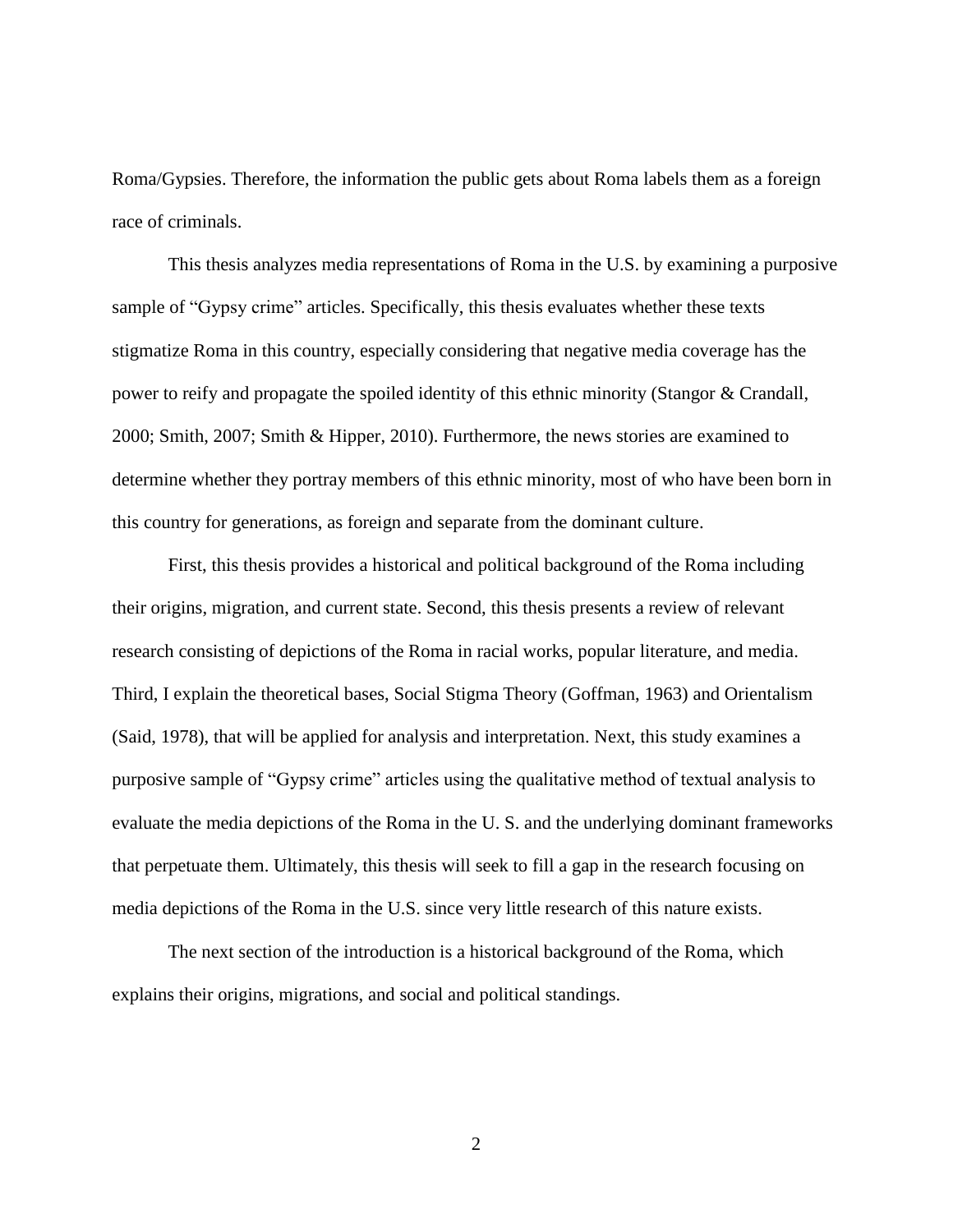Roma/Gypsies. Therefore, the information the public gets about Roma labels them as a foreign race of criminals.

This thesis analyzes media representations of Roma in the U.S. by examining a purposive sample of "Gypsy crime" articles. Specifically, this thesis evaluates whether these texts stigmatize Roma in this country, especially considering that negative media coverage has the power to reify and propagate the spoiled identity of this ethnic minority (Stangor & Crandall, 2000; Smith, 2007; Smith & Hipper, 2010). Furthermore, the news stories are examined to determine whether they portray members of this ethnic minority, most of who have been born in this country for generations, as foreign and separate from the dominant culture.

First, this thesis provides a historical and political background of the Roma including their origins, migration, and current state. Second, this thesis presents a review of relevant research consisting of depictions of the Roma in racial works, popular literature, and media. Third, I explain the theoretical bases, Social Stigma Theory (Goffman, 1963) and Orientalism (Said, 1978), that will be applied for analysis and interpretation. Next, this study examines a purposive sample of "Gypsy crime" articles using the qualitative method of textual analysis to evaluate the media depictions of the Roma in the U. S. and the underlying dominant frameworks that perpetuate them. Ultimately, this thesis will seek to fill a gap in the research focusing on media depictions of the Roma in the U.S. since very little research of this nature exists.

The next section of the introduction is a historical background of the Roma, which explains their origins, migrations, and social and political standings.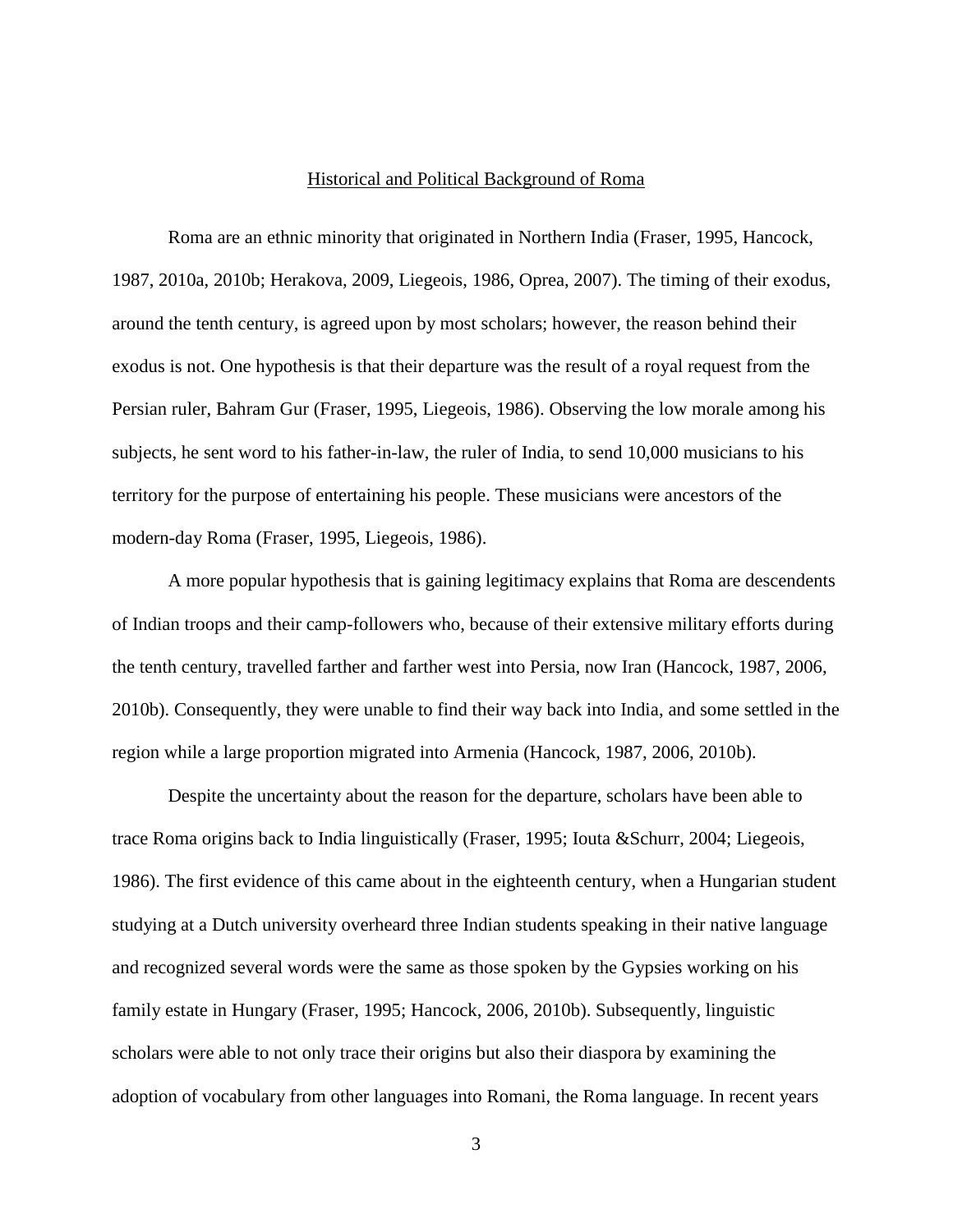#### Historical and Political Background of Roma

<span id="page-10-0"></span>Roma are an ethnic minority that originated in Northern India (Fraser, 1995, Hancock, 1987, 2010a, 2010b; Herakova, 2009, Liegeois, 1986, Oprea, 2007). The timing of their exodus, around the tenth century, is agreed upon by most scholars; however, the reason behind their exodus is not. One hypothesis is that their departure was the result of a royal request from the Persian ruler, Bahram Gur (Fraser, 1995, Liegeois, 1986). Observing the low morale among his subjects, he sent word to his father-in-law, the ruler of India, to send 10,000 musicians to his territory for the purpose of entertaining his people. These musicians were ancestors of the modern-day Roma (Fraser, 1995, Liegeois, 1986).

A more popular hypothesis that is gaining legitimacy explains that Roma are descendents of Indian troops and their camp-followers who, because of their extensive military efforts during the tenth century, travelled farther and farther west into Persia, now Iran (Hancock, 1987, 2006, 2010b). Consequently, they were unable to find their way back into India, and some settled in the region while a large proportion migrated into Armenia (Hancock, 1987, 2006, 2010b).

Despite the uncertainty about the reason for the departure, scholars have been able to trace Roma origins back to India linguistically (Fraser, 1995; Iouta &Schurr, 2004; Liegeois, 1986). The first evidence of this came about in the eighteenth century, when a Hungarian student studying at a Dutch university overheard three Indian students speaking in their native language and recognized several words were the same as those spoken by the Gypsies working on his family estate in Hungary (Fraser, 1995; Hancock, 2006, 2010b). Subsequently, linguistic scholars were able to not only trace their origins but also their diaspora by examining the adoption of vocabulary from other languages into Romani, the Roma language. In recent years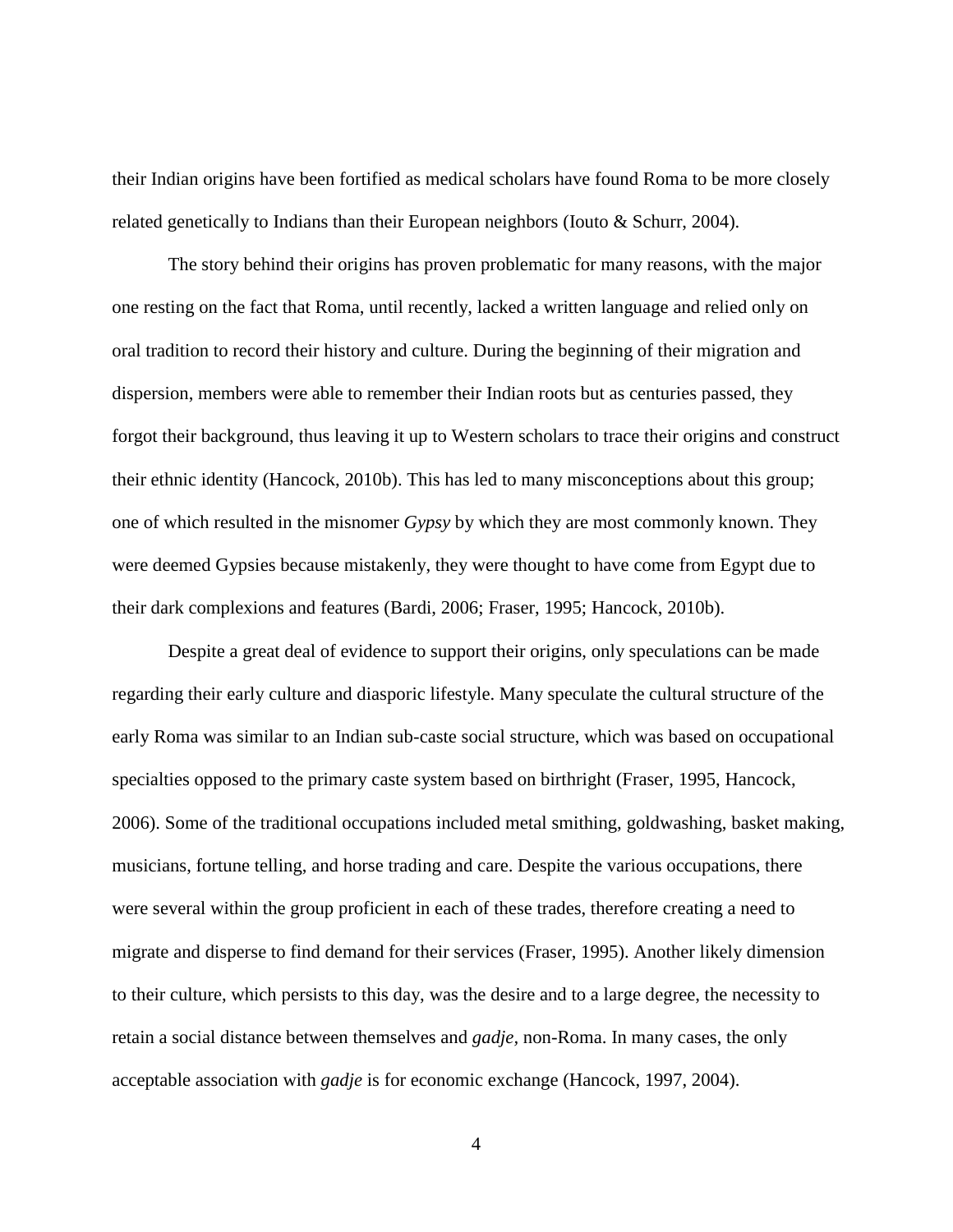their Indian origins have been fortified as medical scholars have found Roma to be more closely related genetically to Indians than their European neighbors (Iouto & Schurr, 2004).

The story behind their origins has proven problematic for many reasons, with the major one resting on the fact that Roma, until recently, lacked a written language and relied only on oral tradition to record their history and culture. During the beginning of their migration and dispersion, members were able to remember their Indian roots but as centuries passed, they forgot their background, thus leaving it up to Western scholars to trace their origins and construct their ethnic identity (Hancock, 2010b). This has led to many misconceptions about this group; one of which resulted in the misnomer *Gypsy* by which they are most commonly known. They were deemed Gypsies because mistakenly, they were thought to have come from Egypt due to their dark complexions and features (Bardi, 2006; Fraser, 1995; Hancock, 2010b).

Despite a great deal of evidence to support their origins, only speculations can be made regarding their early culture and diasporic lifestyle. Many speculate the cultural structure of the early Roma was similar to an Indian sub-caste social structure, which was based on occupational specialties opposed to the primary caste system based on birthright (Fraser, 1995, Hancock, 2006). Some of the traditional occupations included metal smithing, goldwashing, basket making, musicians, fortune telling, and horse trading and care. Despite the various occupations, there were several within the group proficient in each of these trades, therefore creating a need to migrate and disperse to find demand for their services (Fraser, 1995). Another likely dimension to their culture, which persists to this day, was the desire and to a large degree, the necessity to retain a social distance between themselves and *gadje,* non-Roma. In many cases, the only acceptable association with *gadje* is for economic exchange (Hancock, 1997, 2004).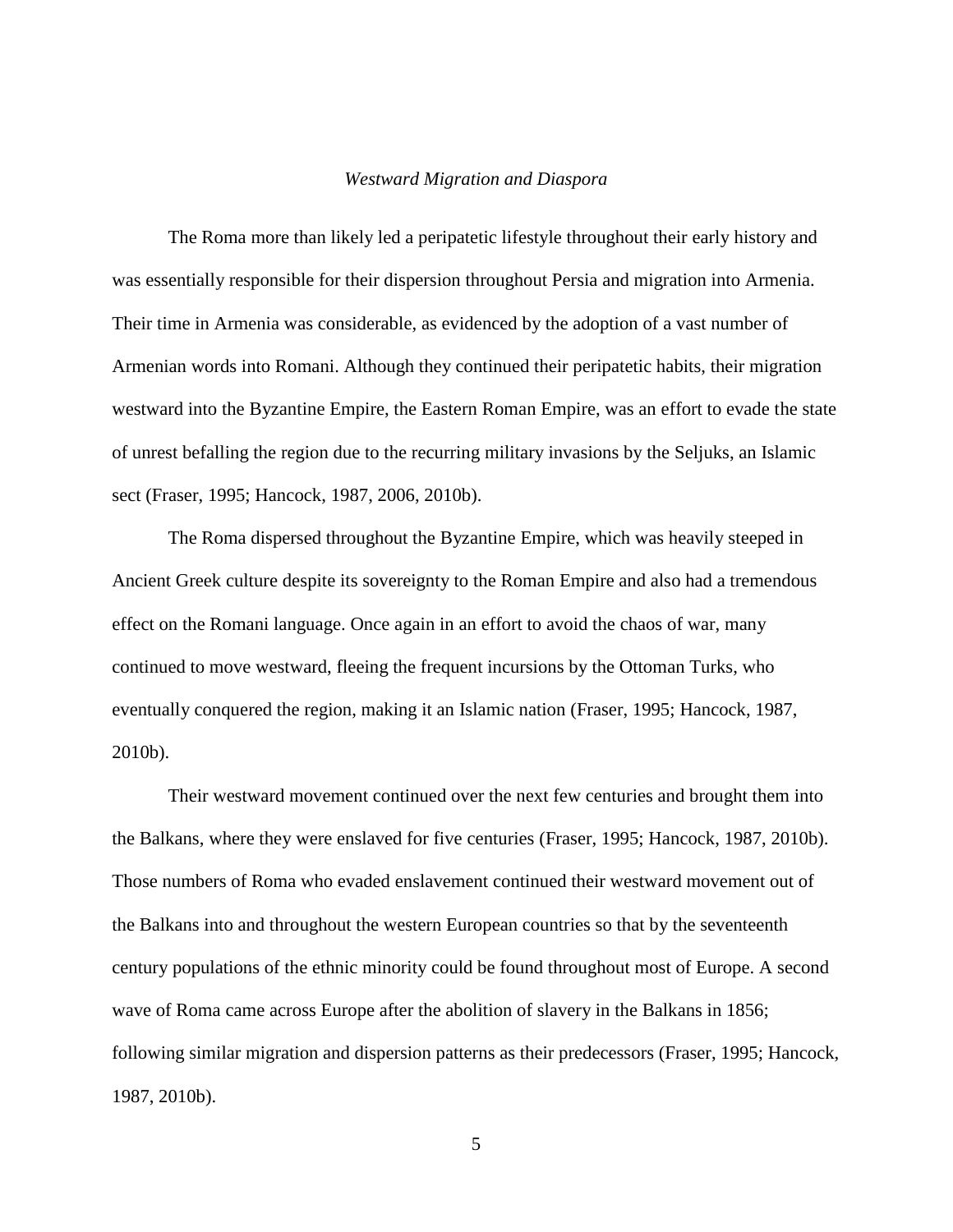#### *Westward Migration and Diaspora*

<span id="page-12-0"></span>The Roma more than likely led a peripatetic lifestyle throughout their early history and was essentially responsible for their dispersion throughout Persia and migration into Armenia. Their time in Armenia was considerable, as evidenced by the adoption of a vast number of Armenian words into Romani. Although they continued their peripatetic habits, their migration westward into the Byzantine Empire, the Eastern Roman Empire, was an effort to evade the state of unrest befalling the region due to the recurring military invasions by the Seljuks, an Islamic sect (Fraser, 1995; Hancock, 1987, 2006, 2010b).

The Roma dispersed throughout the Byzantine Empire, which was heavily steeped in Ancient Greek culture despite its sovereignty to the Roman Empire and also had a tremendous effect on the Romani language. Once again in an effort to avoid the chaos of war, many continued to move westward, fleeing the frequent incursions by the Ottoman Turks, who eventually conquered the region, making it an Islamic nation (Fraser, 1995; Hancock, 1987, 2010b).

Their westward movement continued over the next few centuries and brought them into the Balkans, where they were enslaved for five centuries (Fraser, 1995; Hancock, 1987, 2010b). Those numbers of Roma who evaded enslavement continued their westward movement out of the Balkans into and throughout the western European countries so that by the seventeenth century populations of the ethnic minority could be found throughout most of Europe. A second wave of Roma came across Europe after the abolition of slavery in the Balkans in 1856; following similar migration and dispersion patterns as their predecessors (Fraser, 1995; Hancock, 1987, 2010b).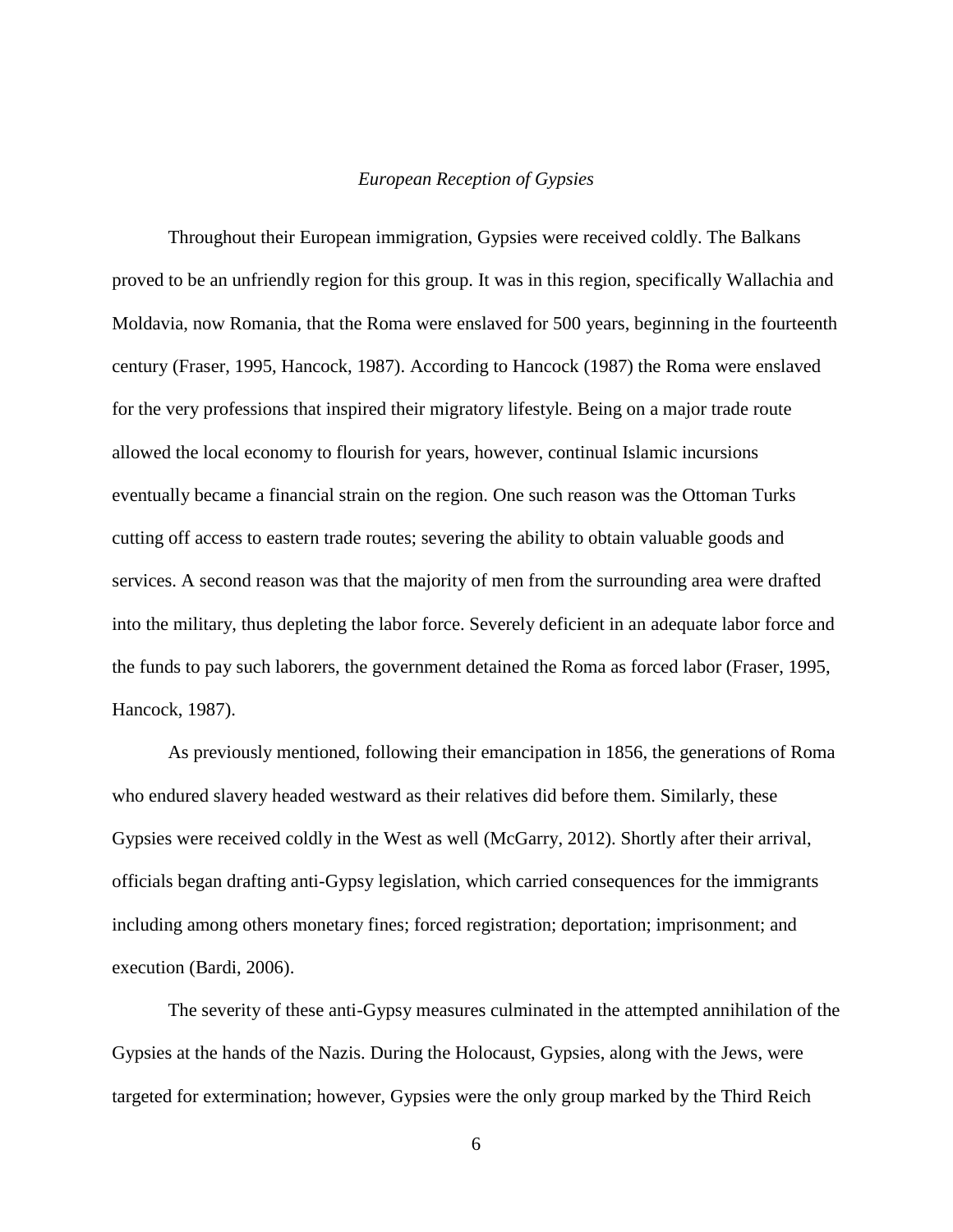#### *European Reception of Gypsies*

<span id="page-13-0"></span>Throughout their European immigration, Gypsies were received coldly. The Balkans proved to be an unfriendly region for this group. It was in this region, specifically Wallachia and Moldavia, now Romania, that the Roma were enslaved for 500 years, beginning in the fourteenth century (Fraser, 1995, Hancock, 1987). According to Hancock (1987) the Roma were enslaved for the very professions that inspired their migratory lifestyle. Being on a major trade route allowed the local economy to flourish for years, however, continual Islamic incursions eventually became a financial strain on the region. One such reason was the Ottoman Turks cutting off access to eastern trade routes; severing the ability to obtain valuable goods and services. A second reason was that the majority of men from the surrounding area were drafted into the military, thus depleting the labor force. Severely deficient in an adequate labor force and the funds to pay such laborers, the government detained the Roma as forced labor (Fraser, 1995, Hancock, 1987).

As previously mentioned, following their emancipation in 1856, the generations of Roma who endured slavery headed westward as their relatives did before them. Similarly, these Gypsies were received coldly in the West as well (McGarry, 2012). Shortly after their arrival, officials began drafting anti-Gypsy legislation, which carried consequences for the immigrants including among others monetary fines; forced registration; deportation; imprisonment; and execution (Bardi, 2006).

The severity of these anti-Gypsy measures culminated in the attempted annihilation of the Gypsies at the hands of the Nazis. During the Holocaust, Gypsies, along with the Jews, were targeted for extermination; however, Gypsies were the only group marked by the Third Reich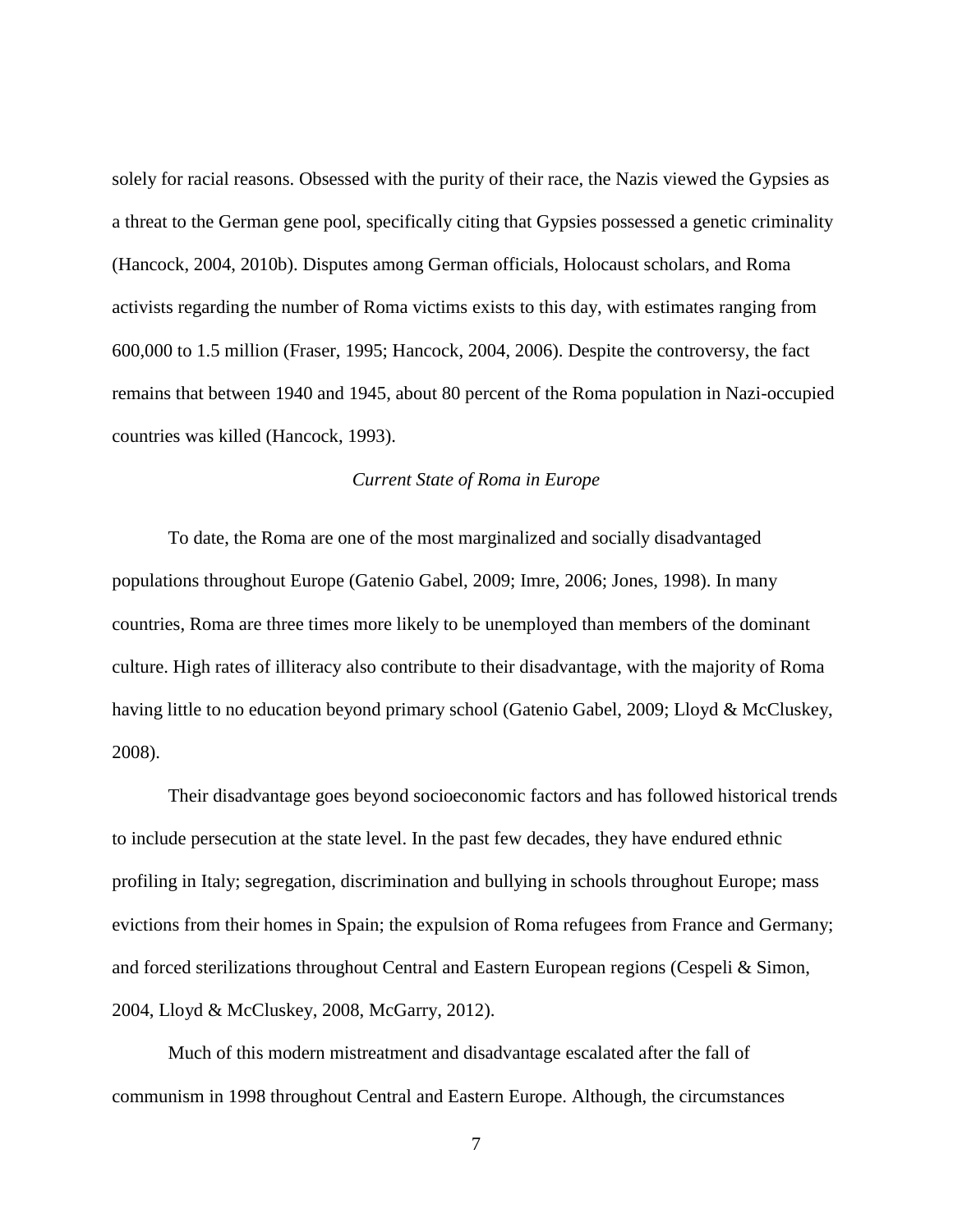solely for racial reasons. Obsessed with the purity of their race, the Nazis viewed the Gypsies as a threat to the German gene pool, specifically citing that Gypsies possessed a genetic criminality (Hancock, 2004, 2010b). Disputes among German officials, Holocaust scholars, and Roma activists regarding the number of Roma victims exists to this day, with estimates ranging from 600,000 to 1.5 million (Fraser, 1995; Hancock, 2004, 2006). Despite the controversy, the fact remains that between 1940 and 1945, about 80 percent of the Roma population in Nazi-occupied countries was killed (Hancock, 1993).

#### *Current State of Roma in Europe*

<span id="page-14-0"></span>To date, the Roma are one of the most marginalized and socially disadvantaged populations throughout Europe (Gatenio Gabel, 2009; Imre, 2006; Jones, 1998). In many countries, Roma are three times more likely to be unemployed than members of the dominant culture. High rates of illiteracy also contribute to their disadvantage, with the majority of Roma having little to no education beyond primary school (Gatenio Gabel, 2009; Lloyd & McCluskey, 2008).

Their disadvantage goes beyond socioeconomic factors and has followed historical trends to include persecution at the state level. In the past few decades, they have endured ethnic profiling in Italy; segregation, discrimination and bullying in schools throughout Europe; mass evictions from their homes in Spain; the expulsion of Roma refugees from France and Germany; and forced sterilizations throughout Central and Eastern European regions (Cespeli & Simon, 2004, Lloyd & McCluskey, 2008, McGarry, 2012).

Much of this modern mistreatment and disadvantage escalated after the fall of communism in 1998 throughout Central and Eastern Europe. Although, the circumstances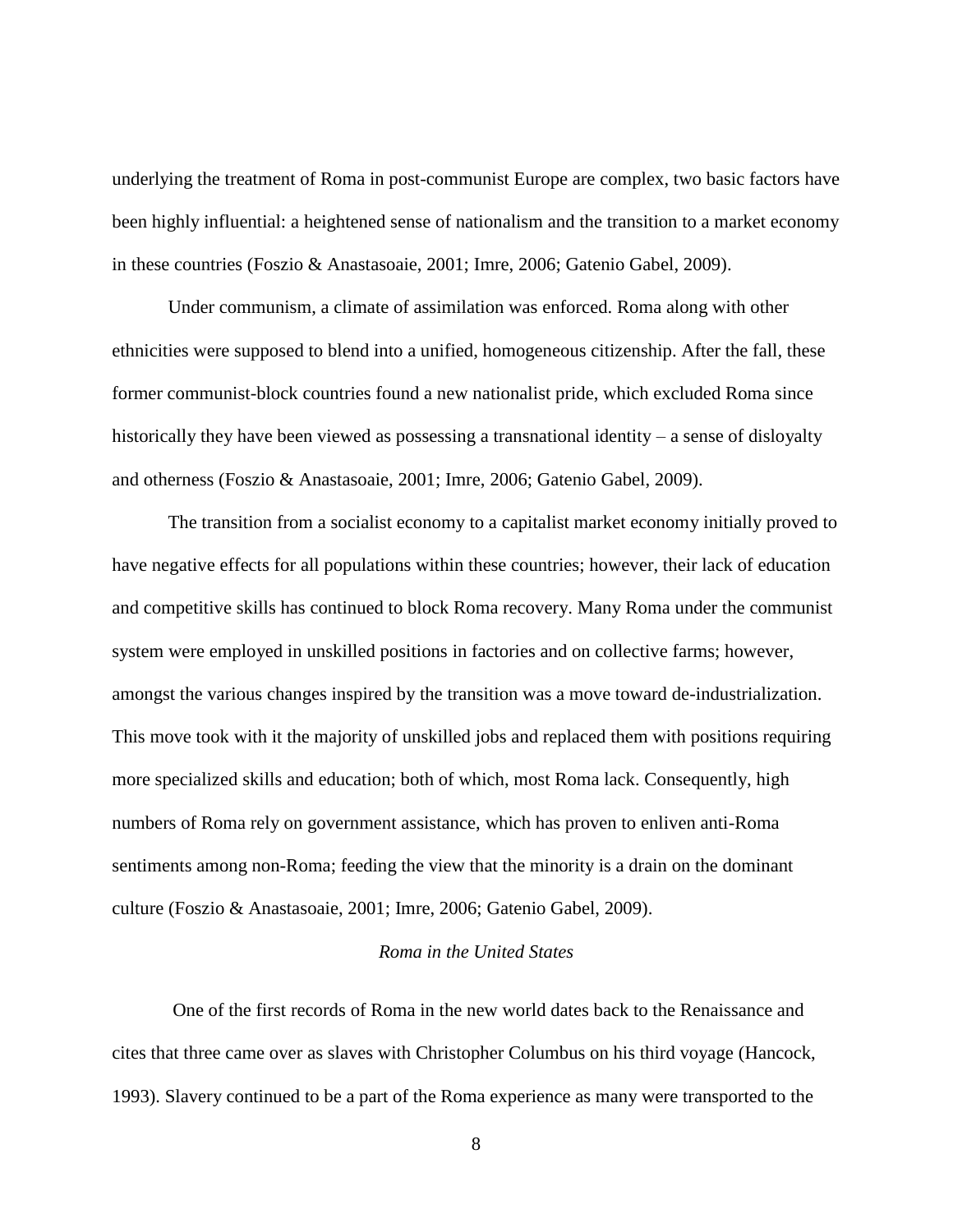underlying the treatment of Roma in post-communist Europe are complex, two basic factors have been highly influential: a heightened sense of nationalism and the transition to a market economy in these countries (Foszio & Anastasoaie, 2001; Imre, 2006; Gatenio Gabel, 2009).

Under communism, a climate of assimilation was enforced. Roma along with other ethnicities were supposed to blend into a unified, homogeneous citizenship. After the fall, these former communist-block countries found a new nationalist pride, which excluded Roma since historically they have been viewed as possessing a transnational identity – a sense of disloyalty and otherness (Foszio & Anastasoaie, 2001; Imre, 2006; Gatenio Gabel, 2009).

The transition from a socialist economy to a capitalist market economy initially proved to have negative effects for all populations within these countries; however, their lack of education and competitive skills has continued to block Roma recovery. Many Roma under the communist system were employed in unskilled positions in factories and on collective farms; however, amongst the various changes inspired by the transition was a move toward de-industrialization. This move took with it the majority of unskilled jobs and replaced them with positions requiring more specialized skills and education; both of which, most Roma lack. Consequently, high numbers of Roma rely on government assistance, which has proven to enliven anti-Roma sentiments among non-Roma; feeding the view that the minority is a drain on the dominant culture (Foszio & Anastasoaie, 2001; Imre, 2006; Gatenio Gabel, 2009).

### *Roma in the United States*

<span id="page-15-0"></span>One of the first records of Roma in the new world dates back to the Renaissance and cites that three came over as slaves with Christopher Columbus on his third voyage (Hancock, 1993). Slavery continued to be a part of the Roma experience as many were transported to the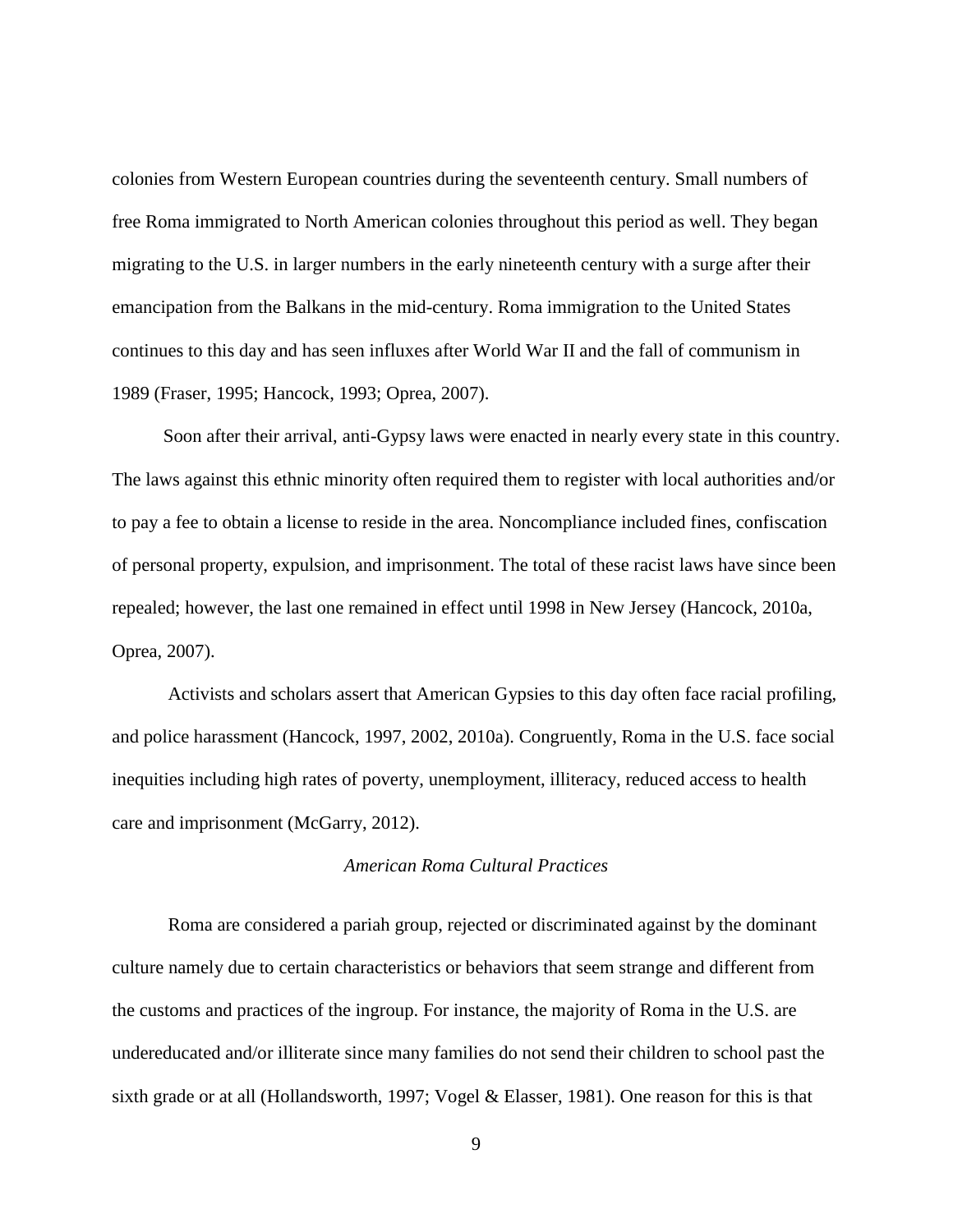colonies from Western European countries during the seventeenth century. Small numbers of free Roma immigrated to North American colonies throughout this period as well. They began migrating to the U.S. in larger numbers in the early nineteenth century with a surge after their emancipation from the Balkans in the mid-century. Roma immigration to the United States continues to this day and has seen influxes after World War II and the fall of communism in 1989 (Fraser, 1995; Hancock, 1993; Oprea, 2007).

Soon after their arrival, anti-Gypsy laws were enacted in nearly every state in this country. The laws against this ethnic minority often required them to register with local authorities and/or to pay a fee to obtain a license to reside in the area. Noncompliance included fines, confiscation of personal property, expulsion, and imprisonment. The total of these racist laws have since been repealed; however, the last one remained in effect until 1998 in New Jersey (Hancock, 2010a, Oprea, 2007).

Activists and scholars assert that American Gypsies to this day often face racial profiling, and police harassment (Hancock, 1997, 2002, 2010a). Congruently, Roma in the U.S. face social inequities including high rates of poverty, unemployment, illiteracy, reduced access to health care and imprisonment (McGarry, 2012).

## *American Roma Cultural Practices*

<span id="page-16-0"></span>Roma are considered a pariah group, rejected or discriminated against by the dominant culture namely due to certain characteristics or behaviors that seem strange and different from the customs and practices of the ingroup. For instance, the majority of Roma in the U.S. are undereducated and/or illiterate since many families do not send their children to school past the sixth grade or at all (Hollandsworth, 1997; Vogel & Elasser, 1981). One reason for this is that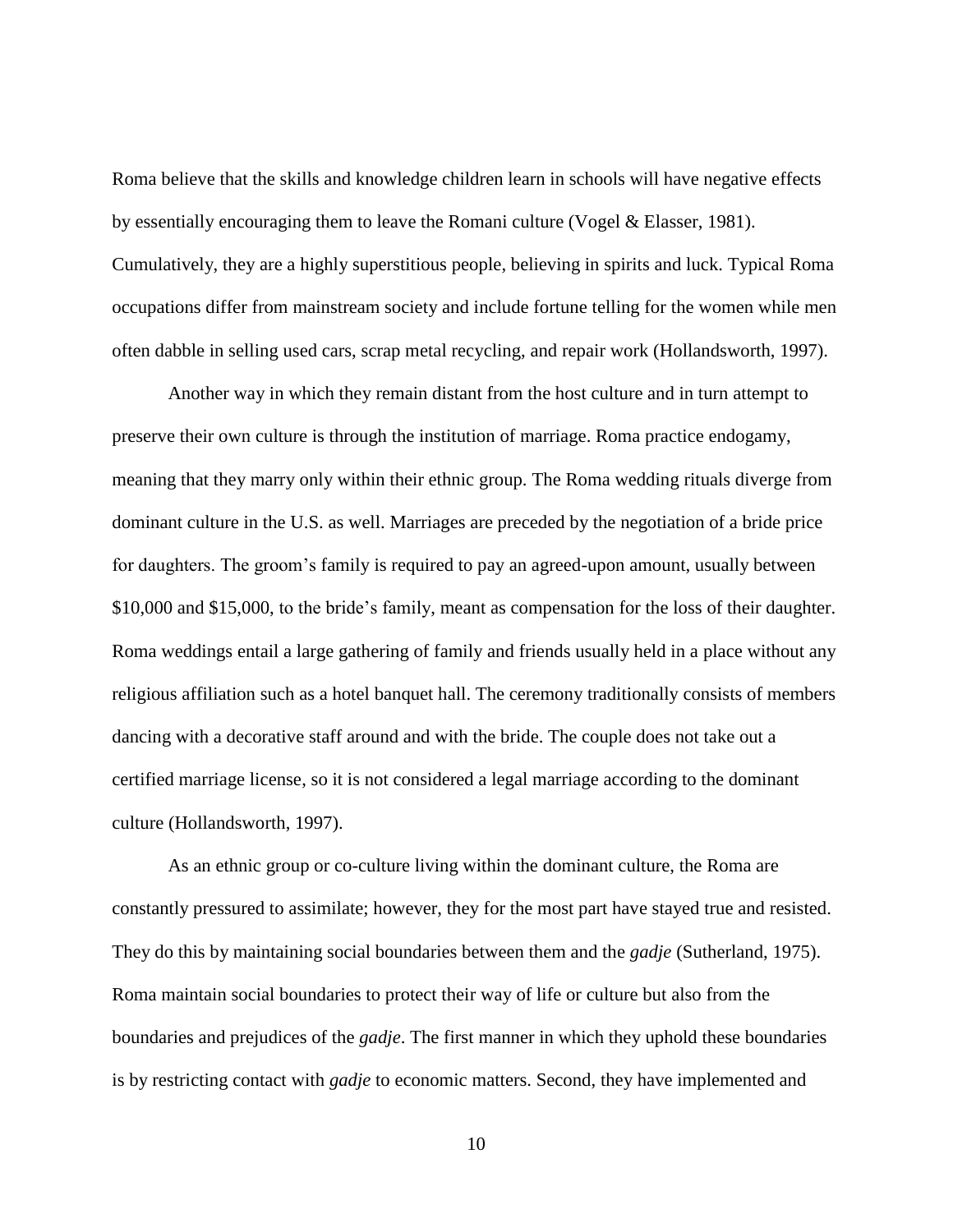Roma believe that the skills and knowledge children learn in schools will have negative effects by essentially encouraging them to leave the Romani culture (Vogel & Elasser, 1981). Cumulatively, they are a highly superstitious people, believing in spirits and luck. Typical Roma occupations differ from mainstream society and include fortune telling for the women while men often dabble in selling used cars, scrap metal recycling, and repair work (Hollandsworth, 1997).

Another way in which they remain distant from the host culture and in turn attempt to preserve their own culture is through the institution of marriage. Roma practice endogamy, meaning that they marry only within their ethnic group. The Roma wedding rituals diverge from dominant culture in the U.S. as well. Marriages are preceded by the negotiation of a bride price for daughters. The groom's family is required to pay an agreed-upon amount, usually between \$10,000 and \$15,000, to the bride's family, meant as compensation for the loss of their daughter. Roma weddings entail a large gathering of family and friends usually held in a place without any religious affiliation such as a hotel banquet hall. The ceremony traditionally consists of members dancing with a decorative staff around and with the bride. The couple does not take out a certified marriage license, so it is not considered a legal marriage according to the dominant culture (Hollandsworth, 1997).

As an ethnic group or co-culture living within the dominant culture, the Roma are constantly pressured to assimilate; however, they for the most part have stayed true and resisted. They do this by maintaining social boundaries between them and the *gadje* (Sutherland, 1975). Roma maintain social boundaries to protect their way of life or culture but also from the boundaries and prejudices of the *gadje*. The first manner in which they uphold these boundaries is by restricting contact with *gadje* to economic matters. Second, they have implemented and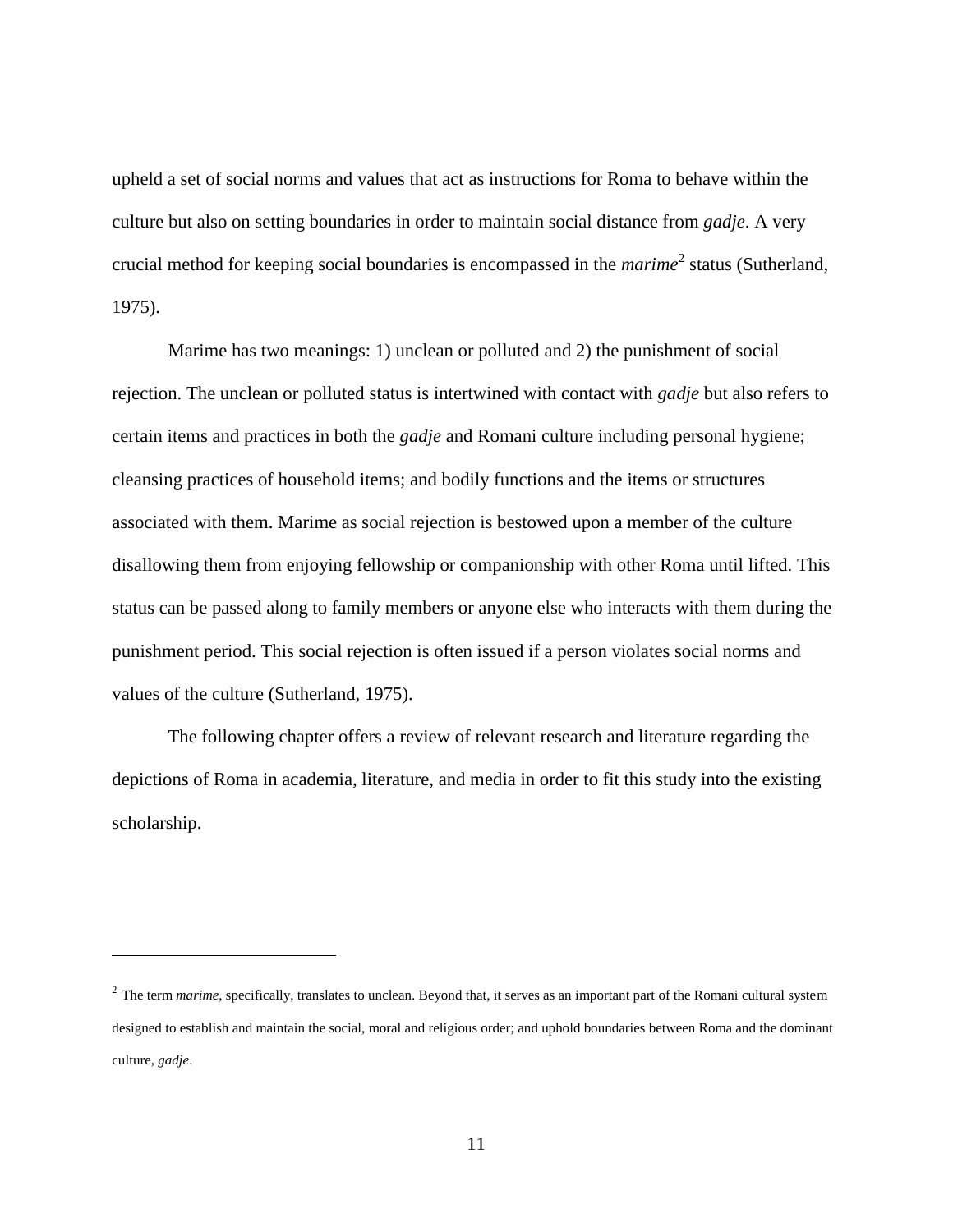upheld a set of social norms and values that act as instructions for Roma to behave within the culture but also on setting boundaries in order to maintain social distance from *gadje*. A very crucial method for keeping social boundaries is encompassed in the *marime*<sup>2</sup> status (Sutherland, 1975).

Marime has two meanings: 1) unclean or polluted and 2) the punishment of social rejection. The unclean or polluted status is intertwined with contact with *gadje* but also refers to certain items and practices in both the *gadje* and Romani culture including personal hygiene; cleansing practices of household items; and bodily functions and the items or structures associated with them. Marime as social rejection is bestowed upon a member of the culture disallowing them from enjoying fellowship or companionship with other Roma until lifted. This status can be passed along to family members or anyone else who interacts with them during the punishment period. This social rejection is often issued if a person violates social norms and values of the culture (Sutherland, 1975).

The following chapter offers a review of relevant research and literature regarding the depictions of Roma in academia, literature, and media in order to fit this study into the existing scholarship.

 $\overline{a}$ 

<sup>&</sup>lt;sup>2</sup> The term *marime*, specifically, translates to unclean. Beyond that, it serves as an important part of the Romani cultural system designed to establish and maintain the social, moral and religious order; and uphold boundaries between Roma and the dominant culture, *gadje*.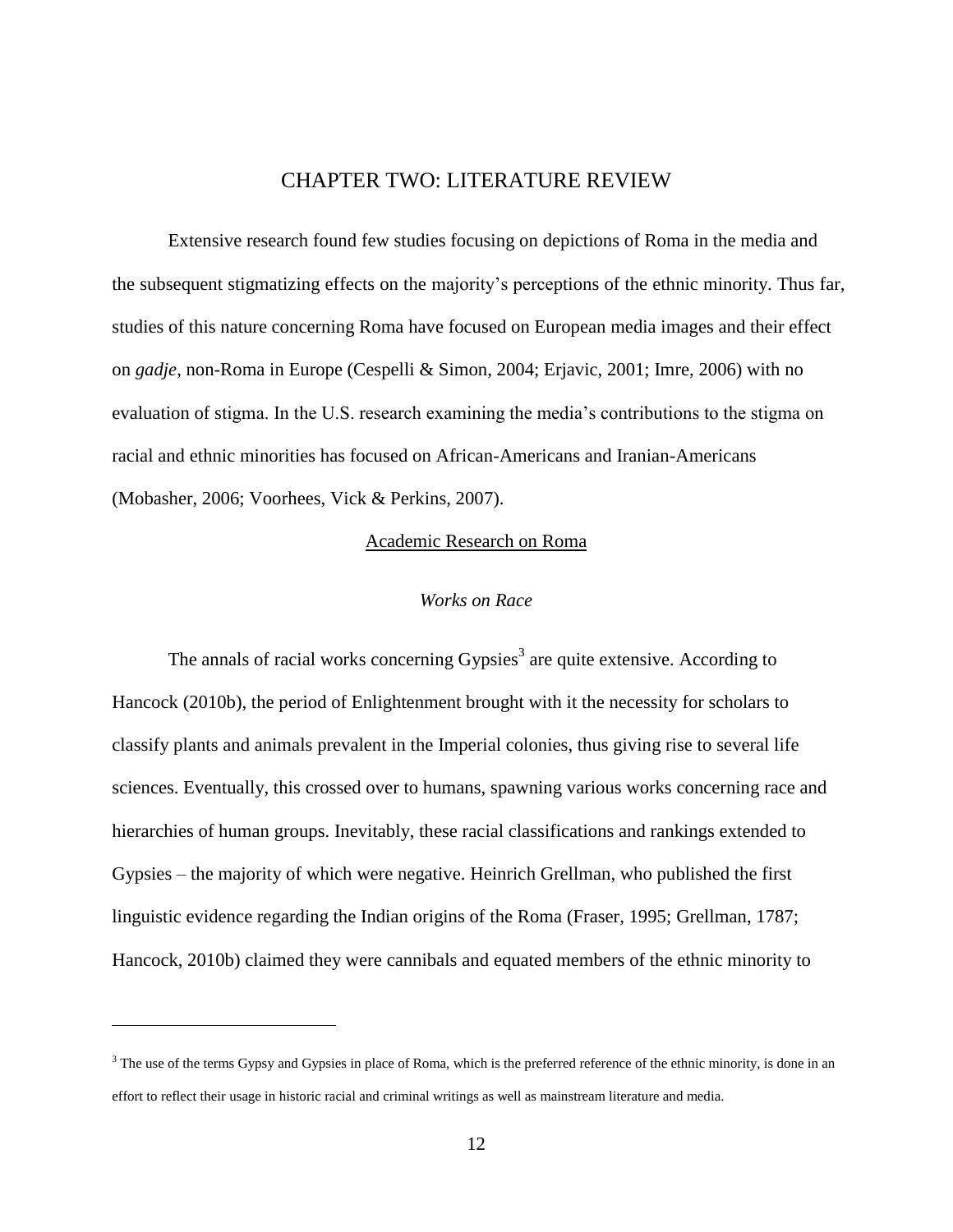## CHAPTER TWO: LITERATURE REVIEW

<span id="page-19-0"></span>Extensive research found few studies focusing on depictions of Roma in the media and the subsequent stigmatizing effects on the majority's perceptions of the ethnic minority. Thus far, studies of this nature concerning Roma have focused on European media images and their effect on *gadje*, non-Roma in Europe (Cespelli & Simon, 2004; Erjavic, 2001; Imre, 2006) with no evaluation of stigma. In the U.S. research examining the media's contributions to the stigma on racial and ethnic minorities has focused on African-Americans and Iranian-Americans (Mobasher, 2006; Voorhees, Vick & Perkins, 2007).

#### Academic Research on Roma

#### *Works on Race*

<span id="page-19-2"></span><span id="page-19-1"></span>The annals of racial works concerning Gypsies<sup>3</sup> are quite extensive. According to Hancock (2010b), the period of Enlightenment brought with it the necessity for scholars to classify plants and animals prevalent in the Imperial colonies, thus giving rise to several life sciences. Eventually, this crossed over to humans, spawning various works concerning race and hierarchies of human groups. Inevitably, these racial classifications and rankings extended to Gypsies – the majority of which were negative. Heinrich Grellman, who published the first linguistic evidence regarding the Indian origins of the Roma (Fraser, 1995; Grellman, 1787; Hancock, 2010b) claimed they were cannibals and equated members of the ethnic minority to

 $\overline{a}$ 

<sup>&</sup>lt;sup>3</sup> The use of the terms Gypsy and Gypsies in place of Roma, which is the preferred reference of the ethnic minority, is done in an effort to reflect their usage in historic racial and criminal writings as well as mainstream literature and media.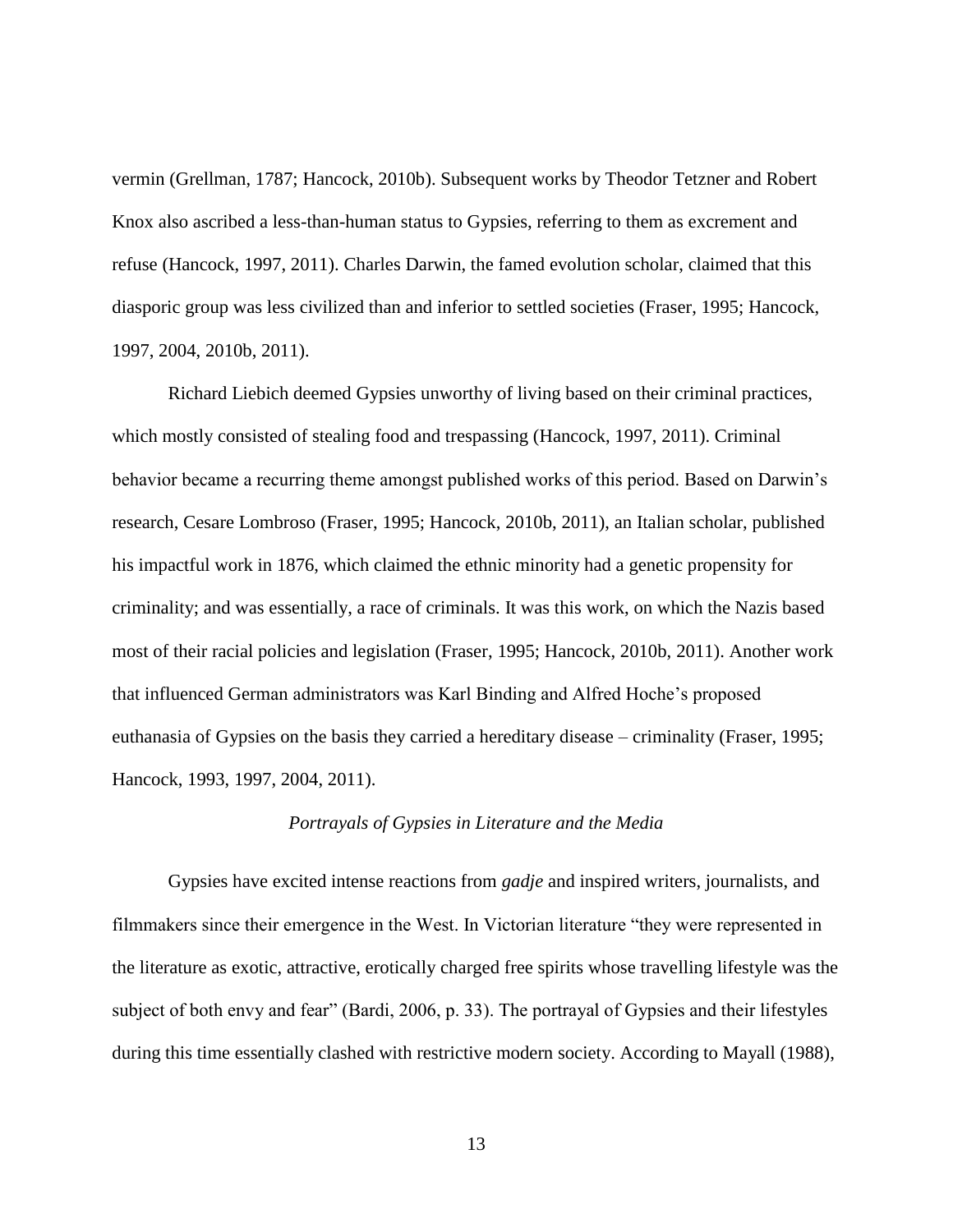vermin (Grellman, 1787; Hancock, 2010b). Subsequent works by Theodor Tetzner and Robert Knox also ascribed a less-than-human status to Gypsies, referring to them as excrement and refuse (Hancock, 1997, 2011). Charles Darwin, the famed evolution scholar, claimed that this diasporic group was less civilized than and inferior to settled societies (Fraser, 1995; Hancock, 1997, 2004, 2010b, 2011).

Richard Liebich deemed Gypsies unworthy of living based on their criminal practices, which mostly consisted of stealing food and trespassing (Hancock, 1997, 2011). Criminal behavior became a recurring theme amongst published works of this period. Based on Darwin's research, Cesare Lombroso (Fraser, 1995; Hancock, 2010b, 2011), an Italian scholar, published his impactful work in 1876, which claimed the ethnic minority had a genetic propensity for criminality; and was essentially, a race of criminals. It was this work, on which the Nazis based most of their racial policies and legislation (Fraser, 1995; Hancock, 2010b, 2011). Another work that influenced German administrators was Karl Binding and Alfred Hoche's proposed euthanasia of Gypsies on the basis they carried a hereditary disease – criminality (Fraser, 1995; Hancock, 1993, 1997, 2004, 2011).

#### *Portrayals of Gypsies in Literature and the Media*

<span id="page-20-0"></span>Gypsies have excited intense reactions from *gadje* and inspired writers, journalists, and filmmakers since their emergence in the West. In Victorian literature "they were represented in the literature as exotic, attractive, erotically charged free spirits whose travelling lifestyle was the subject of both envy and fear" (Bardi, 2006, p. 33). The portrayal of Gypsies and their lifestyles during this time essentially clashed with restrictive modern society. According to Mayall (1988),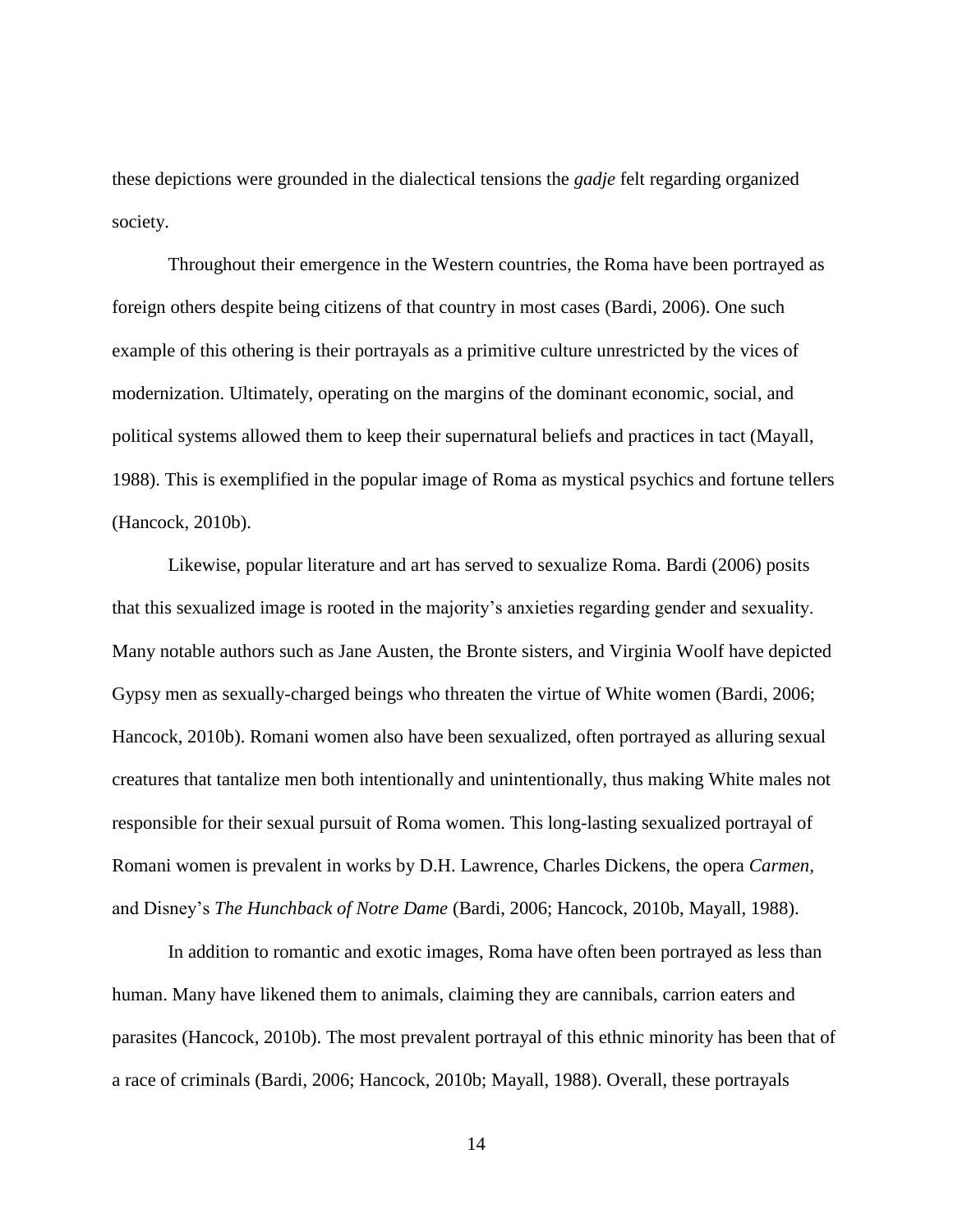these depictions were grounded in the dialectical tensions the *gadje* felt regarding organized society.

Throughout their emergence in the Western countries, the Roma have been portrayed as foreign others despite being citizens of that country in most cases (Bardi, 2006). One such example of this othering is their portrayals as a primitive culture unrestricted by the vices of modernization. Ultimately, operating on the margins of the dominant economic, social, and political systems allowed them to keep their supernatural beliefs and practices in tact (Mayall, 1988). This is exemplified in the popular image of Roma as mystical psychics and fortune tellers (Hancock, 2010b).

Likewise, popular literature and art has served to sexualize Roma. Bardi (2006) posits that this sexualized image is rooted in the majority's anxieties regarding gender and sexuality. Many notable authors such as Jane Austen, the Bronte sisters, and Virginia Woolf have depicted Gypsy men as sexually-charged beings who threaten the virtue of White women (Bardi, 2006; Hancock, 2010b). Romani women also have been sexualized, often portrayed as alluring sexual creatures that tantalize men both intentionally and unintentionally, thus making White males not responsible for their sexual pursuit of Roma women. This long-lasting sexualized portrayal of Romani women is prevalent in works by D.H. Lawrence, Charles Dickens, the opera *Carmen,* and Disney's *The Hunchback of Notre Dame* (Bardi, 2006; Hancock, 2010b, Mayall, 1988).

In addition to romantic and exotic images, Roma have often been portrayed as less than human. Many have likened them to animals, claiming they are cannibals, carrion eaters and parasites (Hancock, 2010b). The most prevalent portrayal of this ethnic minority has been that of a race of criminals (Bardi, 2006; Hancock, 2010b; Mayall, 1988). Overall, these portrayals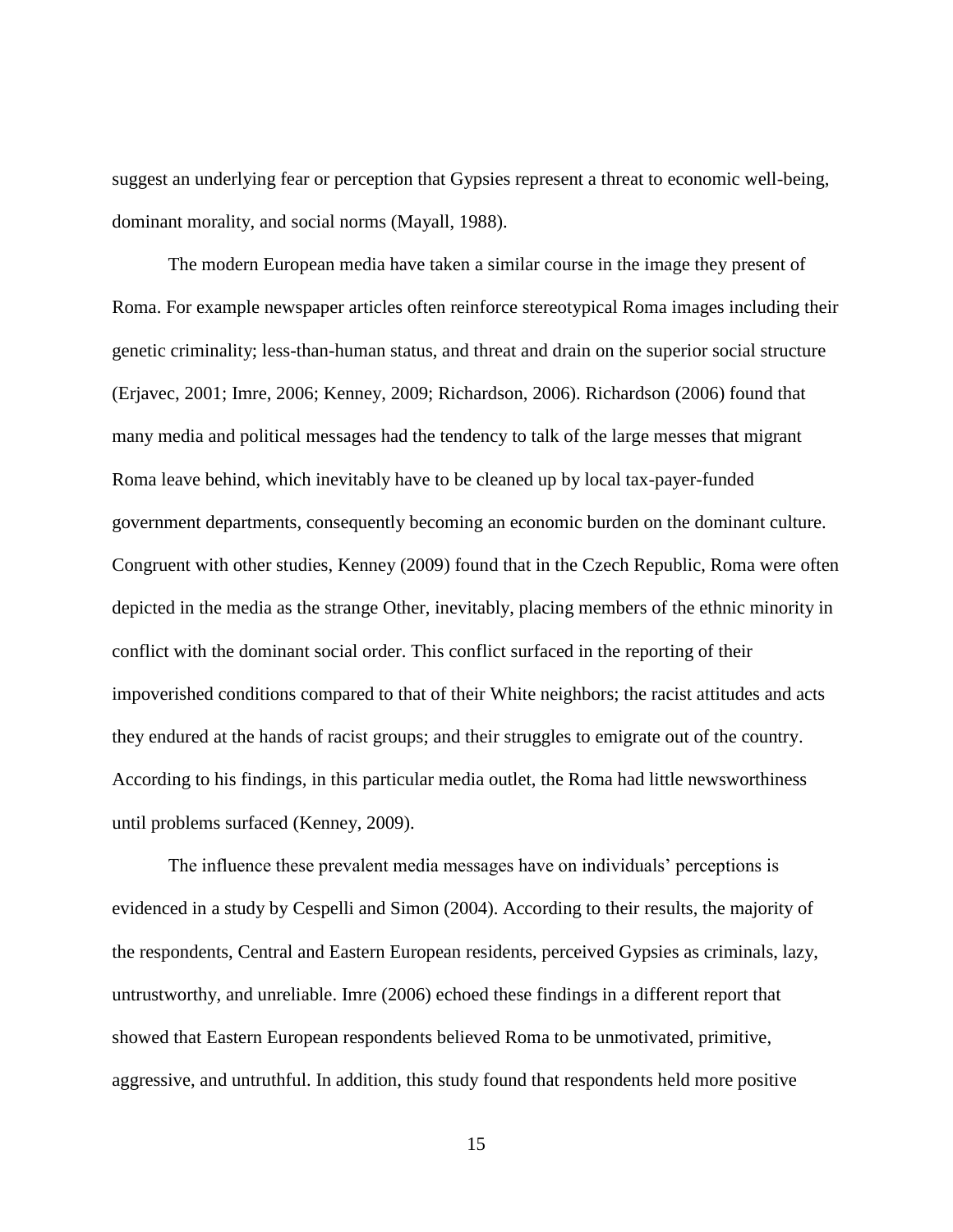suggest an underlying fear or perception that Gypsies represent a threat to economic well-being, dominant morality, and social norms (Mayall, 1988).

The modern European media have taken a similar course in the image they present of Roma. For example newspaper articles often reinforce stereotypical Roma images including their genetic criminality; less-than-human status, and threat and drain on the superior social structure (Erjavec, 2001; Imre, 2006; Kenney, 2009; Richardson, 2006). Richardson (2006) found that many media and political messages had the tendency to talk of the large messes that migrant Roma leave behind, which inevitably have to be cleaned up by local tax-payer-funded government departments, consequently becoming an economic burden on the dominant culture. Congruent with other studies, Kenney (2009) found that in the Czech Republic, Roma were often depicted in the media as the strange Other, inevitably, placing members of the ethnic minority in conflict with the dominant social order. This conflict surfaced in the reporting of their impoverished conditions compared to that of their White neighbors; the racist attitudes and acts they endured at the hands of racist groups; and their struggles to emigrate out of the country. According to his findings, in this particular media outlet, the Roma had little newsworthiness until problems surfaced (Kenney, 2009).

The influence these prevalent media messages have on individuals' perceptions is evidenced in a study by Cespelli and Simon (2004). According to their results, the majority of the respondents, Central and Eastern European residents, perceived Gypsies as criminals, lazy, untrustworthy, and unreliable. Imre (2006) echoed these findings in a different report that showed that Eastern European respondents believed Roma to be unmotivated, primitive, aggressive, and untruthful. In addition, this study found that respondents held more positive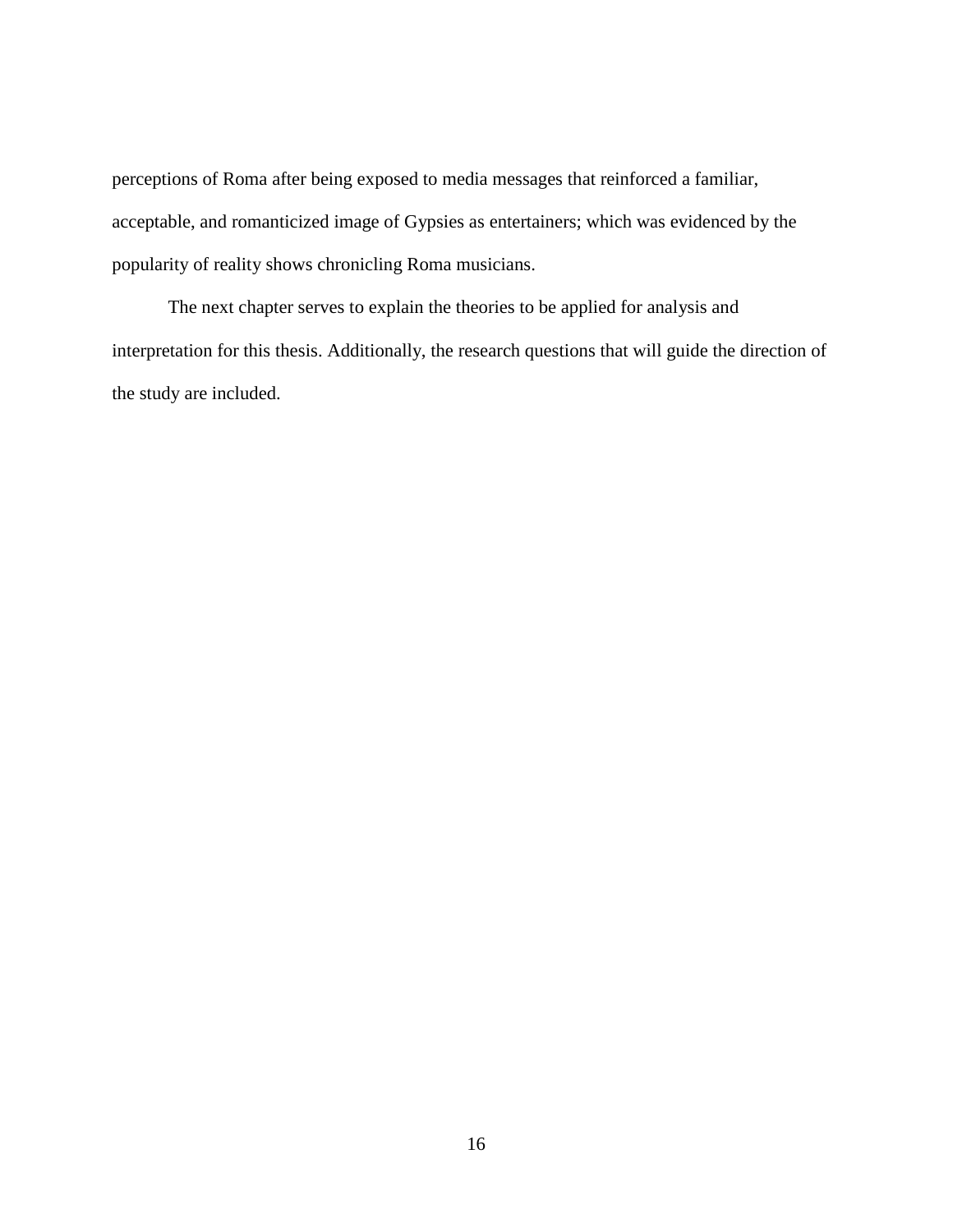perceptions of Roma after being exposed to media messages that reinforced a familiar, acceptable, and romanticized image of Gypsies as entertainers; which was evidenced by the popularity of reality shows chronicling Roma musicians.

The next chapter serves to explain the theories to be applied for analysis and interpretation for this thesis. Additionally, the research questions that will guide the direction of the study are included.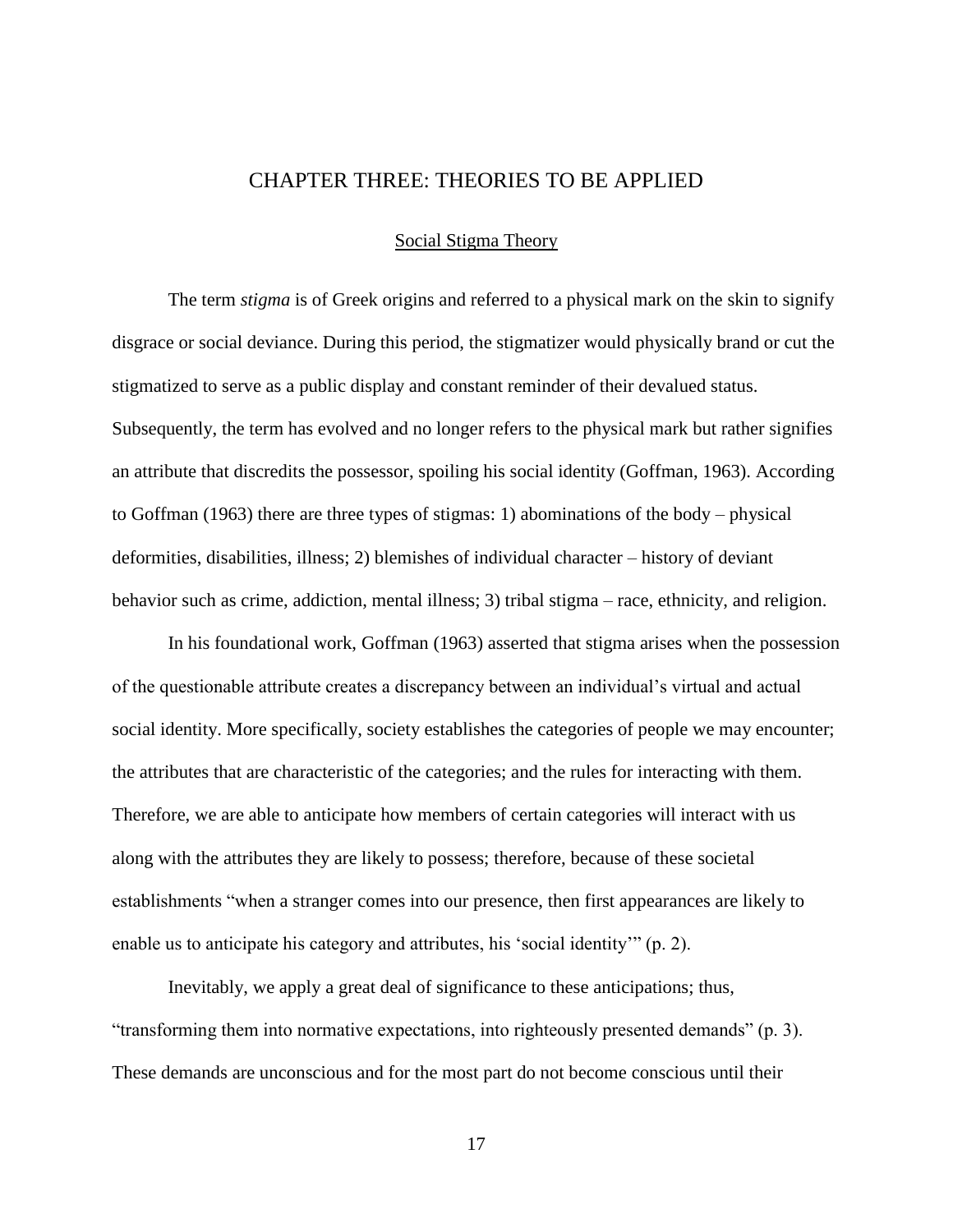## CHAPTER THREE: THEORIES TO BE APPLIED

#### Social Stigma Theory

<span id="page-24-1"></span><span id="page-24-0"></span>The term *stigma* is of Greek origins and referred to a physical mark on the skin to signify disgrace or social deviance. During this period, the stigmatizer would physically brand or cut the stigmatized to serve as a public display and constant reminder of their devalued status. Subsequently, the term has evolved and no longer refers to the physical mark but rather signifies an attribute that discredits the possessor, spoiling his social identity (Goffman, 1963). According to Goffman (1963) there are three types of stigmas: 1) abominations of the body – physical deformities, disabilities, illness; 2) blemishes of individual character – history of deviant behavior such as crime, addiction, mental illness; 3) tribal stigma – race, ethnicity, and religion.

In his foundational work, Goffman (1963) asserted that stigma arises when the possession of the questionable attribute creates a discrepancy between an individual's virtual and actual social identity. More specifically, society establishes the categories of people we may encounter; the attributes that are characteristic of the categories; and the rules for interacting with them. Therefore, we are able to anticipate how members of certain categories will interact with us along with the attributes they are likely to possess; therefore, because of these societal establishments "when a stranger comes into our presence, then first appearances are likely to enable us to anticipate his category and attributes, his 'social identity'"  $(p, 2)$ .

Inevitably, we apply a great deal of significance to these anticipations; thus, "transforming them into normative expectations, into righteously presented demands" (p. 3). These demands are unconscious and for the most part do not become conscious until their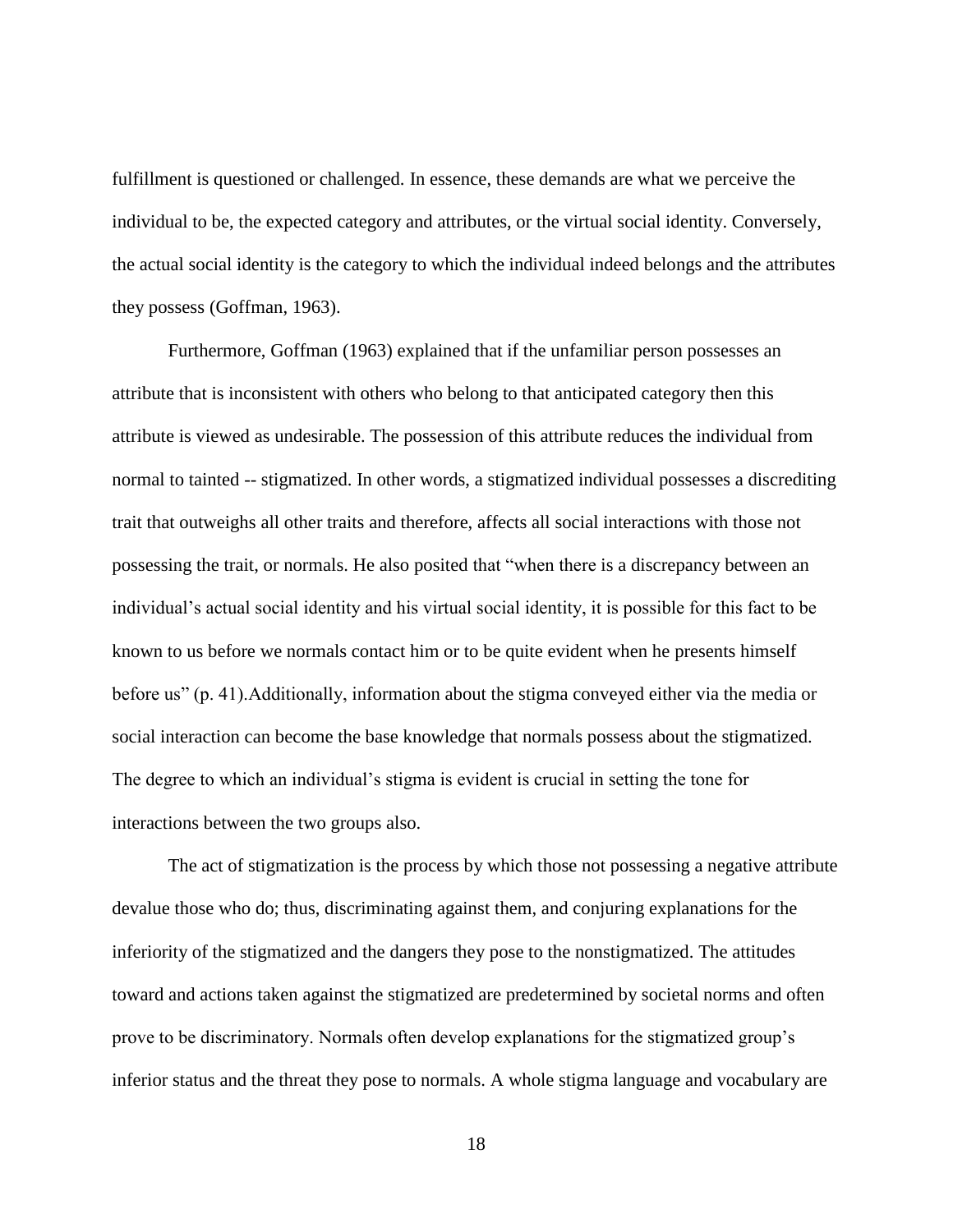fulfillment is questioned or challenged. In essence, these demands are what we perceive the individual to be, the expected category and attributes, or the virtual social identity. Conversely, the actual social identity is the category to which the individual indeed belongs and the attributes they possess (Goffman, 1963).

Furthermore, Goffman (1963) explained that if the unfamiliar person possesses an attribute that is inconsistent with others who belong to that anticipated category then this attribute is viewed as undesirable. The possession of this attribute reduces the individual from normal to tainted -- stigmatized. In other words, a stigmatized individual possesses a discrediting trait that outweighs all other traits and therefore, affects all social interactions with those not possessing the trait, or normals. He also posited that "when there is a discrepancy between an individual's actual social identity and his virtual social identity, it is possible for this fact to be known to us before we normals contact him or to be quite evident when he presents himself before us" (p. 41). Additionally, information about the stigma conveyed either via the media or social interaction can become the base knowledge that normals possess about the stigmatized. The degree to which an individual's stigma is evident is crucial in setting the tone for interactions between the two groups also.

The act of stigmatization is the process by which those not possessing a negative attribute devalue those who do; thus, discriminating against them, and conjuring explanations for the inferiority of the stigmatized and the dangers they pose to the nonstigmatized. The attitudes toward and actions taken against the stigmatized are predetermined by societal norms and often prove to be discriminatory. Normals often develop explanations for the stigmatized group's inferior status and the threat they pose to normals. A whole stigma language and vocabulary are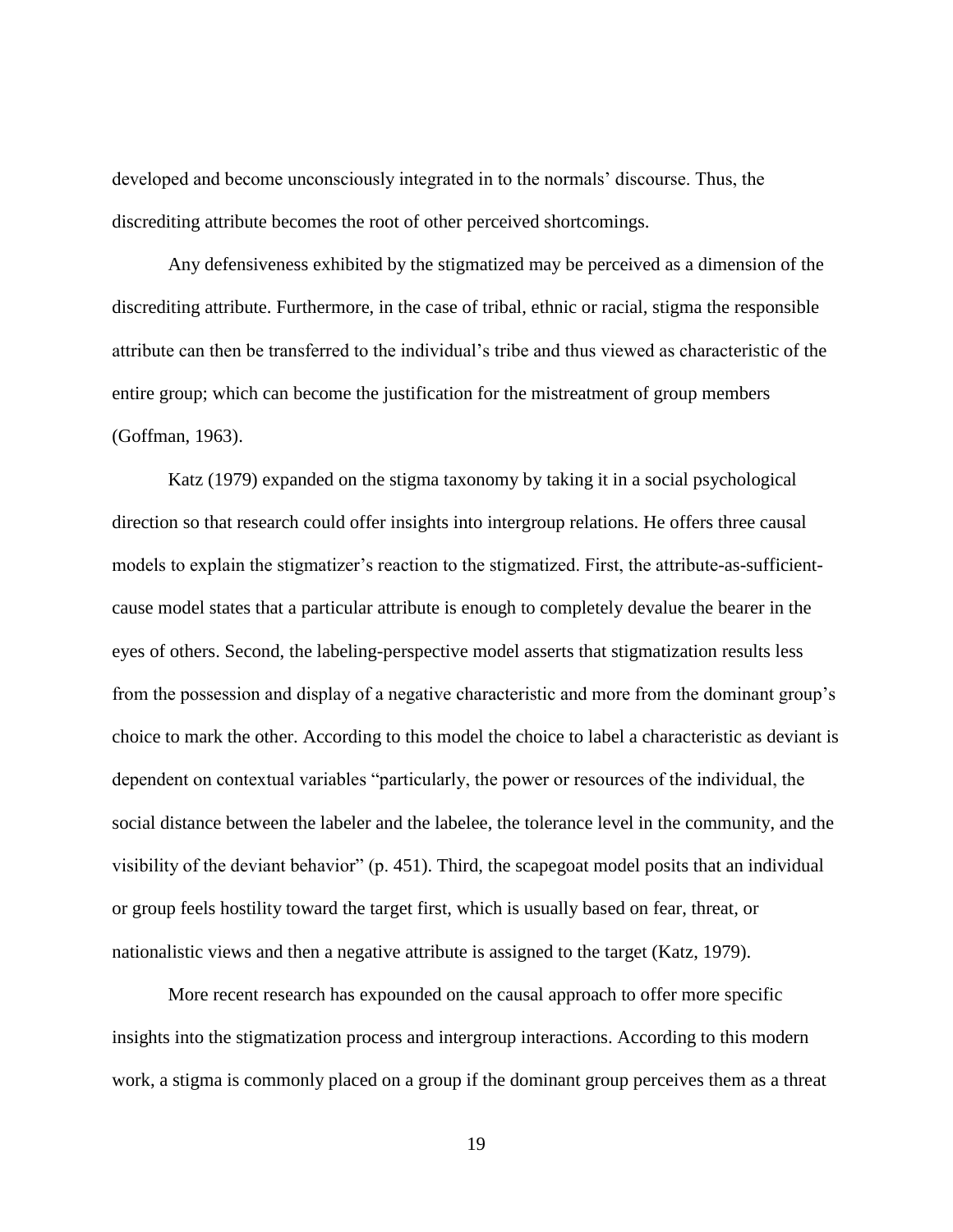developed and become unconsciously integrated in to the normals' discourse. Thus, the discrediting attribute becomes the root of other perceived shortcomings.

Any defensiveness exhibited by the stigmatized may be perceived as a dimension of the discrediting attribute. Furthermore, in the case of tribal, ethnic or racial, stigma the responsible attribute can then be transferred to the individual's tribe and thus viewed as characteristic of the entire group; which can become the justification for the mistreatment of group members (Goffman, 1963).

Katz (1979) expanded on the stigma taxonomy by taking it in a social psychological direction so that research could offer insights into intergroup relations. He offers three causal models to explain the stigmatizer's reaction to the stigmatized. First, the attribute-as-sufficientcause model states that a particular attribute is enough to completely devalue the bearer in the eyes of others. Second, the labeling-perspective model asserts that stigmatization results less from the possession and display of a negative characteristic and more from the dominant group's choice to mark the other. According to this model the choice to label a characteristic as deviant is dependent on contextual variables "particularly, the power or resources of the individual, the social distance between the labeler and the labelee, the tolerance level in the community, and the visibility of the deviant behavior"  $(p. 451)$ . Third, the scapegoat model posits that an individual or group feels hostility toward the target first, which is usually based on fear, threat, or nationalistic views and then a negative attribute is assigned to the target (Katz, 1979).

More recent research has expounded on the causal approach to offer more specific insights into the stigmatization process and intergroup interactions. According to this modern work, a stigma is commonly placed on a group if the dominant group perceives them as a threat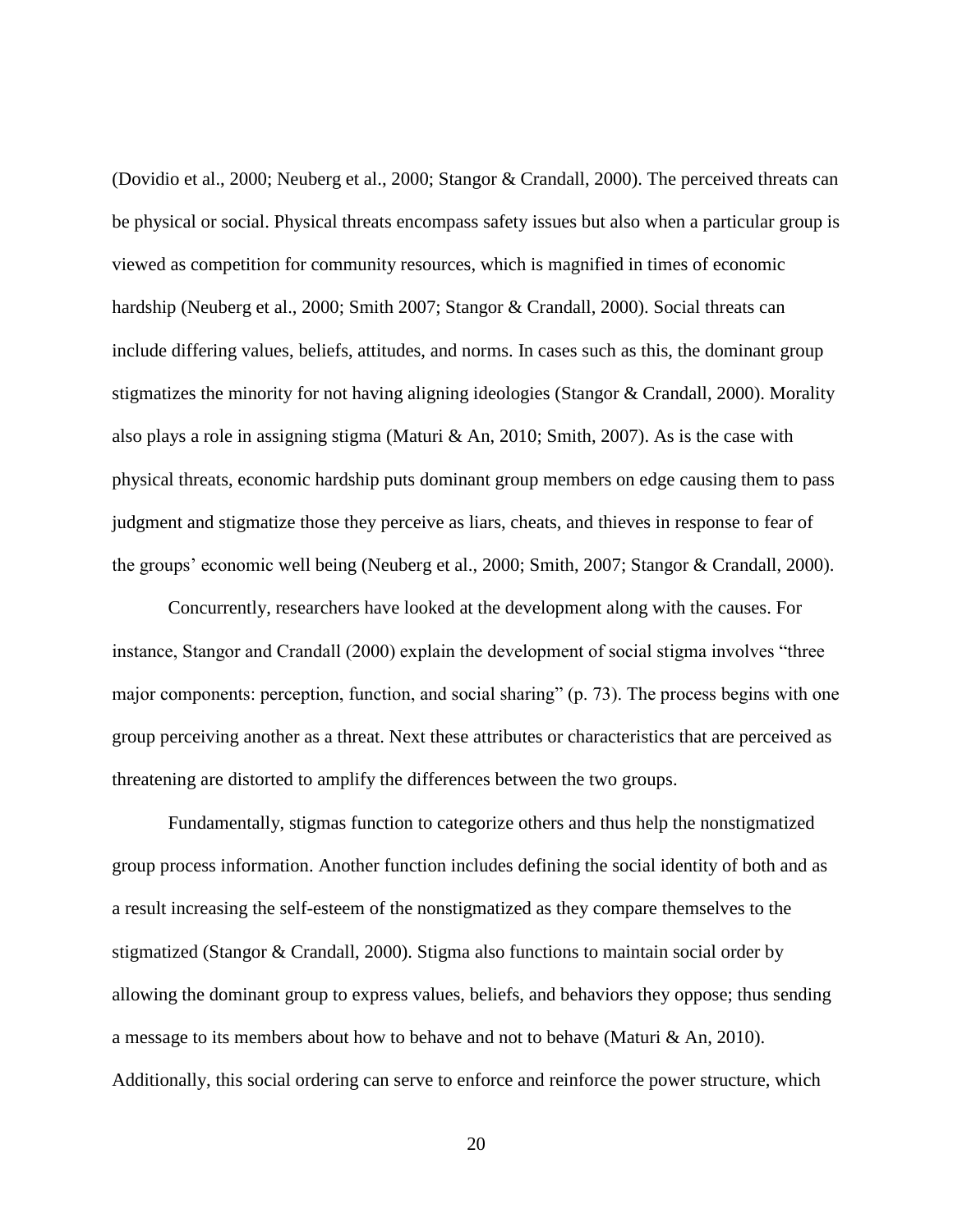(Dovidio et al., 2000; Neuberg et al., 2000; Stangor & Crandall, 2000). The perceived threats can be physical or social. Physical threats encompass safety issues but also when a particular group is viewed as competition for community resources, which is magnified in times of economic hardship (Neuberg et al., 2000; Smith 2007; Stangor & Crandall, 2000). Social threats can include differing values, beliefs, attitudes, and norms. In cases such as this, the dominant group stigmatizes the minority for not having aligning ideologies (Stangor & Crandall, 2000). Morality also plays a role in assigning stigma (Maturi & An, 2010; Smith, 2007). As is the case with physical threats, economic hardship puts dominant group members on edge causing them to pass judgment and stigmatize those they perceive as liars, cheats, and thieves in response to fear of the groups' economic well being (Neuberg et al., 2000; Smith, 2007; Stangor & Crandall, 2000).

Concurrently, researchers have looked at the development along with the causes. For instance, Stangor and Crandall (2000) explain the development of social stigma involves "three major components: perception, function, and social sharing"  $(p. 73)$ . The process begins with one group perceiving another as a threat. Next these attributes or characteristics that are perceived as threatening are distorted to amplify the differences between the two groups.

Fundamentally, stigmas function to categorize others and thus help the nonstigmatized group process information. Another function includes defining the social identity of both and as a result increasing the self-esteem of the nonstigmatized as they compare themselves to the stigmatized (Stangor & Crandall, 2000). Stigma also functions to maintain social order by allowing the dominant group to express values, beliefs, and behaviors they oppose; thus sending a message to its members about how to behave and not to behave (Maturi & An, 2010). Additionally, this social ordering can serve to enforce and reinforce the power structure, which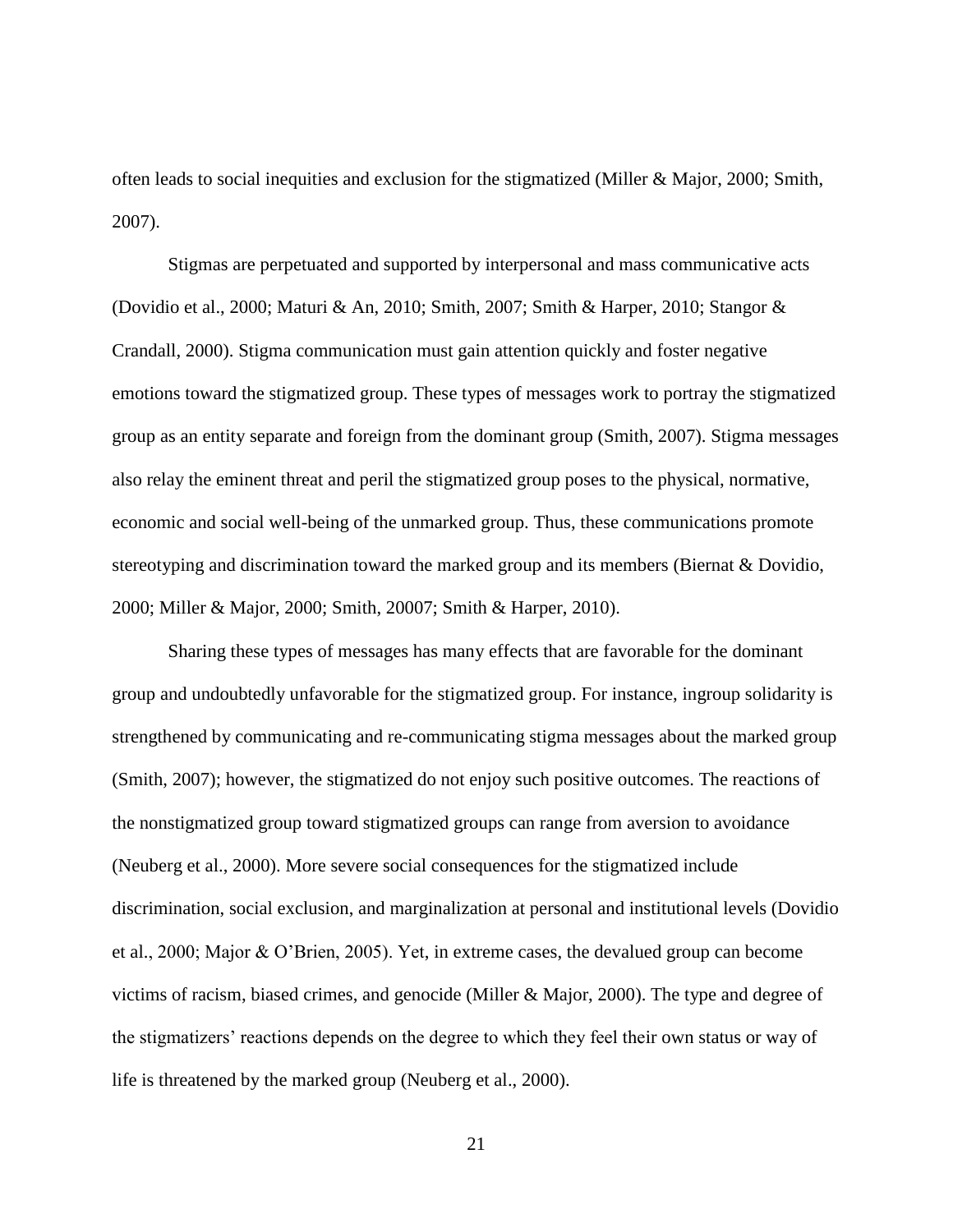often leads to social inequities and exclusion for the stigmatized (Miller & Major, 2000; Smith, 2007).

Stigmas are perpetuated and supported by interpersonal and mass communicative acts (Dovidio et al., 2000; Maturi & An, 2010; Smith, 2007; Smith & Harper, 2010; Stangor & Crandall, 2000). Stigma communication must gain attention quickly and foster negative emotions toward the stigmatized group. These types of messages work to portray the stigmatized group as an entity separate and foreign from the dominant group (Smith, 2007). Stigma messages also relay the eminent threat and peril the stigmatized group poses to the physical, normative, economic and social well-being of the unmarked group. Thus, these communications promote stereotyping and discrimination toward the marked group and its members (Biernat & Dovidio, 2000; Miller & Major, 2000; Smith, 20007; Smith & Harper, 2010).

Sharing these types of messages has many effects that are favorable for the dominant group and undoubtedly unfavorable for the stigmatized group. For instance, ingroup solidarity is strengthened by communicating and re-communicating stigma messages about the marked group (Smith, 2007); however, the stigmatized do not enjoy such positive outcomes. The reactions of the nonstigmatized group toward stigmatized groups can range from aversion to avoidance (Neuberg et al., 2000). More severe social consequences for the stigmatized include discrimination, social exclusion, and marginalization at personal and institutional levels (Dovidio et al., 2000; Major & O'Brien, 2005). Yet, in extreme cases, the devalued group can become victims of racism, biased crimes, and genocide (Miller & Major, 2000). The type and degree of the stigmatizers' reactions depends on the degree to which they feel their own status or way of life is threatened by the marked group (Neuberg et al., 2000).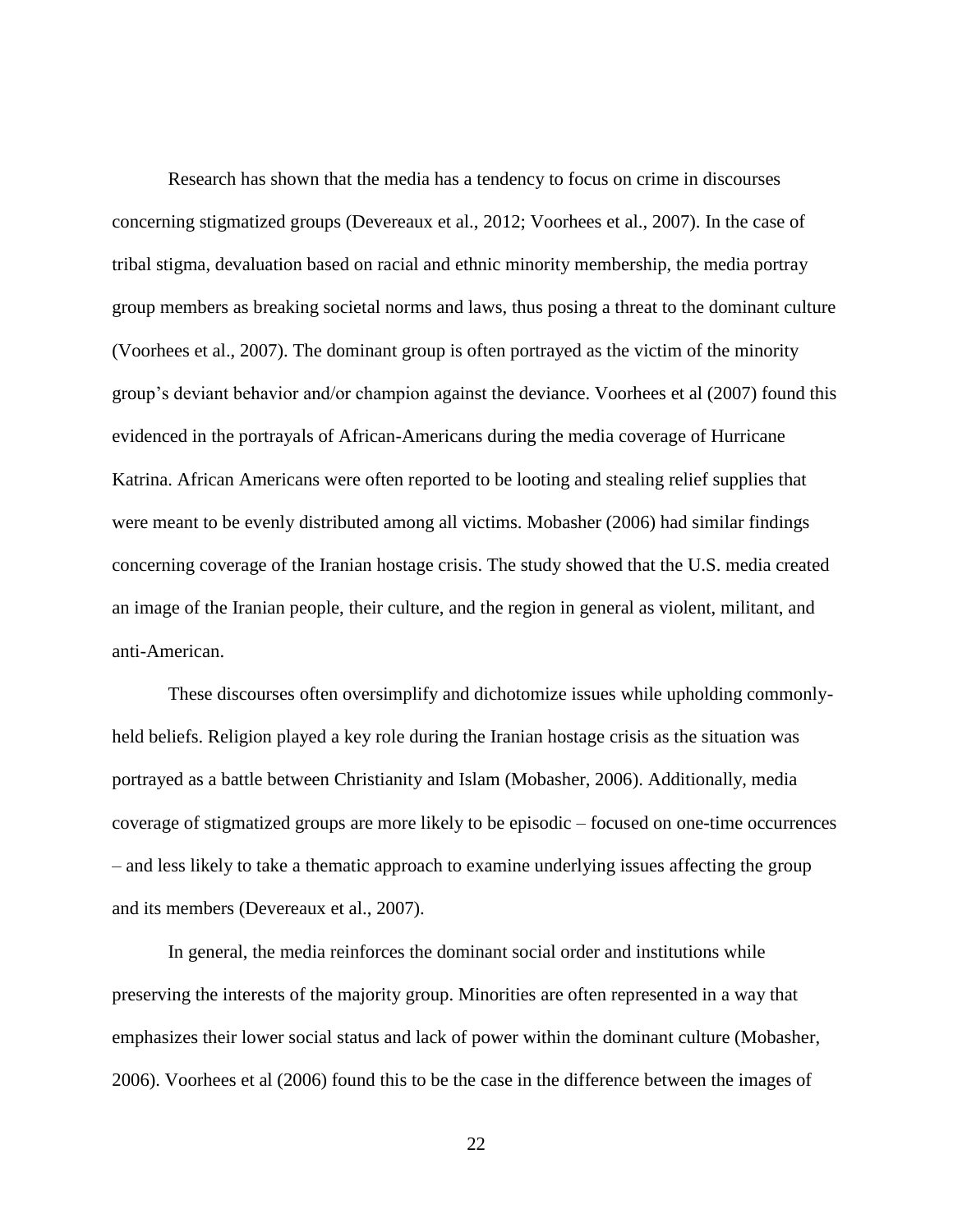Research has shown that the media has a tendency to focus on crime in discourses concerning stigmatized groups (Devereaux et al., 2012; Voorhees et al., 2007). In the case of tribal stigma, devaluation based on racial and ethnic minority membership, the media portray group members as breaking societal norms and laws, thus posing a threat to the dominant culture (Voorhees et al., 2007). The dominant group is often portrayed as the victim of the minority group's deviant behavior and/or champion against the deviance. Voorhees et al (2007) found this evidenced in the portrayals of African-Americans during the media coverage of Hurricane Katrina. African Americans were often reported to be looting and stealing relief supplies that were meant to be evenly distributed among all victims. Mobasher (2006) had similar findings concerning coverage of the Iranian hostage crisis. The study showed that the U.S. media created an image of the Iranian people, their culture, and the region in general as violent, militant, and anti-American.

These discourses often oversimplify and dichotomize issues while upholding commonlyheld beliefs. Religion played a key role during the Iranian hostage crisis as the situation was portrayed as a battle between Christianity and Islam (Mobasher, 2006). Additionally, media coverage of stigmatized groups are more likely to be episodic – focused on one-time occurrences – and less likely to take a thematic approach to examine underlying issues affecting the group and its members (Devereaux et al., 2007).

In general, the media reinforces the dominant social order and institutions while preserving the interests of the majority group. Minorities are often represented in a way that emphasizes their lower social status and lack of power within the dominant culture (Mobasher, 2006). Voorhees et al (2006) found this to be the case in the difference between the images of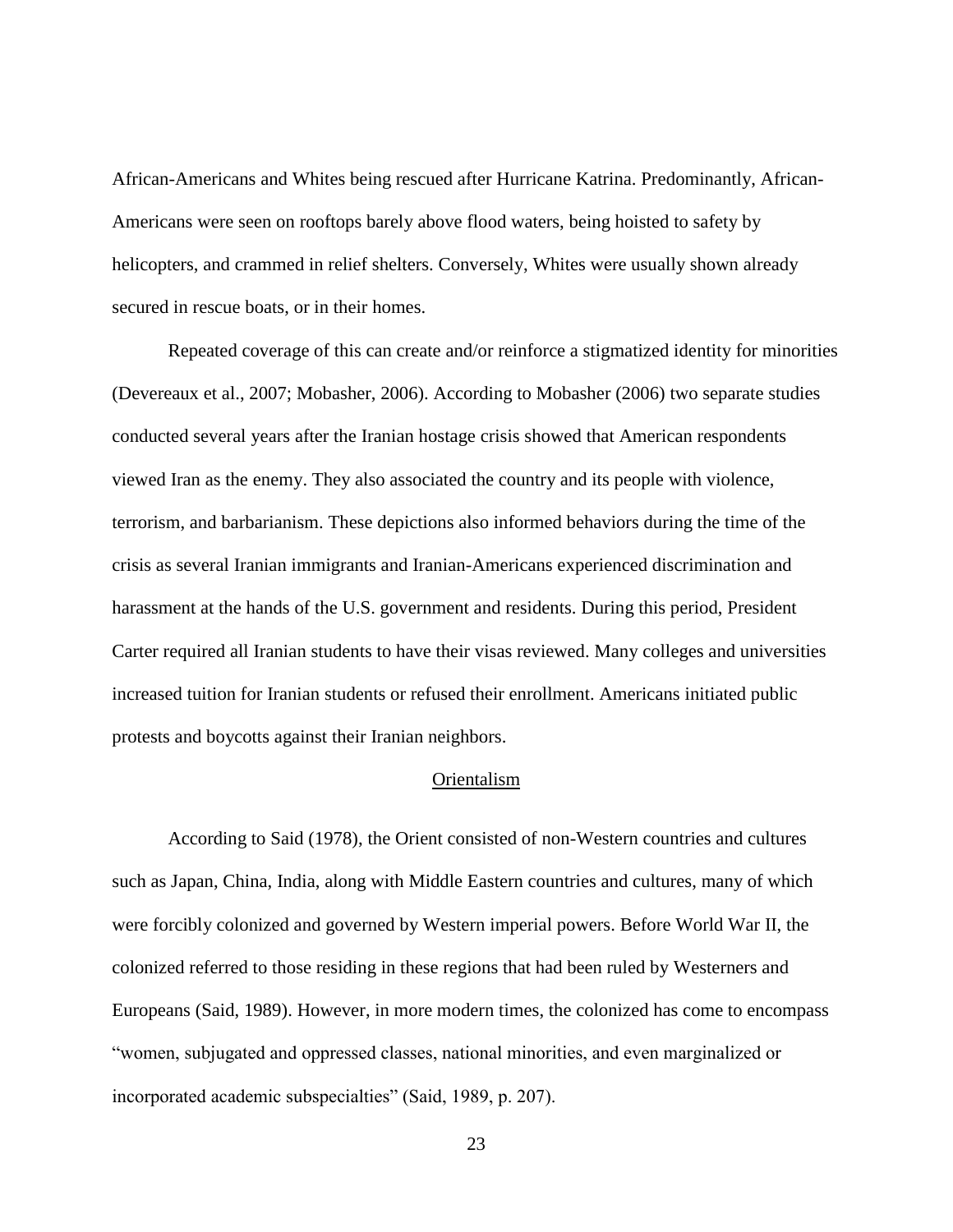African-Americans and Whites being rescued after Hurricane Katrina. Predominantly, African-Americans were seen on rooftops barely above flood waters, being hoisted to safety by helicopters, and crammed in relief shelters. Conversely, Whites were usually shown already secured in rescue boats, or in their homes.

Repeated coverage of this can create and/or reinforce a stigmatized identity for minorities (Devereaux et al., 2007; Mobasher, 2006). According to Mobasher (2006) two separate studies conducted several years after the Iranian hostage crisis showed that American respondents viewed Iran as the enemy. They also associated the country and its people with violence, terrorism, and barbarianism. These depictions also informed behaviors during the time of the crisis as several Iranian immigrants and Iranian-Americans experienced discrimination and harassment at the hands of the U.S. government and residents. During this period, President Carter required all Iranian students to have their visas reviewed. Many colleges and universities increased tuition for Iranian students or refused their enrollment. Americans initiated public protests and boycotts against their Iranian neighbors.

#### Orientalism

<span id="page-30-0"></span>According to Said (1978), the Orient consisted of non-Western countries and cultures such as Japan, China, India, along with Middle Eastern countries and cultures, many of which were forcibly colonized and governed by Western imperial powers. Before World War II, the colonized referred to those residing in these regions that had been ruled by Westerners and Europeans (Said, 1989). However, in more modern times, the colonized has come to encompass ―women, subjugated and oppressed classes, national minorities, and even marginalized or incorporated academic subspecialties" (Said, 1989, p. 207).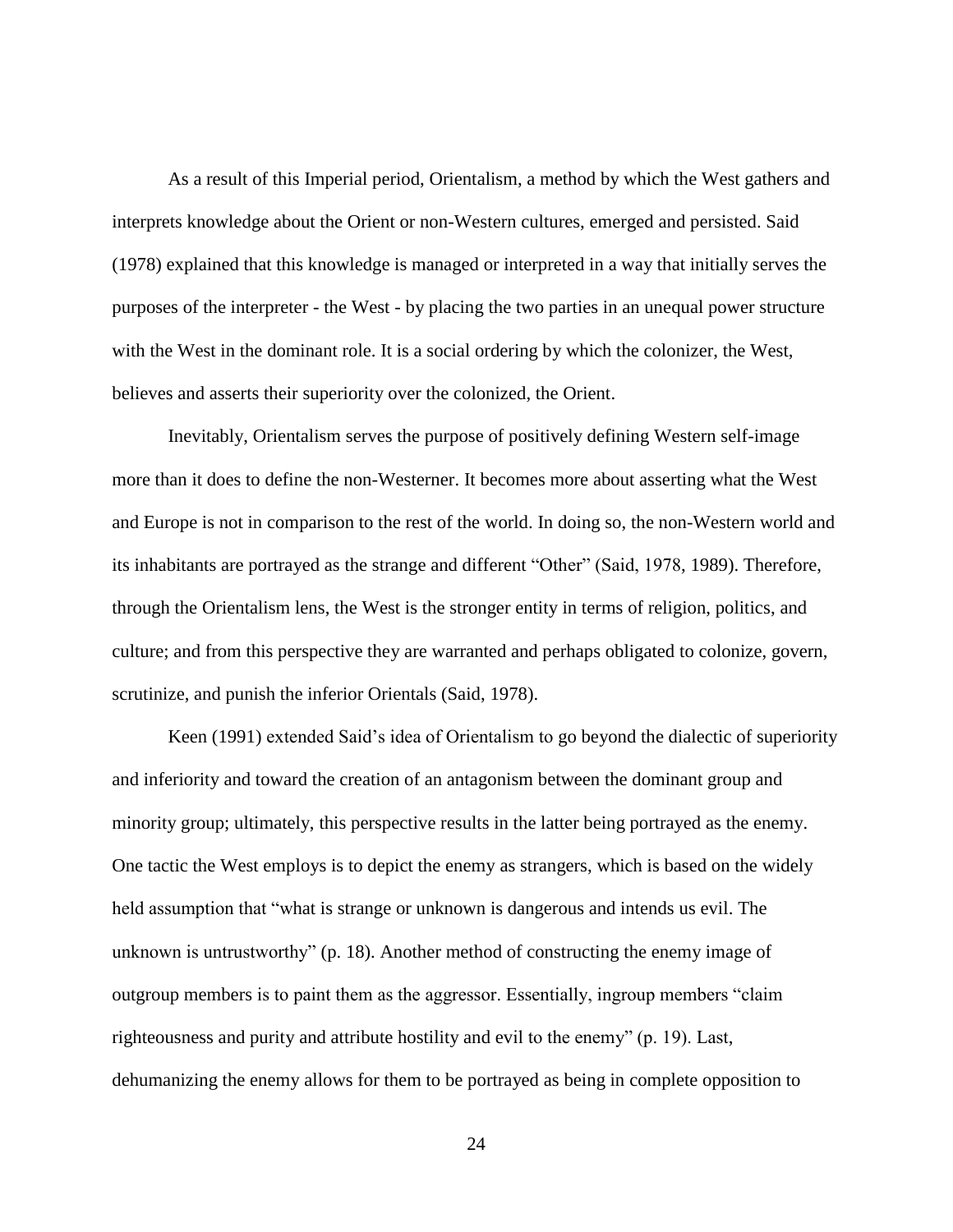As a result of this Imperial period, Orientalism, a method by which the West gathers and interprets knowledge about the Orient or non-Western cultures, emerged and persisted. Said (1978) explained that this knowledge is managed or interpreted in a way that initially serves the purposes of the interpreter - the West - by placing the two parties in an unequal power structure with the West in the dominant role. It is a social ordering by which the colonizer, the West, believes and asserts their superiority over the colonized, the Orient.

Inevitably, Orientalism serves the purpose of positively defining Western self-image more than it does to define the non-Westerner. It becomes more about asserting what the West and Europe is not in comparison to the rest of the world. In doing so, the non-Western world and its inhabitants are portrayed as the strange and different "Other" (Said, 1978, 1989). Therefore, through the Orientalism lens, the West is the stronger entity in terms of religion, politics, and culture; and from this perspective they are warranted and perhaps obligated to colonize, govern, scrutinize, and punish the inferior Orientals (Said, 1978).

Keen (1991) extended Said's idea of Orientalism to go beyond the dialectic of superiority and inferiority and toward the creation of an antagonism between the dominant group and minority group; ultimately, this perspective results in the latter being portrayed as the enemy. One tactic the West employs is to depict the enemy as strangers, which is based on the widely held assumption that "what is strange or unknown is dangerous and intends us evil. The unknown is untrustworthy"  $(p. 18)$ . Another method of constructing the enemy image of outgroup members is to paint them as the aggressor. Essentially, ingroup members "claim" righteousness and purity and attribute hostility and evil to the enemy"  $(p. 19)$ . Last, dehumanizing the enemy allows for them to be portrayed as being in complete opposition to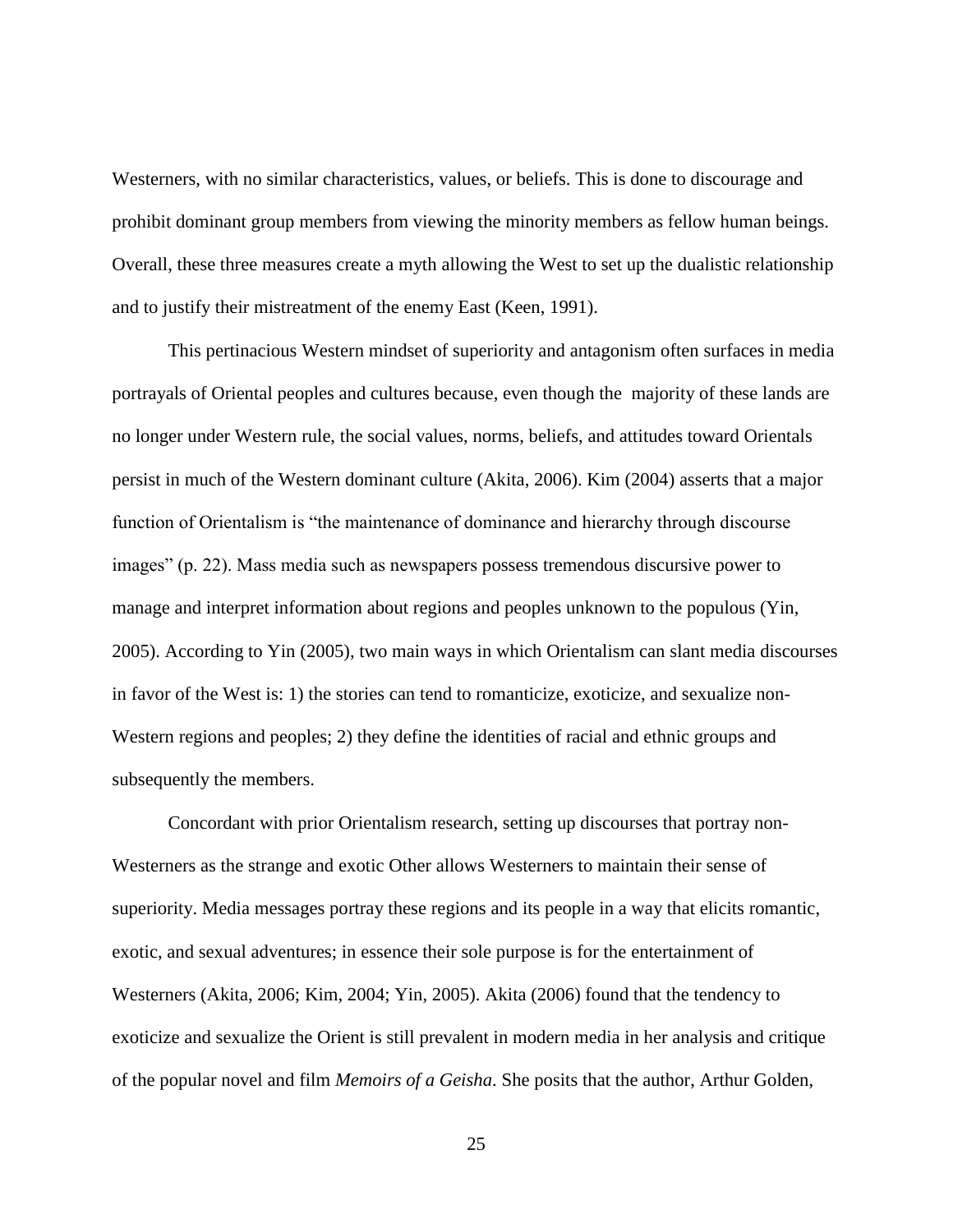Westerners, with no similar characteristics, values, or beliefs. This is done to discourage and prohibit dominant group members from viewing the minority members as fellow human beings. Overall, these three measures create a myth allowing the West to set up the dualistic relationship and to justify their mistreatment of the enemy East (Keen, 1991).

This pertinacious Western mindset of superiority and antagonism often surfaces in media portrayals of Oriental peoples and cultures because, even though the majority of these lands are no longer under Western rule, the social values, norms, beliefs, and attitudes toward Orientals persist in much of the Western dominant culture (Akita, 2006). Kim (2004) asserts that a major function of Orientalism is "the maintenance of dominance and hierarchy through discourse images" (p. 22). Mass media such as newspapers possess tremendous discursive power to manage and interpret information about regions and peoples unknown to the populous (Yin, 2005). According to Yin (2005), two main ways in which Orientalism can slant media discourses in favor of the West is: 1) the stories can tend to romanticize, exoticize, and sexualize non-Western regions and peoples; 2) they define the identities of racial and ethnic groups and subsequently the members.

Concordant with prior Orientalism research, setting up discourses that portray non-Westerners as the strange and exotic Other allows Westerners to maintain their sense of superiority. Media messages portray these regions and its people in a way that elicits romantic, exotic, and sexual adventures; in essence their sole purpose is for the entertainment of Westerners (Akita, 2006; Kim, 2004; Yin, 2005). Akita (2006) found that the tendency to exoticize and sexualize the Orient is still prevalent in modern media in her analysis and critique of the popular novel and film *Memoirs of a Geisha*. She posits that the author, Arthur Golden,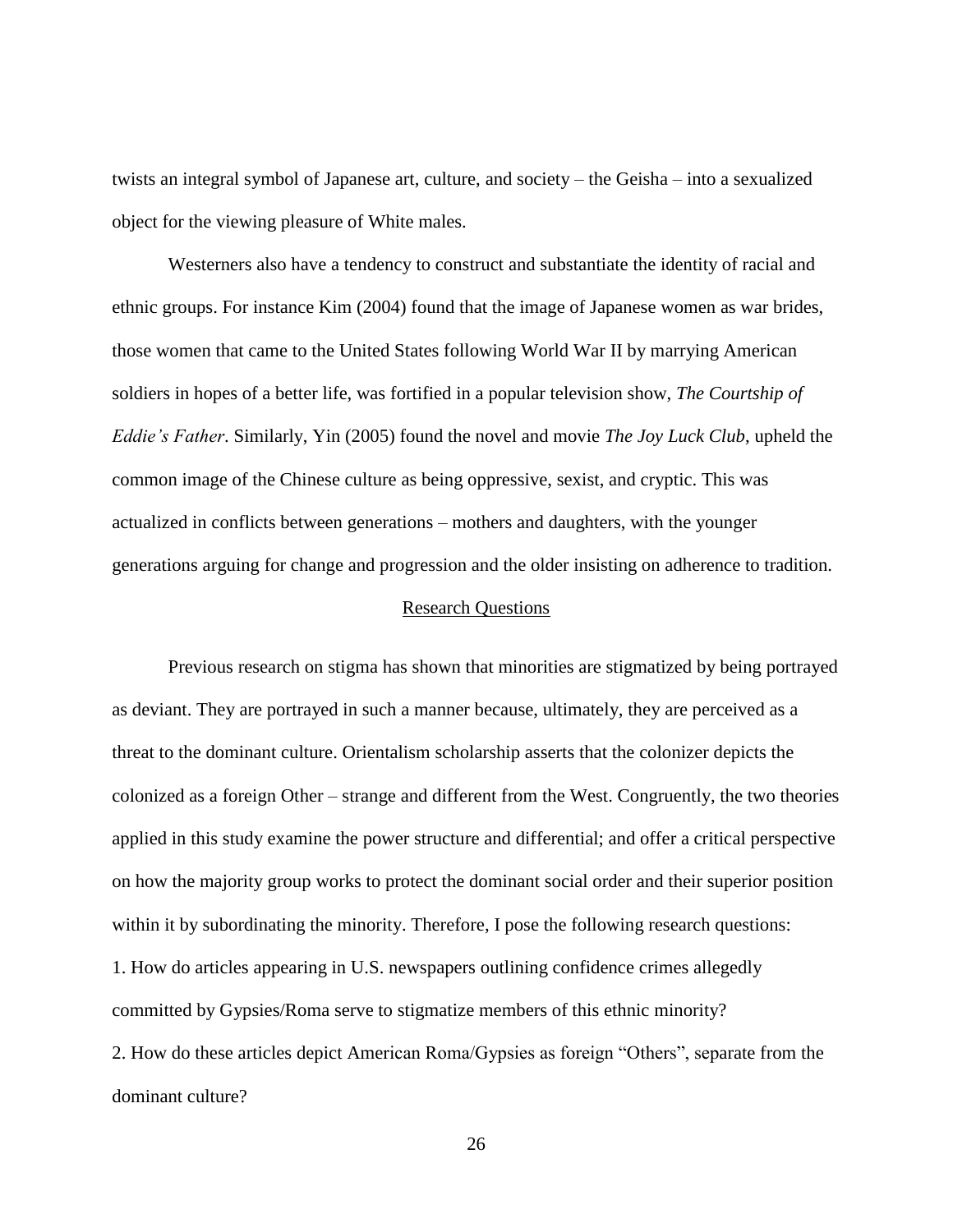twists an integral symbol of Japanese art, culture, and society – the Geisha – into a sexualized object for the viewing pleasure of White males.

Westerners also have a tendency to construct and substantiate the identity of racial and ethnic groups. For instance Kim (2004) found that the image of Japanese women as war brides, those women that came to the United States following World War II by marrying American soldiers in hopes of a better life, was fortified in a popular television show, *The Courtship of Eddie's Father*. Similarly, Yin (2005) found the novel and movie *The Joy Luck Club*, upheld the common image of the Chinese culture as being oppressive, sexist, and cryptic. This was actualized in conflicts between generations – mothers and daughters, with the younger generations arguing for change and progression and the older insisting on adherence to tradition.

#### Research Questions

<span id="page-33-0"></span>Previous research on stigma has shown that minorities are stigmatized by being portrayed as deviant. They are portrayed in such a manner because, ultimately, they are perceived as a threat to the dominant culture. Orientalism scholarship asserts that the colonizer depicts the colonized as a foreign Other – strange and different from the West. Congruently, the two theories applied in this study examine the power structure and differential; and offer a critical perspective on how the majority group works to protect the dominant social order and their superior position within it by subordinating the minority. Therefore, I pose the following research questions: 1. How do articles appearing in U.S. newspapers outlining confidence crimes allegedly committed by Gypsies/Roma serve to stigmatize members of this ethnic minority? 2. How do these articles depict American Roma/Gypsies as foreign "Others", separate from the dominant culture?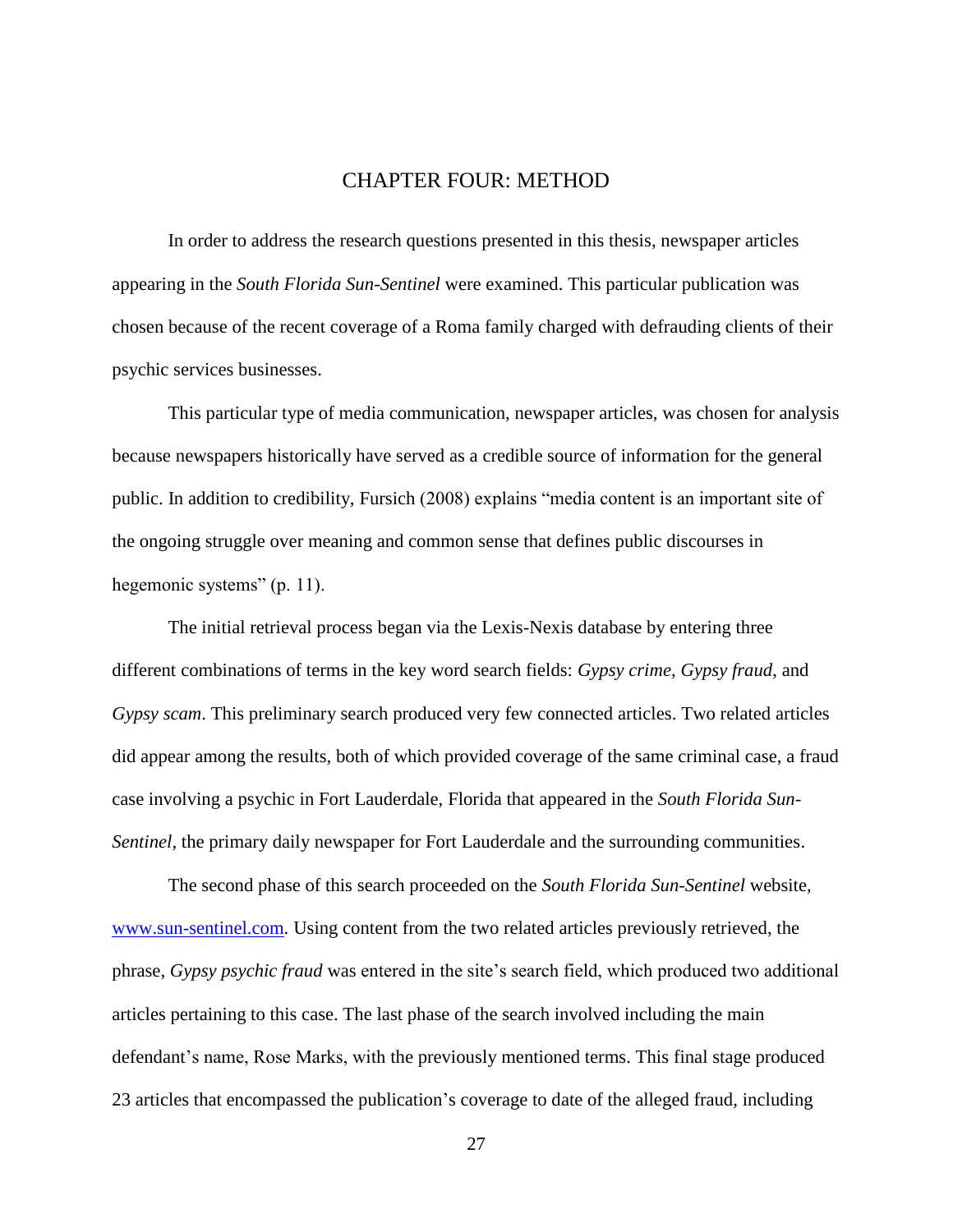### CHAPTER FOUR: METHOD

<span id="page-34-0"></span>In order to address the research questions presented in this thesis, newspaper articles appearing in the *South Florida Sun-Sentinel* were examined. This particular publication was chosen because of the recent coverage of a Roma family charged with defrauding clients of their psychic services businesses.

This particular type of media communication, newspaper articles, was chosen for analysis because newspapers historically have served as a credible source of information for the general public. In addition to credibility, Fursich (2008) explains "media content is an important site of the ongoing struggle over meaning and common sense that defines public discourses in hegemonic systems"  $(p. 11)$ .

The initial retrieval process began via the Lexis-Nexis database by entering three different combinations of terms in the key word search fields: *Gypsy crime, Gypsy fraud*, and *Gypsy scam*. This preliminary search produced very few connected articles. Two related articles did appear among the results, both of which provided coverage of the same criminal case, a fraud case involving a psychic in Fort Lauderdale, Florida that appeared in the *South Florida Sun-Sentinel,* the primary daily newspaper for Fort Lauderdale and the surrounding communities.

The second phase of this search proceeded on the *South Florida Sun-Sentinel* website, [www.sun-sentinel.com.](http://www.sun-sentinel.com/) Using content from the two related articles previously retrieved, the phrase, *Gypsy psychic fraud* was entered in the site's search field, which produced two additional articles pertaining to this case. The last phase of the search involved including the main defendant's name, Rose Marks, with the previously mentioned terms. This final stage produced 23 articles that encompassed the publication's coverage to date of the alleged fraud, including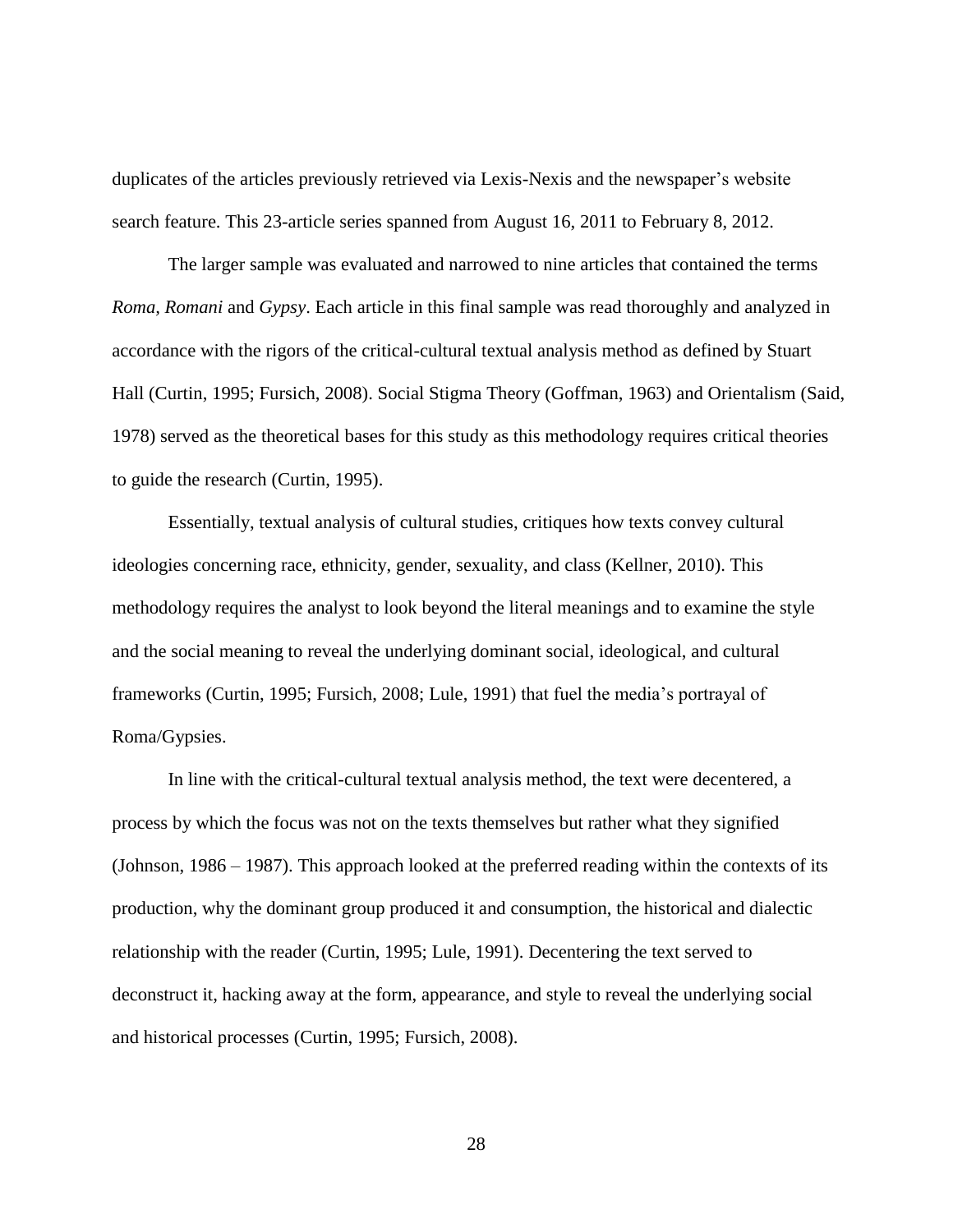duplicates of the articles previously retrieved via Lexis-Nexis and the newspaper's website search feature. This 23-article series spanned from August 16, 2011 to February 8, 2012.

The larger sample was evaluated and narrowed to nine articles that contained the terms *Roma, Romani* and *Gypsy*. Each article in this final sample was read thoroughly and analyzed in accordance with the rigors of the critical-cultural textual analysis method as defined by Stuart Hall (Curtin, 1995; Fursich, 2008). Social Stigma Theory (Goffman, 1963) and Orientalism (Said, 1978) served as the theoretical bases for this study as this methodology requires critical theories to guide the research (Curtin, 1995).

Essentially, textual analysis of cultural studies, critiques how texts convey cultural ideologies concerning race, ethnicity, gender, sexuality, and class (Kellner, 2010). This methodology requires the analyst to look beyond the literal meanings and to examine the style and the social meaning to reveal the underlying dominant social, ideological, and cultural frameworks (Curtin, 1995; Fursich, 2008; Lule, 1991) that fuel the media's portrayal of Roma/Gypsies.

In line with the critical-cultural textual analysis method, the text were decentered, a process by which the focus was not on the texts themselves but rather what they signified (Johnson, 1986 – 1987). This approach looked at the preferred reading within the contexts of its production, why the dominant group produced it and consumption, the historical and dialectic relationship with the reader (Curtin, 1995; Lule, 1991). Decentering the text served to deconstruct it, hacking away at the form, appearance, and style to reveal the underlying social and historical processes (Curtin, 1995; Fursich, 2008).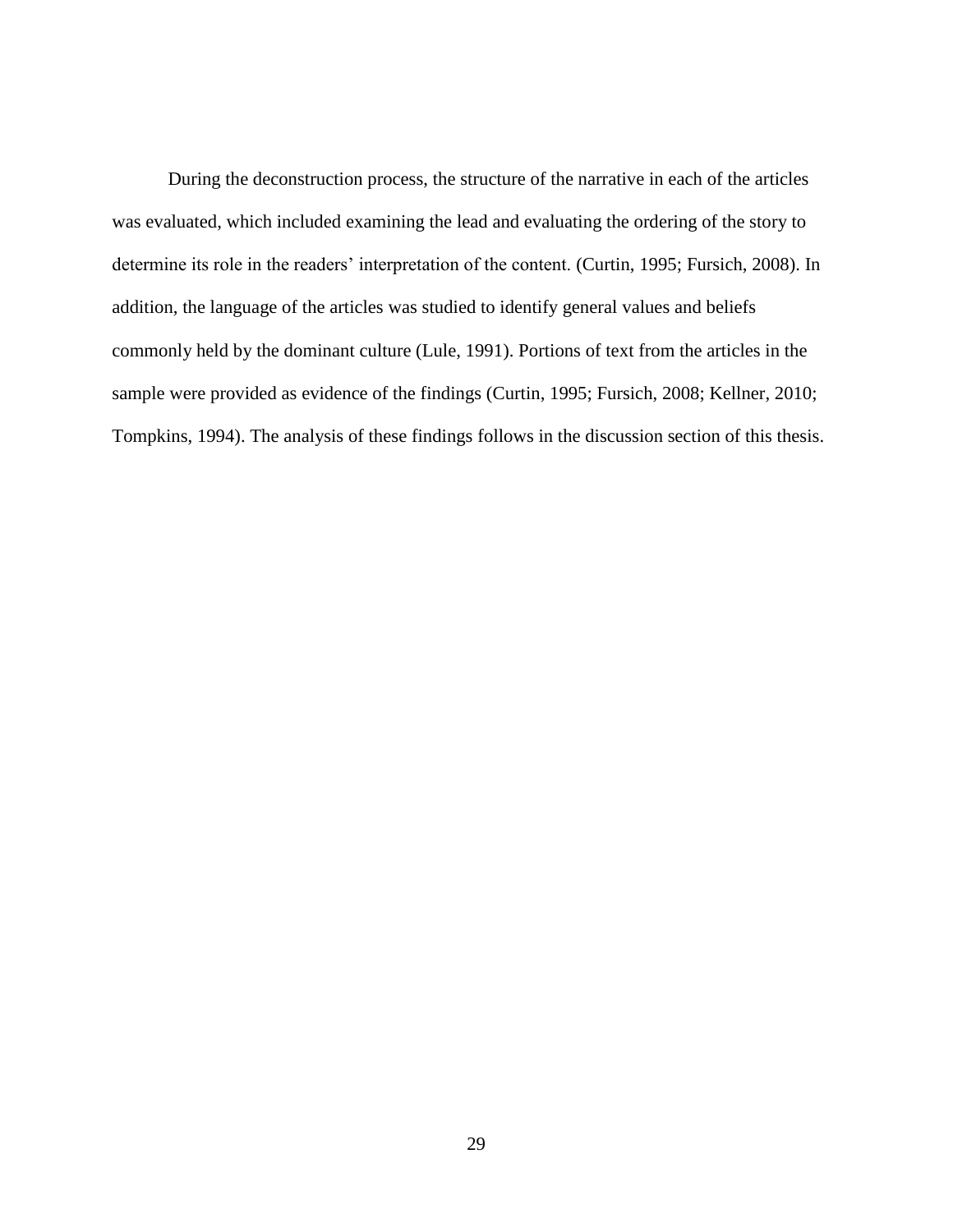During the deconstruction process, the structure of the narrative in each of the articles was evaluated, which included examining the lead and evaluating the ordering of the story to determine its role in the readers' interpretation of the content. (Curtin, 1995; Fursich, 2008). In addition, the language of the articles was studied to identify general values and beliefs commonly held by the dominant culture (Lule, 1991). Portions of text from the articles in the sample were provided as evidence of the findings (Curtin, 1995; Fursich, 2008; Kellner, 2010; Tompkins, 1994). The analysis of these findings follows in the discussion section of this thesis.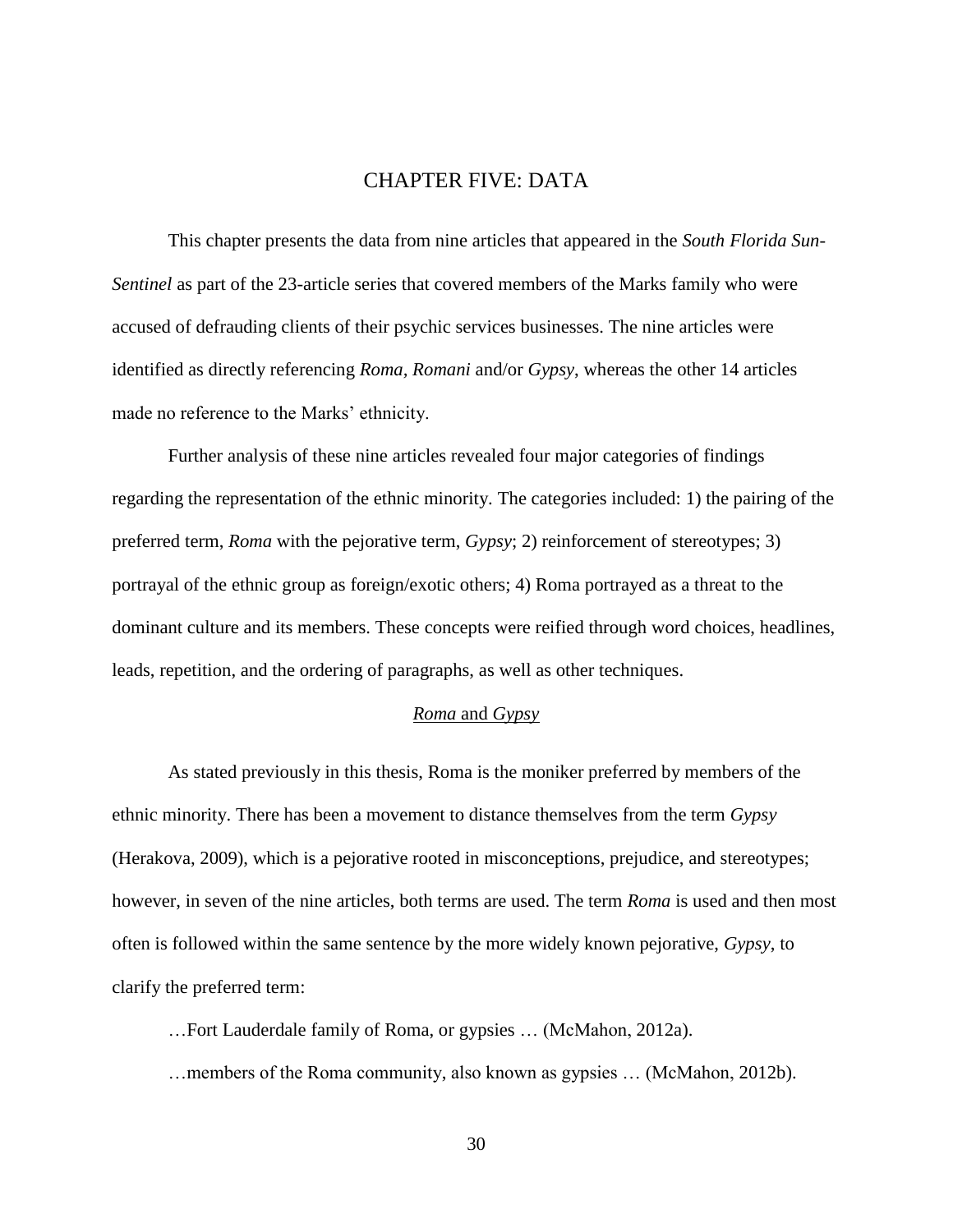## CHAPTER FIVE: DATA

<span id="page-37-0"></span>This chapter presents the data from nine articles that appeared in the *South Florida Sun-Sentinel* as part of the 23-article series that covered members of the Marks family who were accused of defrauding clients of their psychic services businesses. The nine articles were identified as directly referencing *Roma, Romani* and/or *Gypsy*, whereas the other 14 articles made no reference to the Marks' ethnicity.

Further analysis of these nine articles revealed four major categories of findings regarding the representation of the ethnic minority. The categories included: 1) the pairing of the preferred term, *Roma* with the pejorative term, *Gypsy*; 2) reinforcement of stereotypes; 3) portrayal of the ethnic group as foreign/exotic others; 4) Roma portrayed as a threat to the dominant culture and its members. These concepts were reified through word choices, headlines, leads, repetition, and the ordering of paragraphs, as well as other techniques.

#### *Roma* and *Gypsy*

<span id="page-37-1"></span>As stated previously in this thesis, Roma is the moniker preferred by members of the ethnic minority. There has been a movement to distance themselves from the term *Gypsy* (Herakova, 2009), which is a pejorative rooted in misconceptions, prejudice, and stereotypes; however, in seven of the nine articles, both terms are used. The term *Roma* is used and then most often is followed within the same sentence by the more widely known pejorative, *Gypsy*, to clarify the preferred term:

…Fort Lauderdale family of Roma, or gypsies … (McMahon, 2012a).

…members of the Roma community, also known as gypsies … (McMahon, 2012b).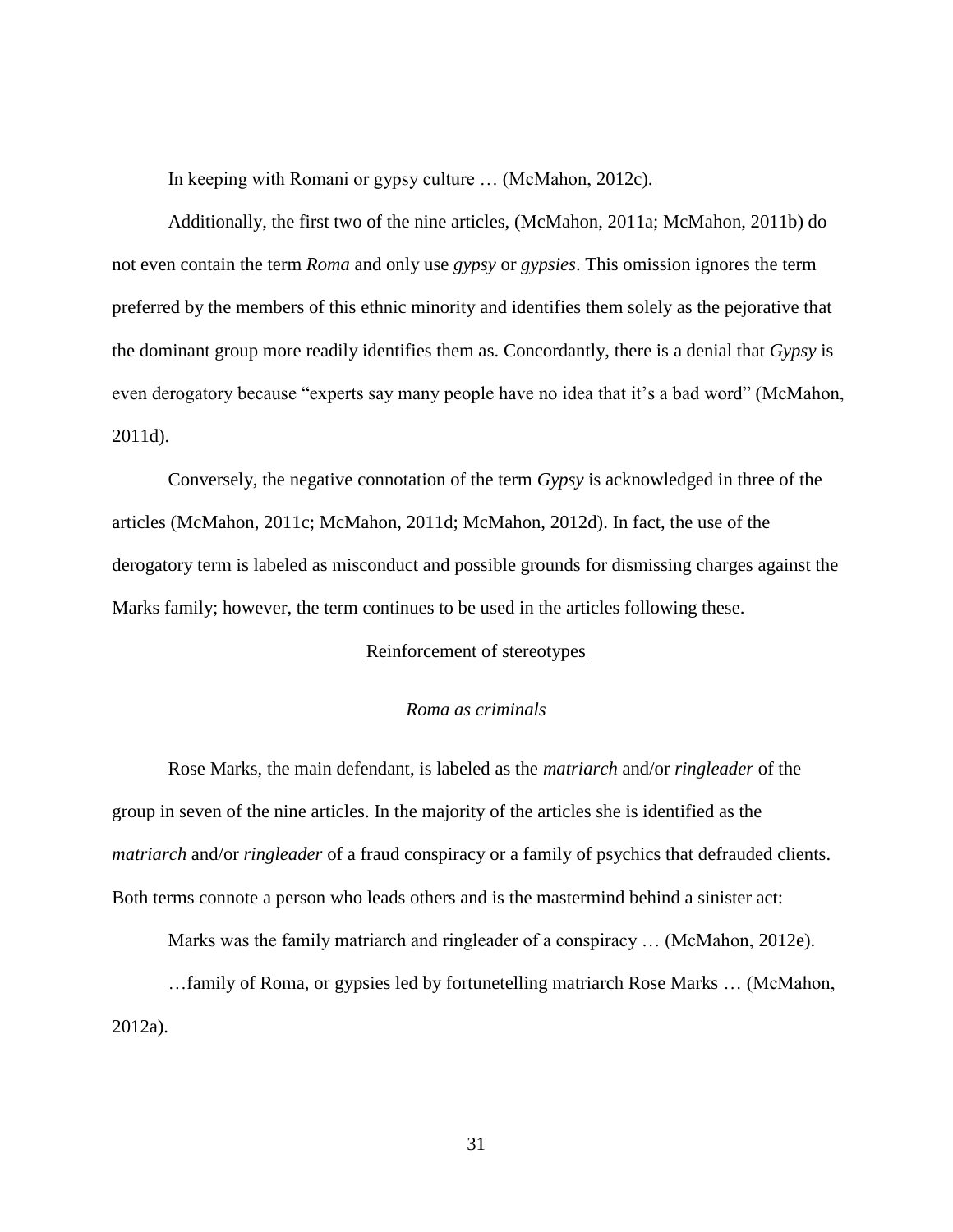In keeping with Romani or gypsy culture … (McMahon, 2012c).

Additionally, the first two of the nine articles, (McMahon, 2011a; McMahon, 2011b) do not even contain the term *Roma* and only use *gypsy* or *gypsies*. This omission ignores the term preferred by the members of this ethnic minority and identifies them solely as the pejorative that the dominant group more readily identifies them as. Concordantly, there is a denial that *Gypsy* is even derogatory because "experts say many people have no idea that it's a bad word" (McMahon, 2011d).

Conversely, the negative connotation of the term *Gypsy* is acknowledged in three of the articles (McMahon, 2011c; McMahon, 2011d; McMahon, 2012d). In fact, the use of the derogatory term is labeled as misconduct and possible grounds for dismissing charges against the Marks family; however, the term continues to be used in the articles following these.

#### Reinforcement of stereotypes

#### *Roma as criminals*

<span id="page-38-1"></span><span id="page-38-0"></span>Rose Marks, the main defendant, is labeled as the *matriarch* and/or *ringleader* of the group in seven of the nine articles. In the majority of the articles she is identified as the *matriarch* and/or *ringleader* of a fraud conspiracy or a family of psychics that defrauded clients. Both terms connote a person who leads others and is the mastermind behind a sinister act:

Marks was the family matriarch and ringleader of a conspiracy … (McMahon, 2012e).

…family of Roma, or gypsies led by fortunetelling matriarch Rose Marks … (McMahon, 2012a).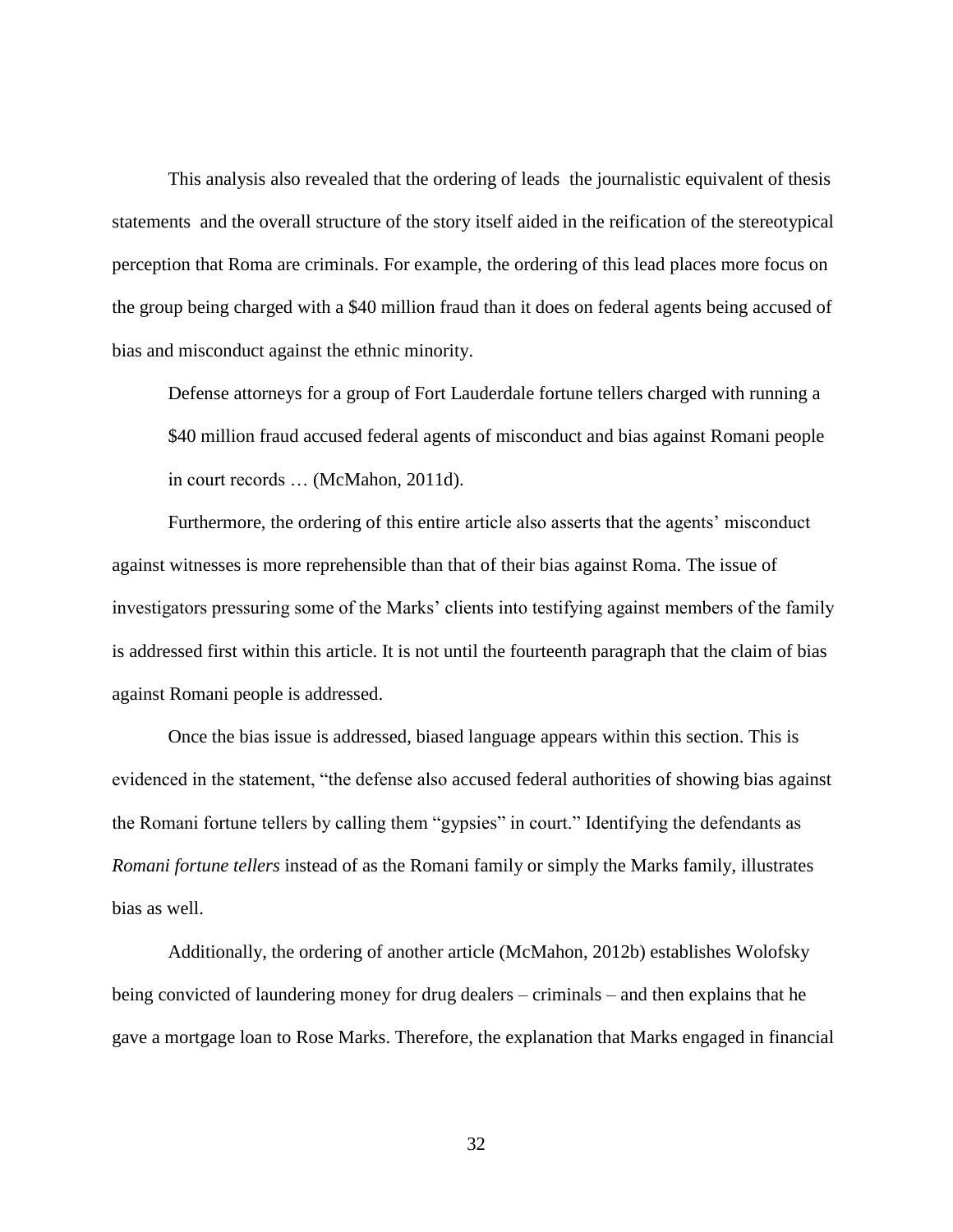This analysis also revealed that the ordering of leads the journalistic equivalent of thesis statements and the overall structure of the story itself aided in the reification of the stereotypical perception that Roma are criminals. For example, the ordering of this lead places more focus on the group being charged with a \$40 million fraud than it does on federal agents being accused of bias and misconduct against the ethnic minority.

Defense attorneys for a group of Fort Lauderdale fortune tellers charged with running a \$40 million fraud accused federal agents of misconduct and bias against Romani people in court records … (McMahon, 2011d).

Furthermore, the ordering of this entire article also asserts that the agents' misconduct against witnesses is more reprehensible than that of their bias against Roma. The issue of investigators pressuring some of the Marks' clients into testifying against members of the family is addressed first within this article. It is not until the fourteenth paragraph that the claim of bias against Romani people is addressed.

Once the bias issue is addressed, biased language appears within this section. This is evidenced in the statement, "the defense also accused federal authorities of showing bias against the Romani fortune tellers by calling them "gypsies" in court." Identifying the defendants as *Romani fortune tellers* instead of as the Romani family or simply the Marks family, illustrates bias as well.

Additionally, the ordering of another article (McMahon, 2012b) establishes Wolofsky being convicted of laundering money for drug dealers – criminals – and then explains that he gave a mortgage loan to Rose Marks. Therefore, the explanation that Marks engaged in financial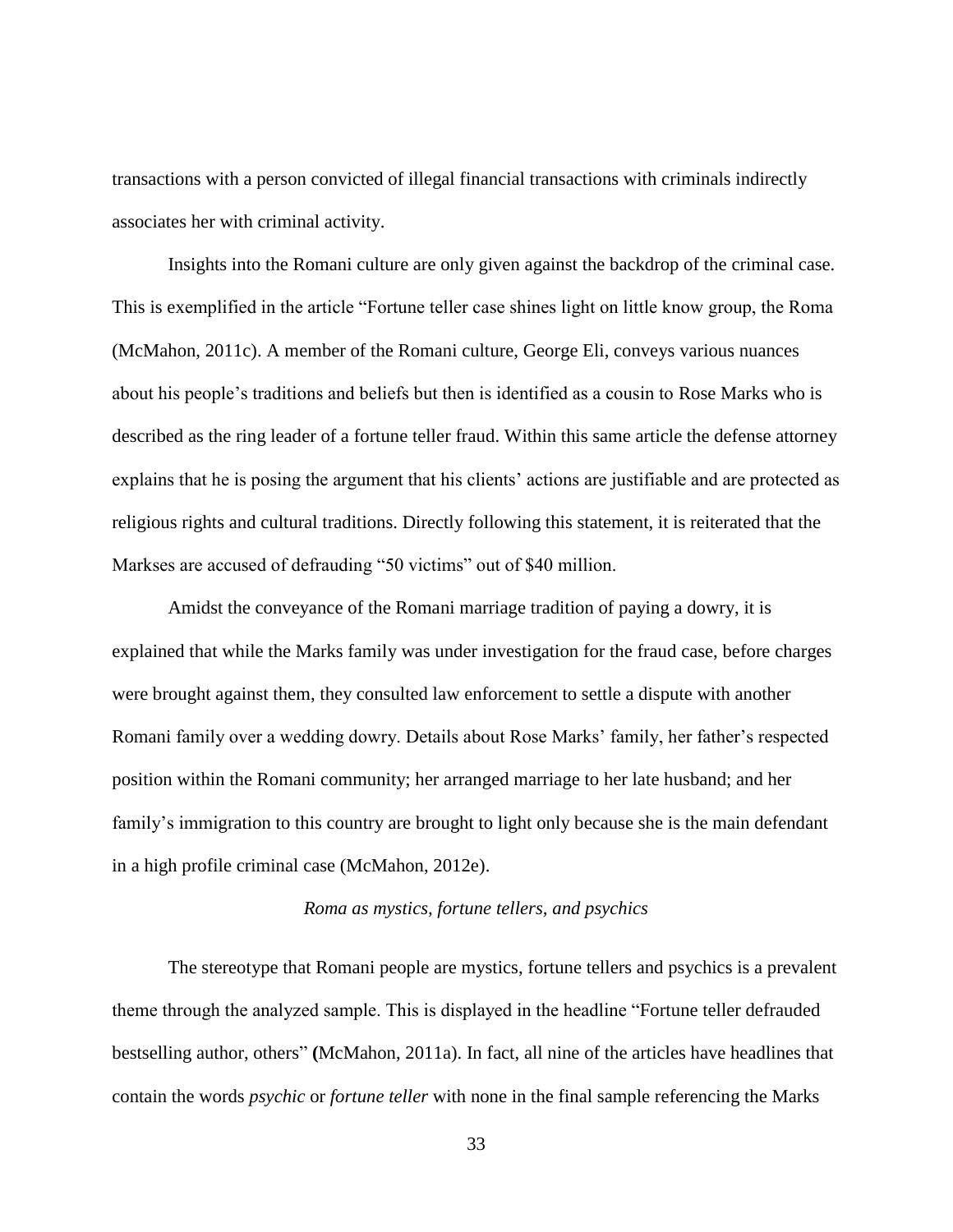transactions with a person convicted of illegal financial transactions with criminals indirectly associates her with criminal activity.

Insights into the Romani culture are only given against the backdrop of the criminal case. This is exemplified in the article "Fortune teller case shines light on little know group, the Roma (McMahon, 2011c). A member of the Romani culture, George Eli, conveys various nuances about his people's traditions and beliefs but then is identified as a cousin to Rose Marks who is described as the ring leader of a fortune teller fraud. Within this same article the defense attorney explains that he is posing the argument that his clients' actions are justifiable and are protected as religious rights and cultural traditions. Directly following this statement, it is reiterated that the Markses are accused of defrauding "50 victims" out of \$40 million.

Amidst the conveyance of the Romani marriage tradition of paying a dowry, it is explained that while the Marks family was under investigation for the fraud case, before charges were brought against them, they consulted law enforcement to settle a dispute with another Romani family over a wedding dowry. Details about Rose Marks' family, her father's respected position within the Romani community; her arranged marriage to her late husband; and her family's immigration to this country are brought to light only because she is the main defendant in a high profile criminal case (McMahon, 2012e).

#### *Roma as mystics, fortune tellers, and psychics*

<span id="page-40-0"></span>The stereotype that Romani people are mystics, fortune tellers and psychics is a prevalent theme through the analyzed sample. This is displayed in the headline "Fortune teller defrauded bestselling author, others<sup>"</sup> (McMahon, 2011a). In fact, all nine of the articles have headlines that contain the words *psychic* or *fortune teller* with none in the final sample referencing the Marks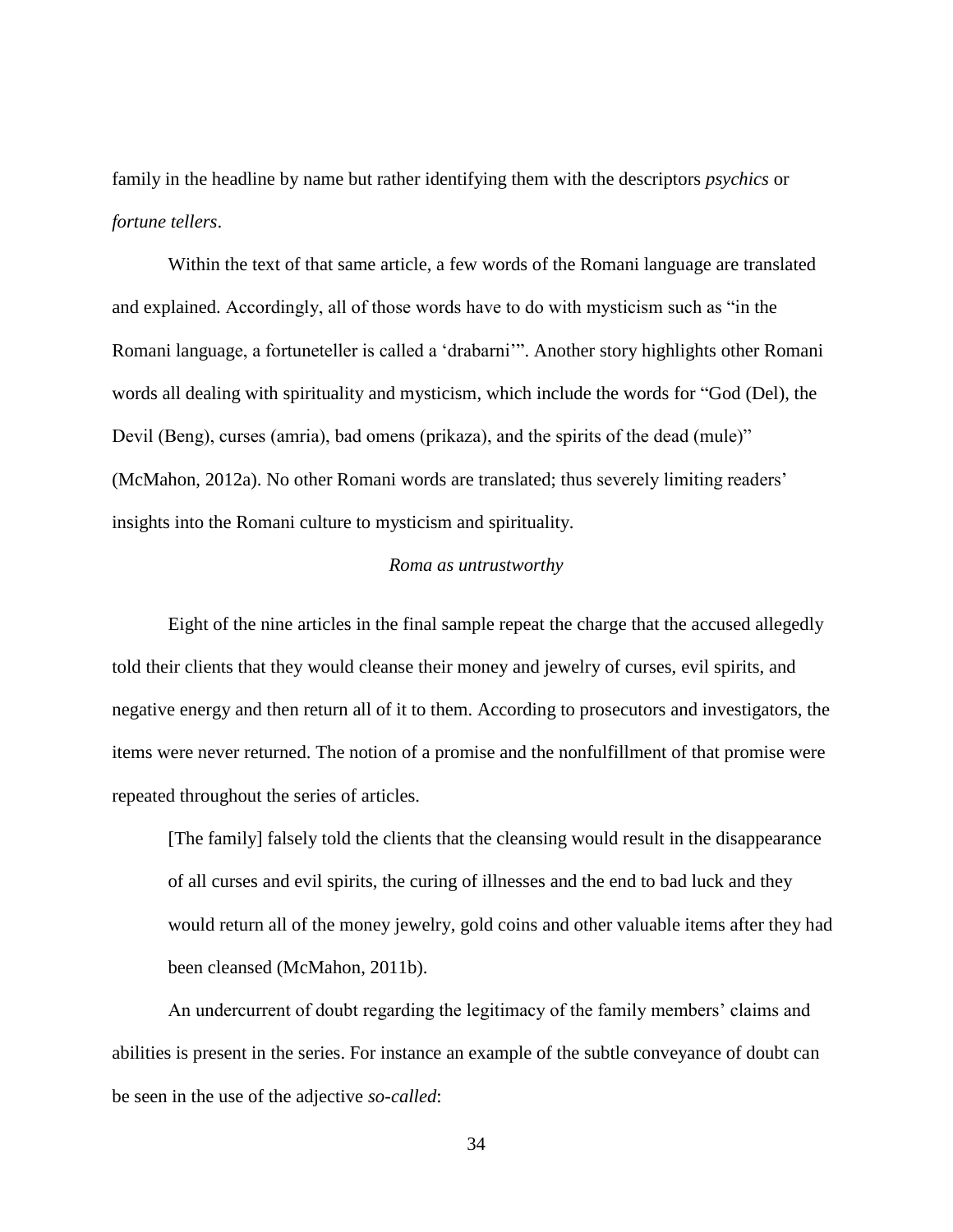family in the headline by name but rather identifying them with the descriptors *psychics* or *fortune tellers*.

Within the text of that same article, a few words of the Romani language are translated and explained. Accordingly, all of those words have to do with mysticism such as "in the Romani language, a fortuneteller is called a 'drabarni'". Another story highlights other Romani words all dealing with spirituality and mysticism, which include the words for "God (Del), the Devil (Beng), curses (amria), bad omens (prikaza), and the spirits of the dead (mule)" (McMahon, 2012a). No other Romani words are translated; thus severely limiting readers' insights into the Romani culture to mysticism and spirituality.

#### *Roma as untrustworthy*

<span id="page-41-0"></span>Eight of the nine articles in the final sample repeat the charge that the accused allegedly told their clients that they would cleanse their money and jewelry of curses, evil spirits, and negative energy and then return all of it to them. According to prosecutors and investigators, the items were never returned. The notion of a promise and the nonfulfillment of that promise were repeated throughout the series of articles.

[The family] falsely told the clients that the cleansing would result in the disappearance of all curses and evil spirits, the curing of illnesses and the end to bad luck and they would return all of the money jewelry, gold coins and other valuable items after they had been cleansed (McMahon, 2011b).

An undercurrent of doubt regarding the legitimacy of the family members' claims and abilities is present in the series. For instance an example of the subtle conveyance of doubt can be seen in the use of the adjective *so-called*: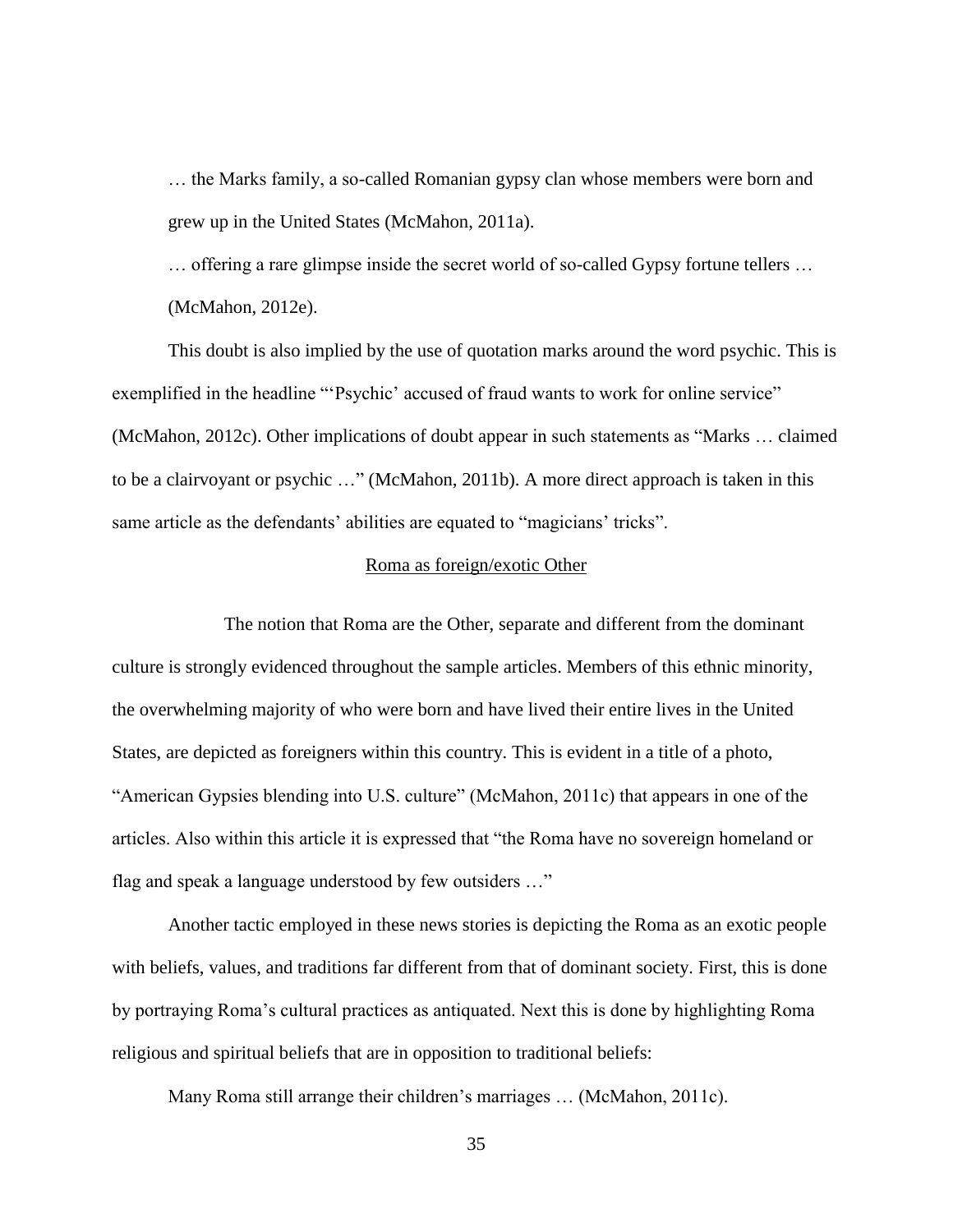… the Marks family, a so-called Romanian gypsy clan whose members were born and grew up in the United States (McMahon, 2011a).

… offering a rare glimpse inside the secret world of so-called Gypsy fortune tellers … (McMahon, 2012e).

This doubt is also implied by the use of quotation marks around the word psychic. This is exemplified in the headline "'Psychic' accused of fraud wants to work for online service" (McMahon, 2012c). Other implications of doubt appear in such statements as "Marks  $\dots$  claimed to be a clairvoyant or psychic ..." (McMahon, 2011b). A more direct approach is taken in this same article as the defendants' abilities are equated to "magicians' tricks".

#### Roma as foreign/exotic Other

<span id="page-42-0"></span>The notion that Roma are the Other, separate and different from the dominant culture is strongly evidenced throughout the sample articles. Members of this ethnic minority, the overwhelming majority of who were born and have lived their entire lives in the United States, are depicted as foreigners within this country. This is evident in a title of a photo, "American Gypsies blending into U.S. culture" (McMahon, 2011c) that appears in one of the articles. Also within this article it is expressed that "the Roma have no sovereign homeland or flag and speak a language understood by few outsiders ..."

Another tactic employed in these news stories is depicting the Roma as an exotic people with beliefs, values, and traditions far different from that of dominant society. First, this is done by portraying Roma's cultural practices as antiquated. Next this is done by highlighting Roma religious and spiritual beliefs that are in opposition to traditional beliefs:

Many Roma still arrange their children's marriages … (McMahon, 2011c).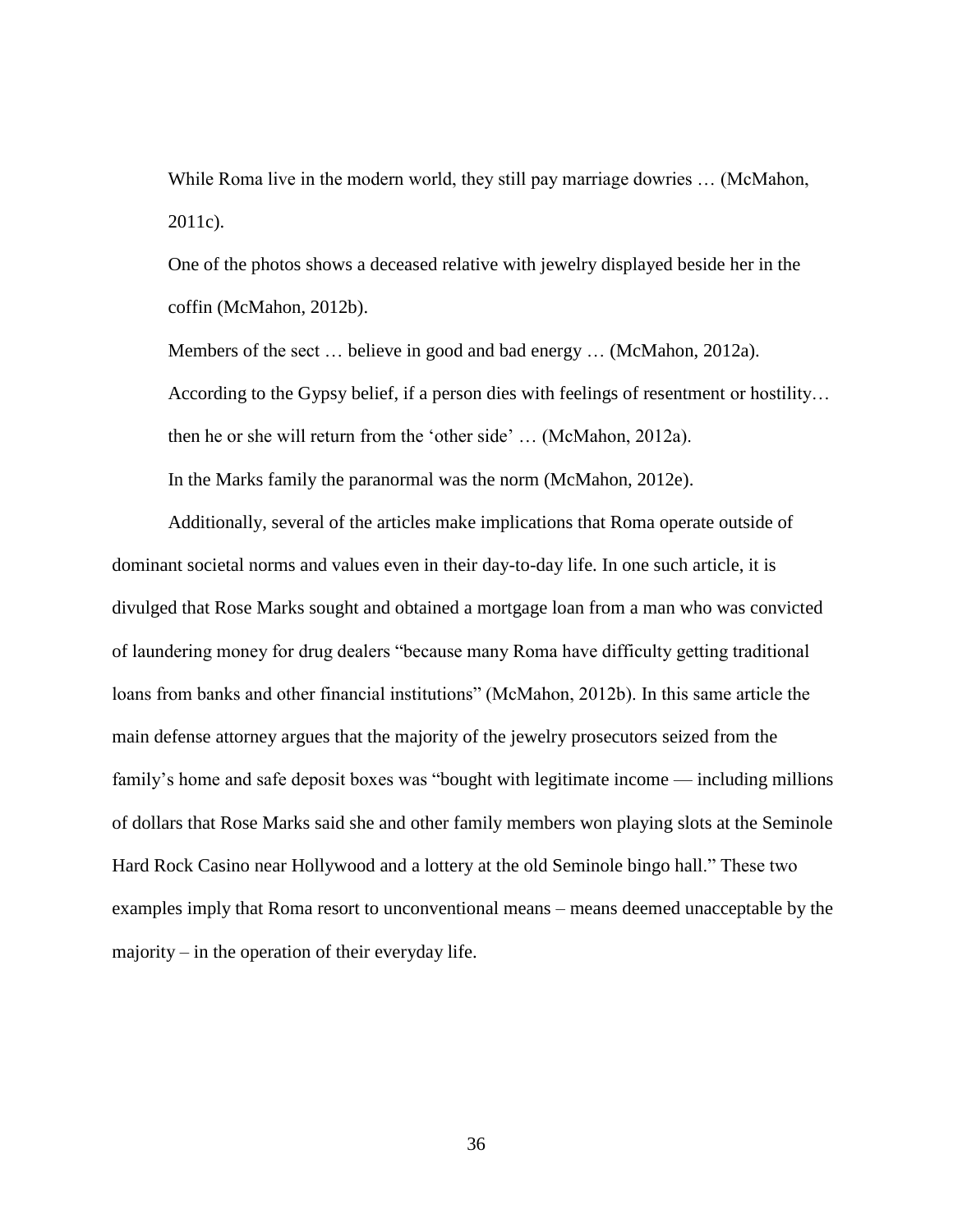While Roma live in the modern world, they still pay marriage dowries ... (McMahon, 2011c).

One of the photos shows a deceased relative with jewelry displayed beside her in the coffin (McMahon, 2012b).

Members of the sect … believe in good and bad energy … (McMahon, 2012a). According to the Gypsy belief, if a person dies with feelings of resentment or hostility… then he or she will return from the 'other side' ... (McMahon, 2012a). In the Marks family the paranormal was the norm (McMahon, 2012e).

Additionally, several of the articles make implications that Roma operate outside of dominant societal norms and values even in their day-to-day life. In one such article, it is divulged that Rose Marks sought and obtained a mortgage loan from a man who was convicted of laundering money for drug dealers "because many Roma have difficulty getting traditional loans from banks and other financial institutions" (McMahon, 2012b). In this same article the main defense attorney argues that the majority of the jewelry prosecutors seized from the family's home and safe deposit boxes was "bought with legitimate income — including millions of dollars that Rose Marks said she and other family members won playing slots at the Seminole Hard Rock Casino near Hollywood and a lottery at the old Seminole bingo hall." These two examples imply that Roma resort to unconventional means – means deemed unacceptable by the majority – in the operation of their everyday life.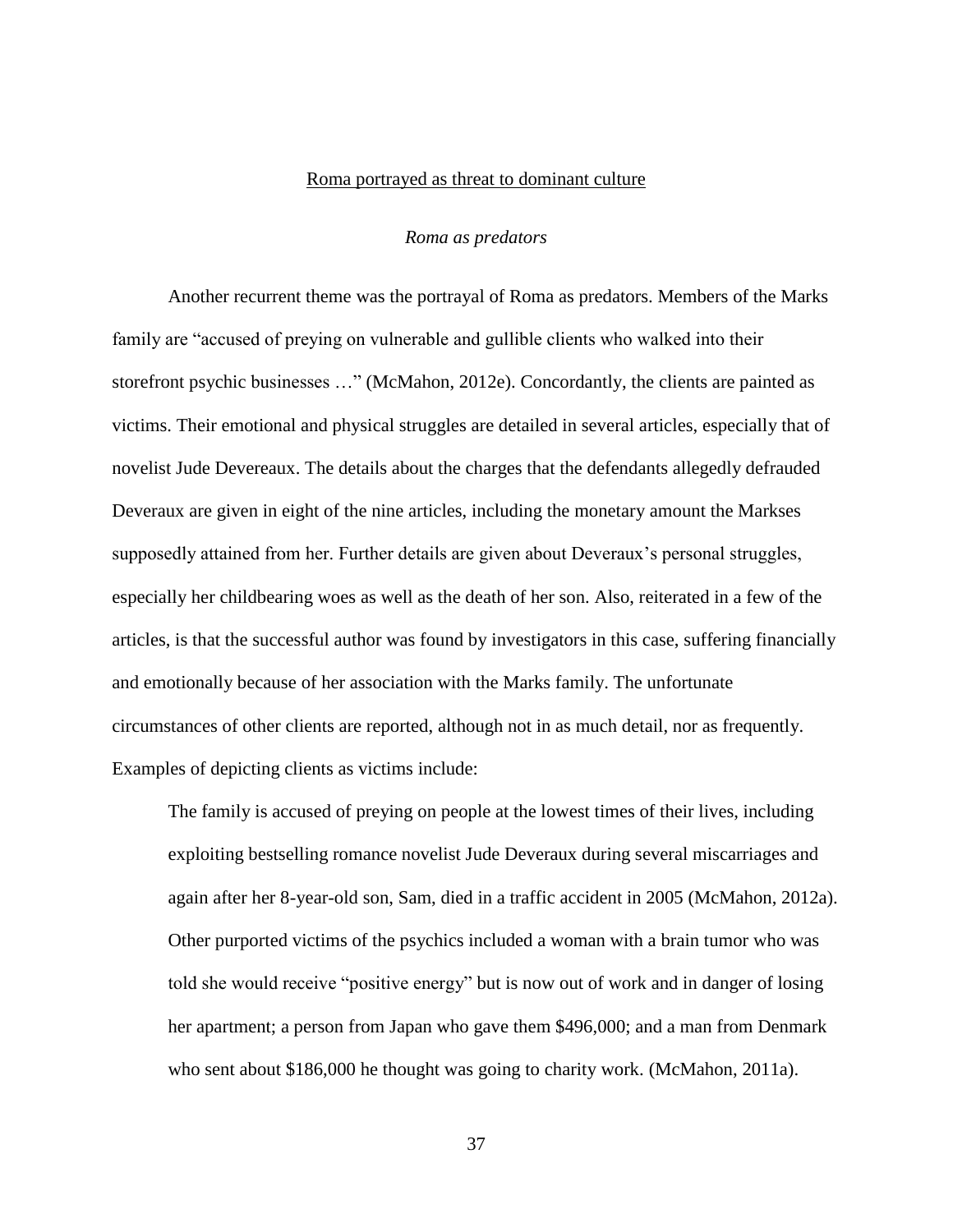#### Roma portrayed as threat to dominant culture

#### *Roma as predators*

<span id="page-44-1"></span><span id="page-44-0"></span>Another recurrent theme was the portrayal of Roma as predators. Members of the Marks family are "accused of preying on vulnerable and gullible clients who walked into their storefront psychic businesses ..." (McMahon, 2012e). Concordantly, the clients are painted as victims. Their emotional and physical struggles are detailed in several articles, especially that of novelist Jude Devereaux. The details about the charges that the defendants allegedly defrauded Deveraux are given in eight of the nine articles, including the monetary amount the Markses supposedly attained from her. Further details are given about Deveraux's personal struggles, especially her childbearing woes as well as the death of her son. Also, reiterated in a few of the articles, is that the successful author was found by investigators in this case, suffering financially and emotionally because of her association with the Marks family. The unfortunate circumstances of other clients are reported, although not in as much detail, nor as frequently. Examples of depicting clients as victims include:

The family is accused of preying on people at the lowest times of their lives, including exploiting bestselling romance novelist Jude Deveraux during several miscarriages and again after her 8-year-old son, Sam, died in a traffic accident in 2005 (McMahon, 2012a). Other purported victims of the psychics included a woman with a brain tumor who was told she would receive "positive energy" but is now out of work and in danger of losing her apartment; a person from Japan who gave them \$496,000; and a man from Denmark who sent about \$186,000 he thought was going to charity work. (McMahon, 2011a).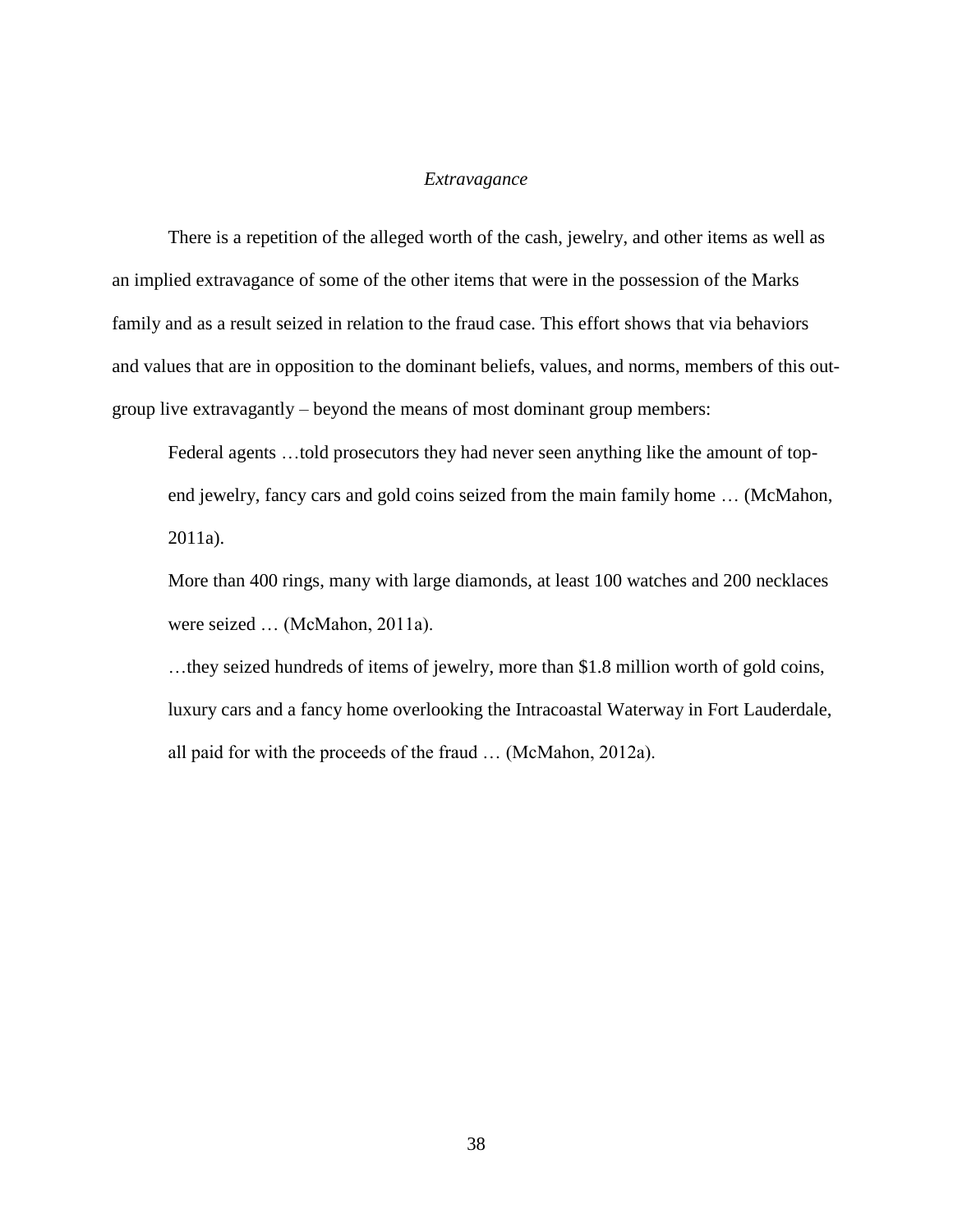#### *Extravagance*

<span id="page-45-0"></span>There is a repetition of the alleged worth of the cash, jewelry, and other items as well as an implied extravagance of some of the other items that were in the possession of the Marks family and as a result seized in relation to the fraud case. This effort shows that via behaviors and values that are in opposition to the dominant beliefs, values, and norms, members of this outgroup live extravagantly – beyond the means of most dominant group members:

Federal agents …told prosecutors they had never seen anything like the amount of topend jewelry, fancy cars and gold coins seized from the main family home … (McMahon, 2011a).

More than 400 rings, many with large diamonds, at least 100 watches and 200 necklaces were seized … (McMahon, 2011a).

…they seized hundreds of items of jewelry, more than \$1.8 million worth of gold coins, luxury cars and a fancy home overlooking the Intracoastal Waterway in Fort Lauderdale, all paid for with the proceeds of the fraud … (McMahon, 2012a).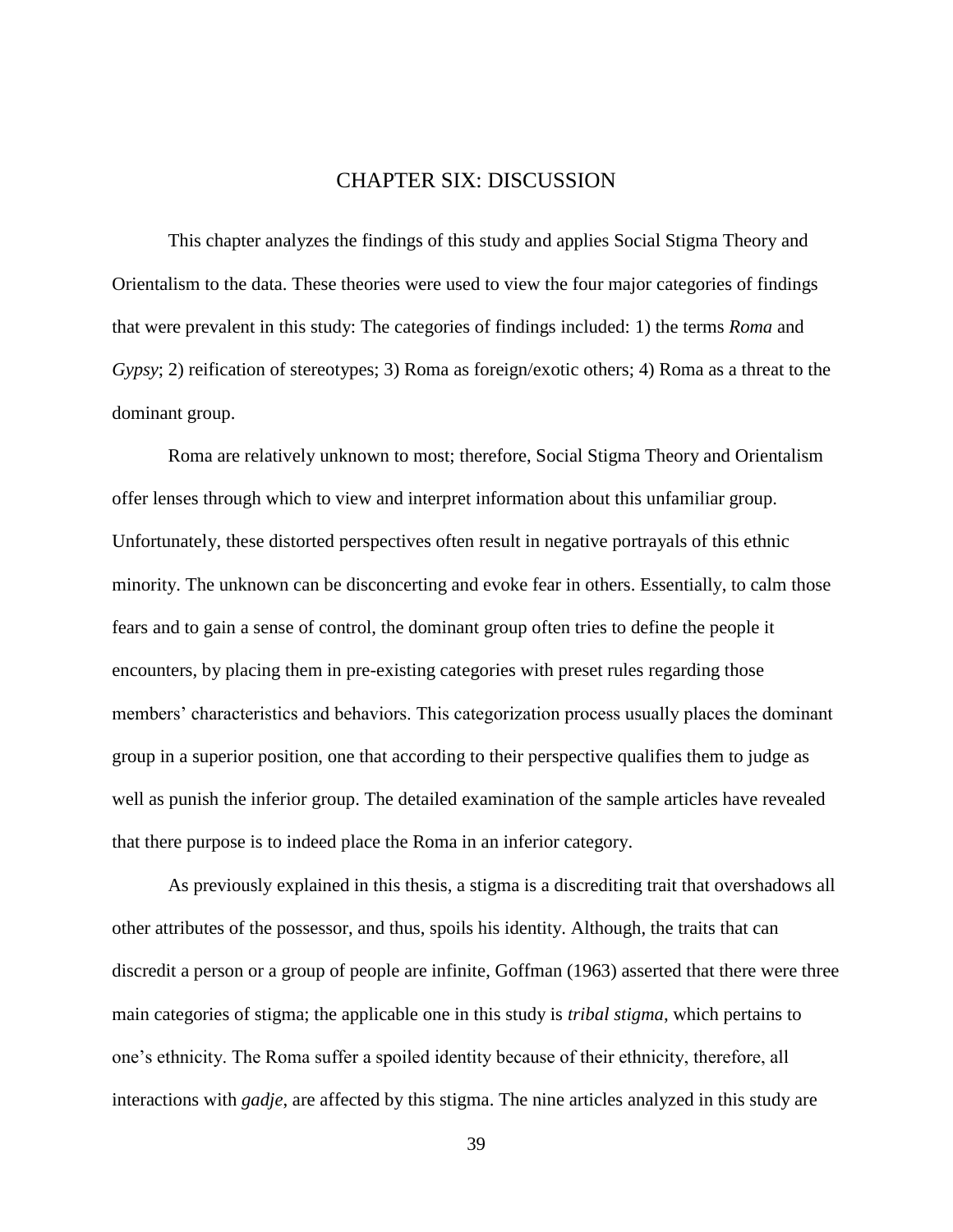### CHAPTER SIX: DISCUSSION

<span id="page-46-0"></span>This chapter analyzes the findings of this study and applies Social Stigma Theory and Orientalism to the data. These theories were used to view the four major categories of findings that were prevalent in this study: The categories of findings included: 1) the terms *Roma* and *Gypsy*; 2) reification of stereotypes; 3) Roma as foreign/exotic others; 4) Roma as a threat to the dominant group.

Roma are relatively unknown to most; therefore, Social Stigma Theory and Orientalism offer lenses through which to view and interpret information about this unfamiliar group. Unfortunately, these distorted perspectives often result in negative portrayals of this ethnic minority. The unknown can be disconcerting and evoke fear in others. Essentially, to calm those fears and to gain a sense of control, the dominant group often tries to define the people it encounters, by placing them in pre-existing categories with preset rules regarding those members' characteristics and behaviors. This categorization process usually places the dominant group in a superior position, one that according to their perspective qualifies them to judge as well as punish the inferior group. The detailed examination of the sample articles have revealed that there purpose is to indeed place the Roma in an inferior category.

As previously explained in this thesis, a stigma is a discrediting trait that overshadows all other attributes of the possessor, and thus, spoils his identity. Although, the traits that can discredit a person or a group of people are infinite, Goffman (1963) asserted that there were three main categories of stigma; the applicable one in this study is *tribal stigma*, which pertains to one's ethnicity. The Roma suffer a spoiled identity because of their ethnicity, therefore, all interactions with *gadje*, are affected by this stigma. The nine articles analyzed in this study are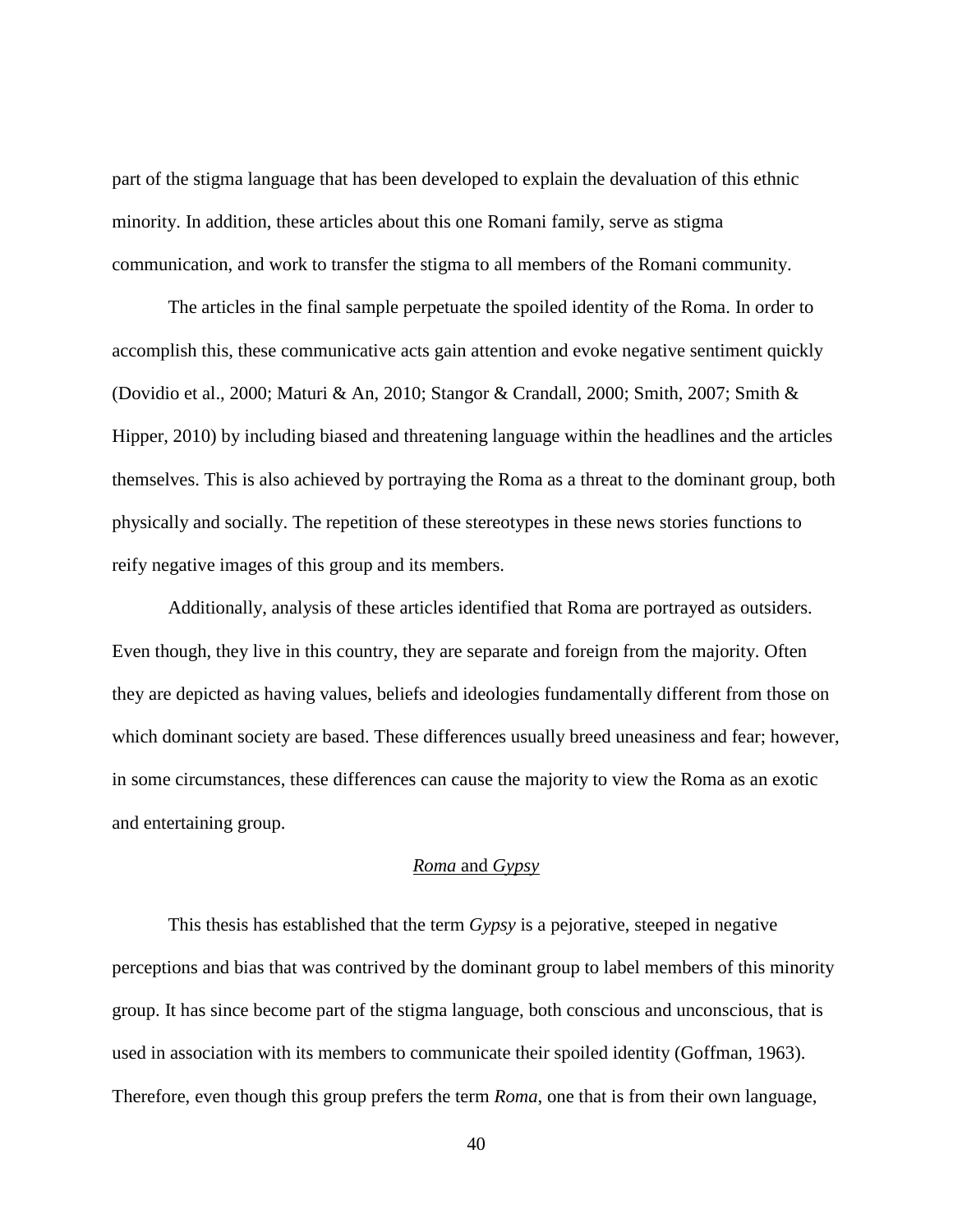part of the stigma language that has been developed to explain the devaluation of this ethnic minority. In addition, these articles about this one Romani family, serve as stigma communication, and work to transfer the stigma to all members of the Romani community.

The articles in the final sample perpetuate the spoiled identity of the Roma. In order to accomplish this, these communicative acts gain attention and evoke negative sentiment quickly (Dovidio et al., 2000; Maturi & An, 2010; Stangor & Crandall, 2000; Smith, 2007; Smith & Hipper, 2010) by including biased and threatening language within the headlines and the articles themselves. This is also achieved by portraying the Roma as a threat to the dominant group, both physically and socially. The repetition of these stereotypes in these news stories functions to reify negative images of this group and its members.

Additionally, analysis of these articles identified that Roma are portrayed as outsiders. Even though, they live in this country, they are separate and foreign from the majority. Often they are depicted as having values, beliefs and ideologies fundamentally different from those on which dominant society are based. These differences usually breed uneasiness and fear; however, in some circumstances, these differences can cause the majority to view the Roma as an exotic and entertaining group.

## *Roma* and *Gypsy*

<span id="page-47-0"></span>This thesis has established that the term *Gypsy* is a pejorative, steeped in negative perceptions and bias that was contrived by the dominant group to label members of this minority group. It has since become part of the stigma language, both conscious and unconscious, that is used in association with its members to communicate their spoiled identity (Goffman, 1963). Therefore, even though this group prefers the term *Roma*, one that is from their own language,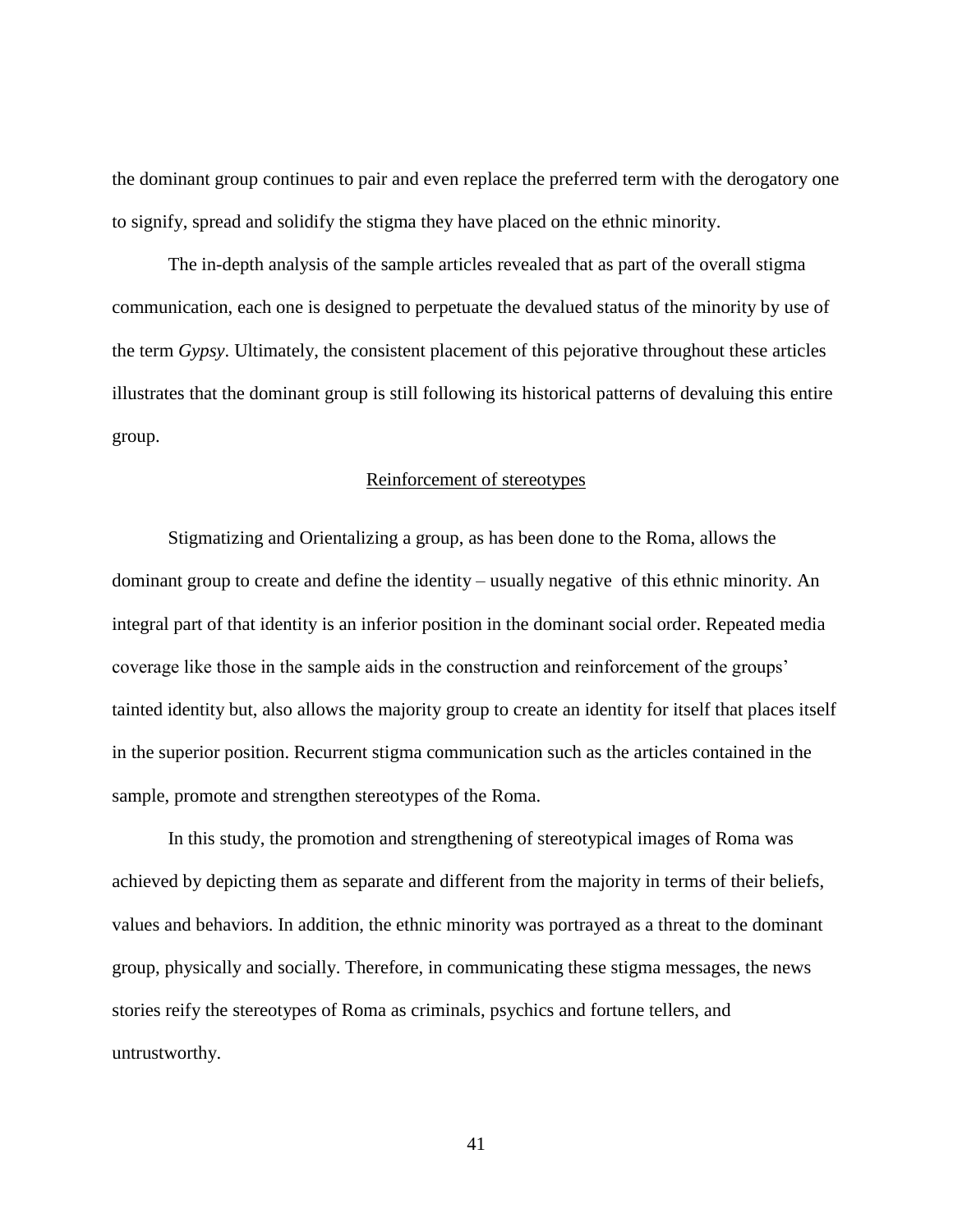the dominant group continues to pair and even replace the preferred term with the derogatory one to signify, spread and solidify the stigma they have placed on the ethnic minority.

The in-depth analysis of the sample articles revealed that as part of the overall stigma communication, each one is designed to perpetuate the devalued status of the minority by use of the term *Gypsy*. Ultimately, the consistent placement of this pejorative throughout these articles illustrates that the dominant group is still following its historical patterns of devaluing this entire group.

#### Reinforcement of stereotypes

<span id="page-48-0"></span>Stigmatizing and Orientalizing a group, as has been done to the Roma, allows the dominant group to create and define the identity – usually negative of this ethnic minority. An integral part of that identity is an inferior position in the dominant social order. Repeated media coverage like those in the sample aids in the construction and reinforcement of the groups' tainted identity but, also allows the majority group to create an identity for itself that places itself in the superior position. Recurrent stigma communication such as the articles contained in the sample, promote and strengthen stereotypes of the Roma.

In this study, the promotion and strengthening of stereotypical images of Roma was achieved by depicting them as separate and different from the majority in terms of their beliefs, values and behaviors. In addition, the ethnic minority was portrayed as a threat to the dominant group, physically and socially. Therefore, in communicating these stigma messages, the news stories reify the stereotypes of Roma as criminals, psychics and fortune tellers, and untrustworthy.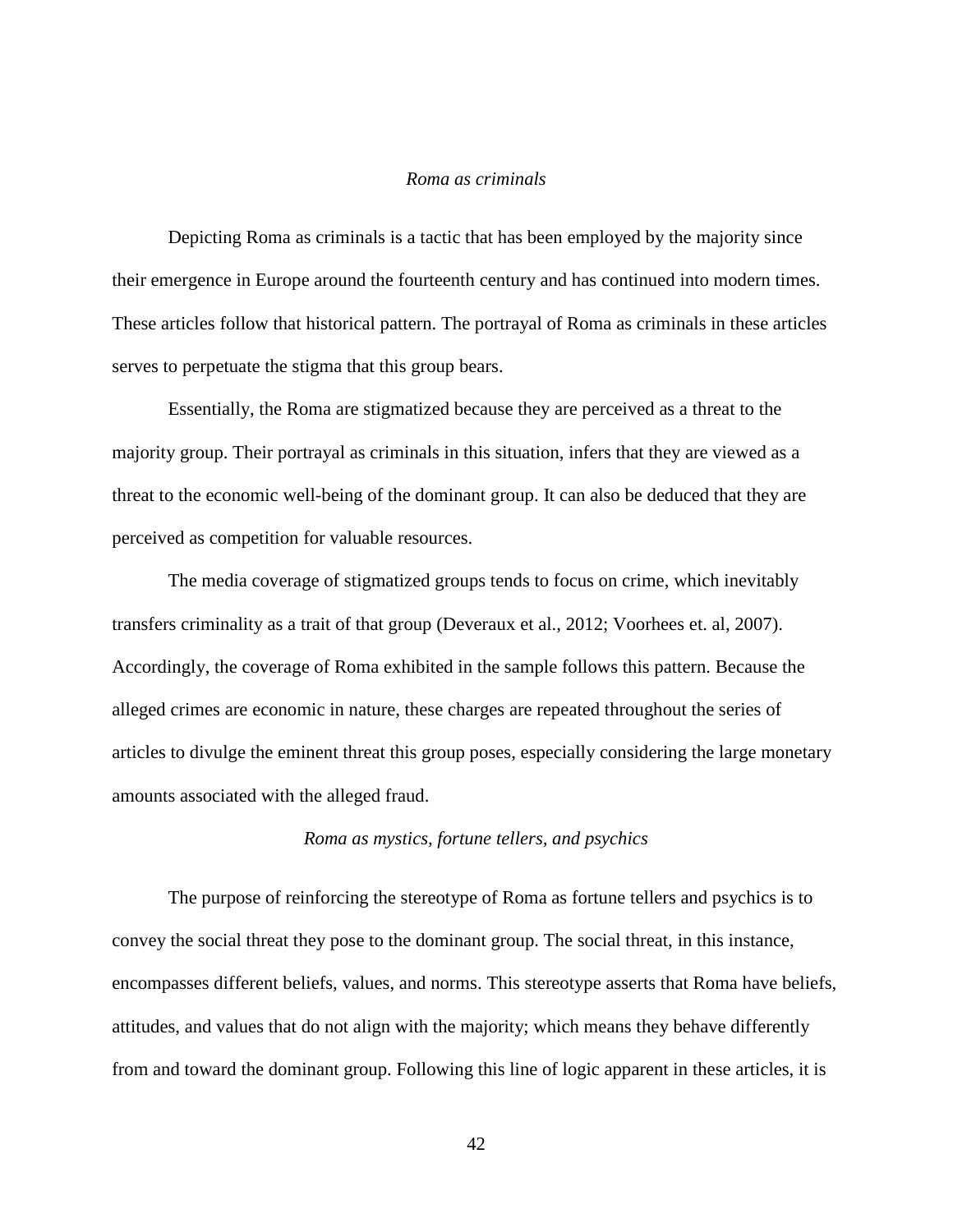#### *Roma as criminals*

<span id="page-49-0"></span>Depicting Roma as criminals is a tactic that has been employed by the majority since their emergence in Europe around the fourteenth century and has continued into modern times. These articles follow that historical pattern. The portrayal of Roma as criminals in these articles serves to perpetuate the stigma that this group bears.

Essentially, the Roma are stigmatized because they are perceived as a threat to the majority group. Their portrayal as criminals in this situation, infers that they are viewed as a threat to the economic well-being of the dominant group. It can also be deduced that they are perceived as competition for valuable resources.

The media coverage of stigmatized groups tends to focus on crime, which inevitably transfers criminality as a trait of that group (Deveraux et al., 2012; Voorhees et. al, 2007). Accordingly, the coverage of Roma exhibited in the sample follows this pattern. Because the alleged crimes are economic in nature, these charges are repeated throughout the series of articles to divulge the eminent threat this group poses, especially considering the large monetary amounts associated with the alleged fraud.

#### *Roma as mystics, fortune tellers, and psychics*

<span id="page-49-1"></span>The purpose of reinforcing the stereotype of Roma as fortune tellers and psychics is to convey the social threat they pose to the dominant group. The social threat, in this instance, encompasses different beliefs, values, and norms. This stereotype asserts that Roma have beliefs, attitudes, and values that do not align with the majority; which means they behave differently from and toward the dominant group. Following this line of logic apparent in these articles, it is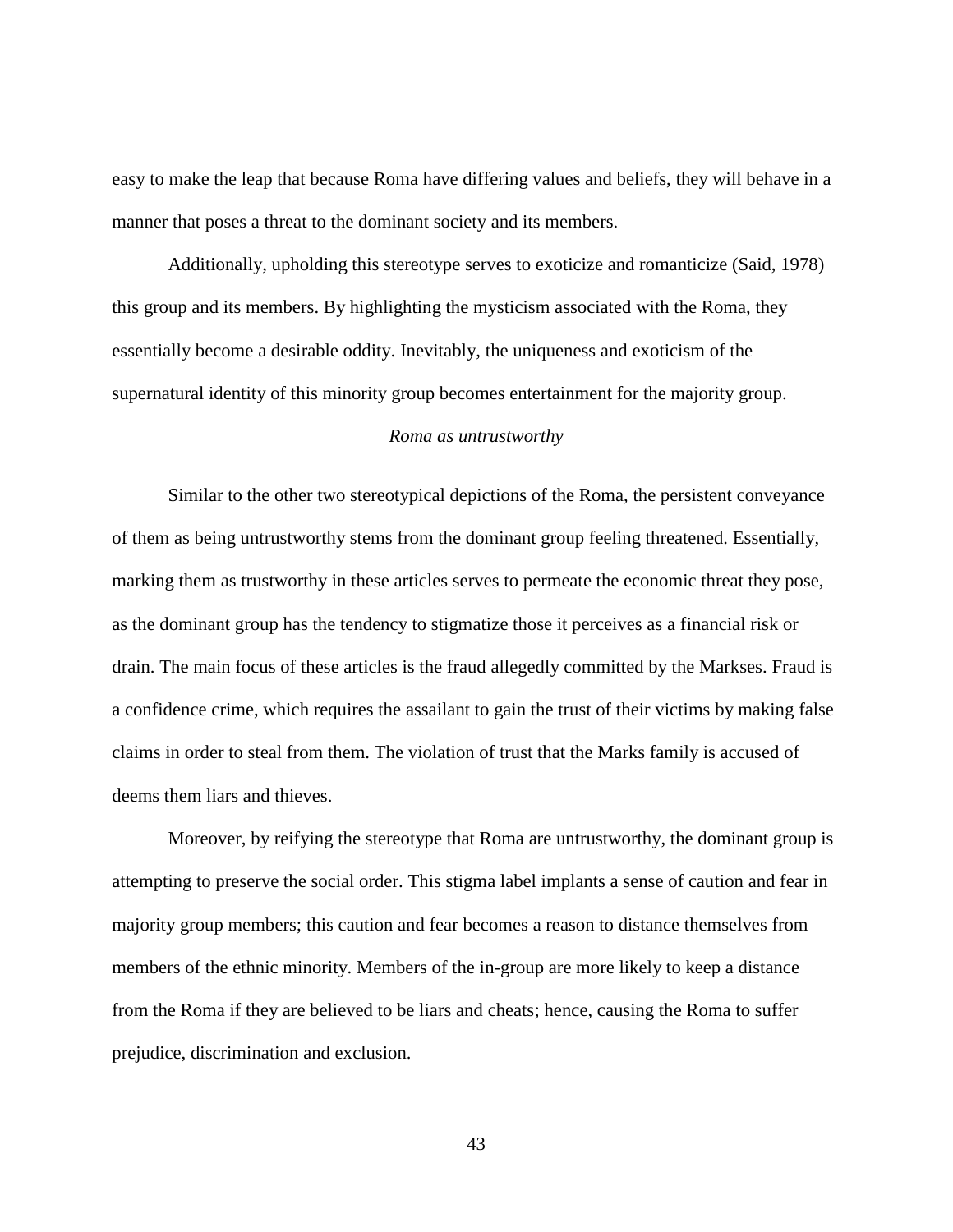easy to make the leap that because Roma have differing values and beliefs, they will behave in a manner that poses a threat to the dominant society and its members.

Additionally, upholding this stereotype serves to exoticize and romanticize (Said, 1978) this group and its members. By highlighting the mysticism associated with the Roma, they essentially become a desirable oddity. Inevitably, the uniqueness and exoticism of the supernatural identity of this minority group becomes entertainment for the majority group.

#### *Roma as untrustworthy*

<span id="page-50-0"></span>Similar to the other two stereotypical depictions of the Roma, the persistent conveyance of them as being untrustworthy stems from the dominant group feeling threatened. Essentially, marking them as trustworthy in these articles serves to permeate the economic threat they pose, as the dominant group has the tendency to stigmatize those it perceives as a financial risk or drain. The main focus of these articles is the fraud allegedly committed by the Markses. Fraud is a confidence crime, which requires the assailant to gain the trust of their victims by making false claims in order to steal from them. The violation of trust that the Marks family is accused of deems them liars and thieves.

Moreover, by reifying the stereotype that Roma are untrustworthy, the dominant group is attempting to preserve the social order. This stigma label implants a sense of caution and fear in majority group members; this caution and fear becomes a reason to distance themselves from members of the ethnic minority. Members of the in-group are more likely to keep a distance from the Roma if they are believed to be liars and cheats; hence, causing the Roma to suffer prejudice, discrimination and exclusion.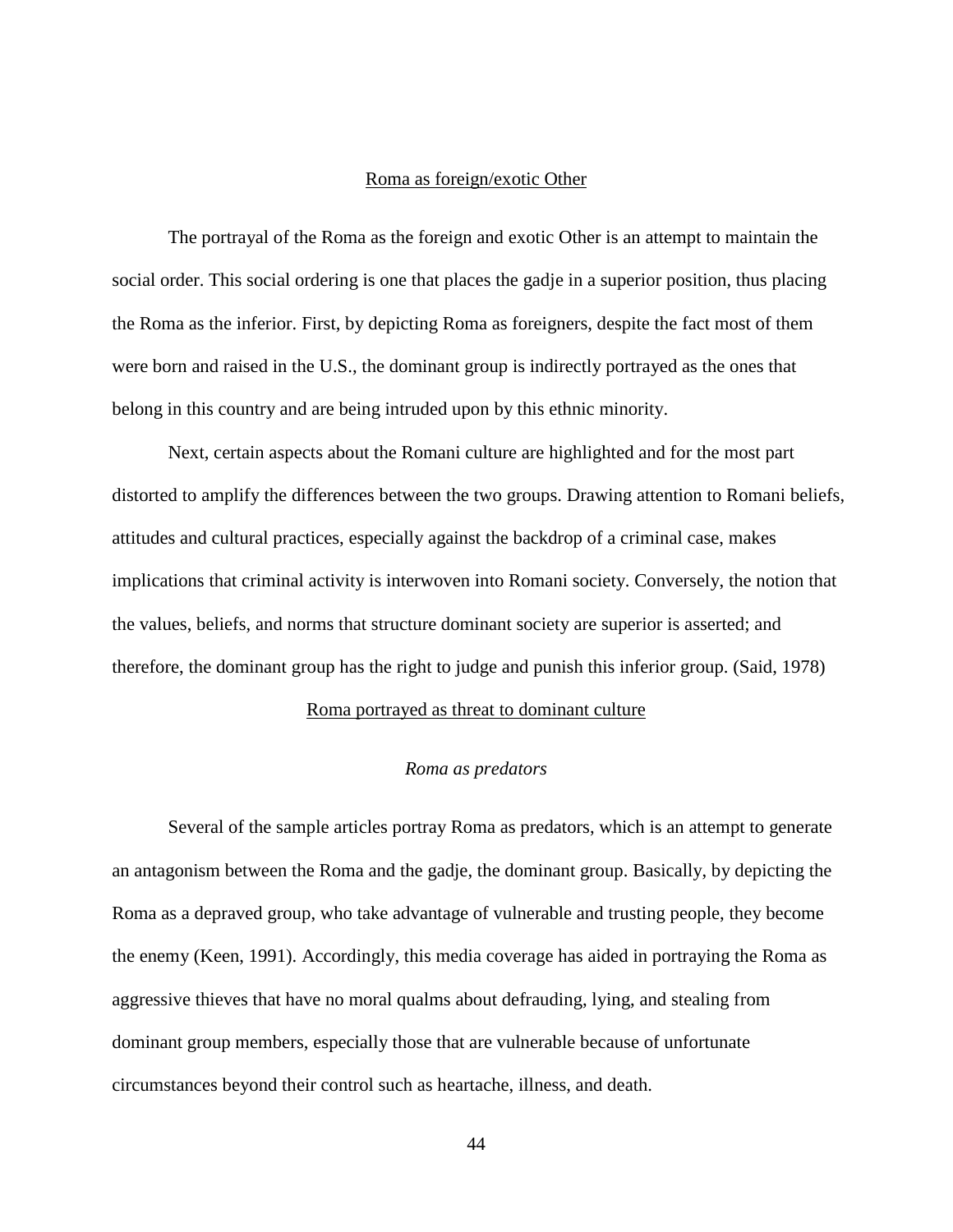#### Roma as foreign/exotic Other

<span id="page-51-0"></span>The portrayal of the Roma as the foreign and exotic Other is an attempt to maintain the social order. This social ordering is one that places the gadje in a superior position, thus placing the Roma as the inferior. First, by depicting Roma as foreigners, despite the fact most of them were born and raised in the U.S., the dominant group is indirectly portrayed as the ones that belong in this country and are being intruded upon by this ethnic minority.

Next, certain aspects about the Romani culture are highlighted and for the most part distorted to amplify the differences between the two groups. Drawing attention to Romani beliefs, attitudes and cultural practices, especially against the backdrop of a criminal case, makes implications that criminal activity is interwoven into Romani society. Conversely, the notion that the values, beliefs, and norms that structure dominant society are superior is asserted; and therefore, the dominant group has the right to judge and punish this inferior group. (Said, 1978)

#### Roma portrayed as threat to dominant culture

#### *Roma as predators*

<span id="page-51-2"></span><span id="page-51-1"></span>Several of the sample articles portray Roma as predators, which is an attempt to generate an antagonism between the Roma and the gadje, the dominant group. Basically, by depicting the Roma as a depraved group, who take advantage of vulnerable and trusting people, they become the enemy (Keen, 1991). Accordingly, this media coverage has aided in portraying the Roma as aggressive thieves that have no moral qualms about defrauding, lying, and stealing from dominant group members, especially those that are vulnerable because of unfortunate circumstances beyond their control such as heartache, illness, and death.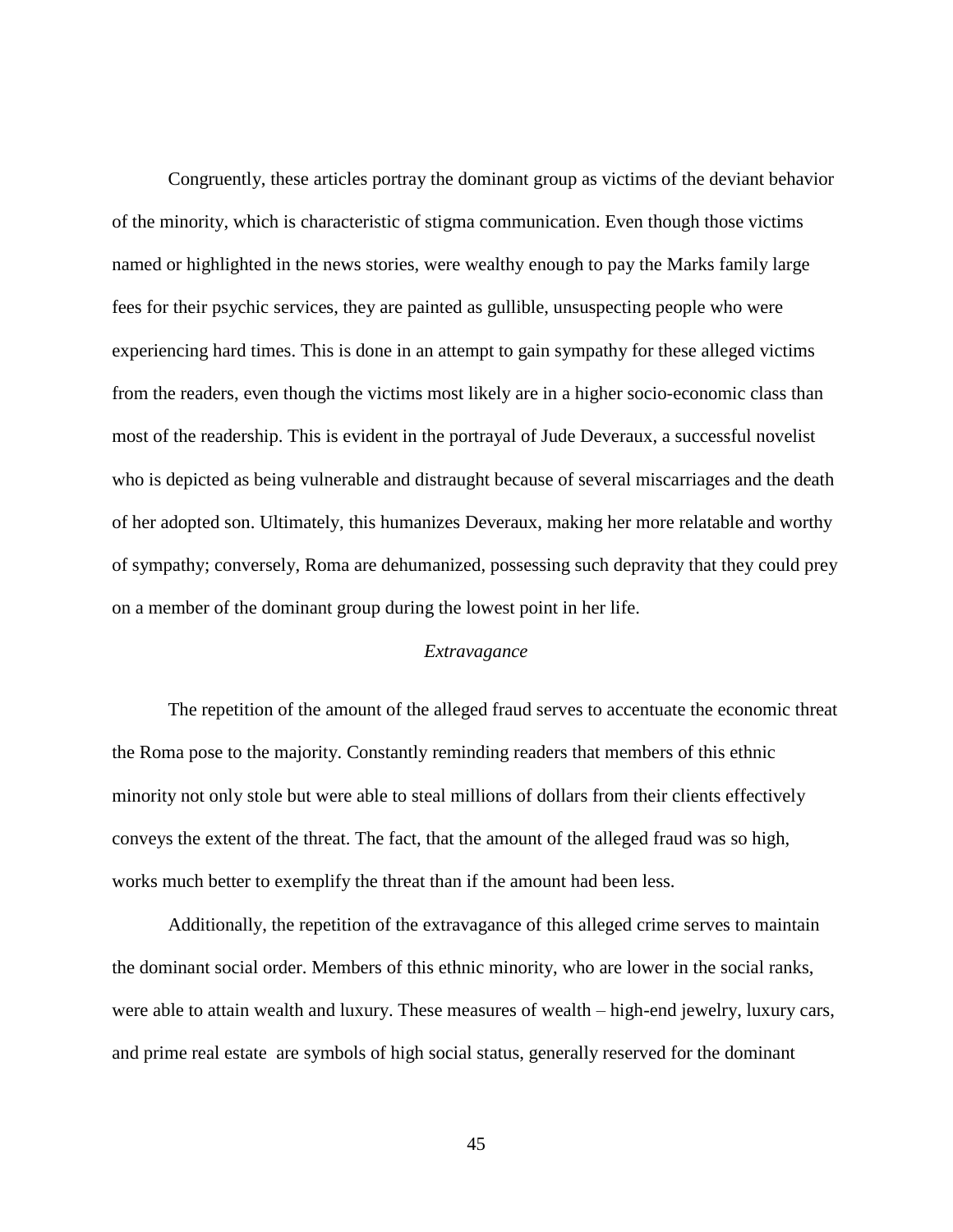Congruently, these articles portray the dominant group as victims of the deviant behavior of the minority, which is characteristic of stigma communication. Even though those victims named or highlighted in the news stories, were wealthy enough to pay the Marks family large fees for their psychic services, they are painted as gullible, unsuspecting people who were experiencing hard times. This is done in an attempt to gain sympathy for these alleged victims from the readers, even though the victims most likely are in a higher socio-economic class than most of the readership. This is evident in the portrayal of Jude Deveraux, a successful novelist who is depicted as being vulnerable and distraught because of several miscarriages and the death of her adopted son. Ultimately, this humanizes Deveraux, making her more relatable and worthy of sympathy; conversely, Roma are dehumanized, possessing such depravity that they could prey on a member of the dominant group during the lowest point in her life.

#### *Extravagance*

<span id="page-52-0"></span>The repetition of the amount of the alleged fraud serves to accentuate the economic threat the Roma pose to the majority. Constantly reminding readers that members of this ethnic minority not only stole but were able to steal millions of dollars from their clients effectively conveys the extent of the threat. The fact, that the amount of the alleged fraud was so high, works much better to exemplify the threat than if the amount had been less.

Additionally, the repetition of the extravagance of this alleged crime serves to maintain the dominant social order. Members of this ethnic minority, who are lower in the social ranks, were able to attain wealth and luxury. These measures of wealth – high-end jewelry, luxury cars, and prime real estate are symbols of high social status, generally reserved for the dominant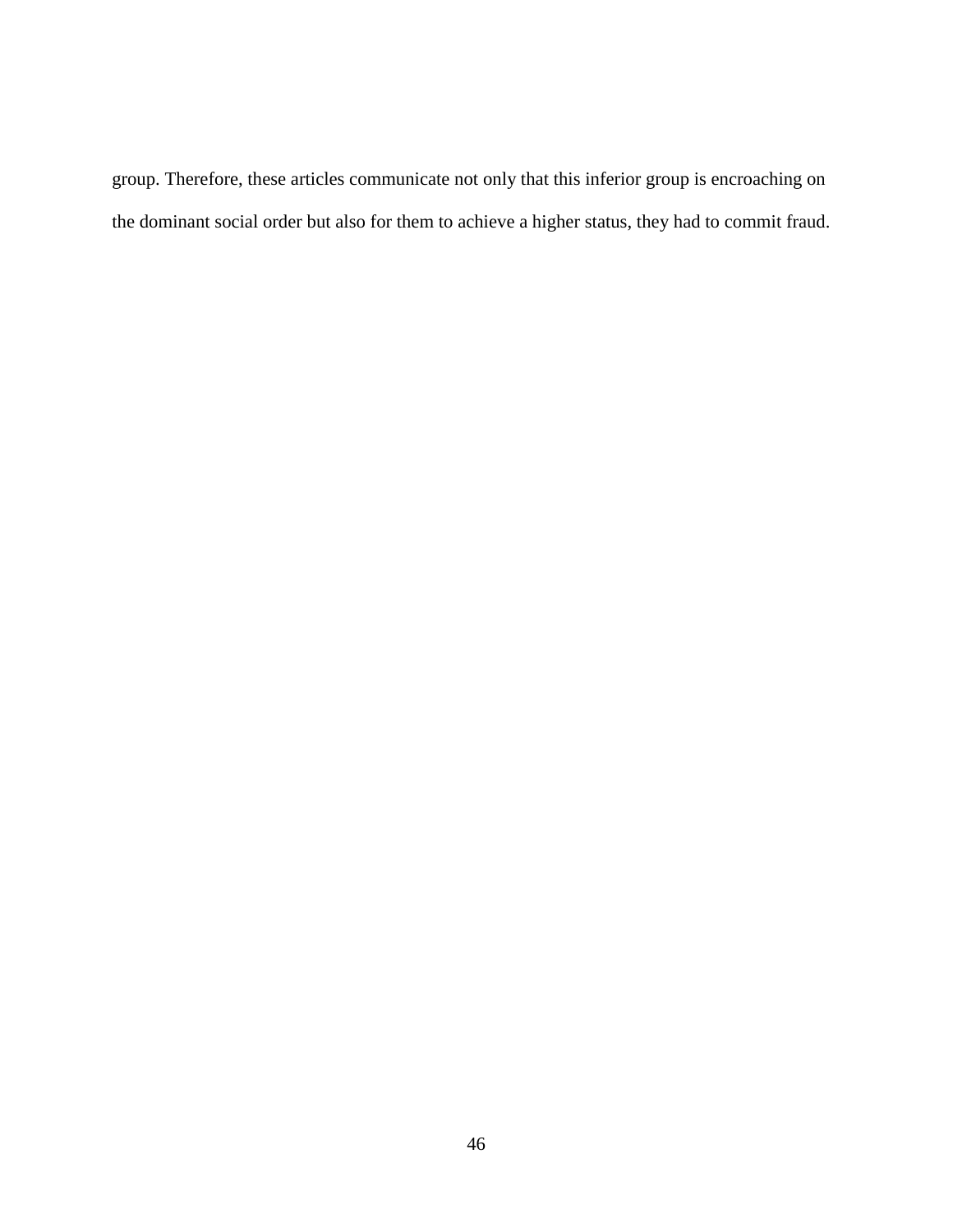group. Therefore, these articles communicate not only that this inferior group is encroaching on the dominant social order but also for them to achieve a higher status, they had to commit fraud.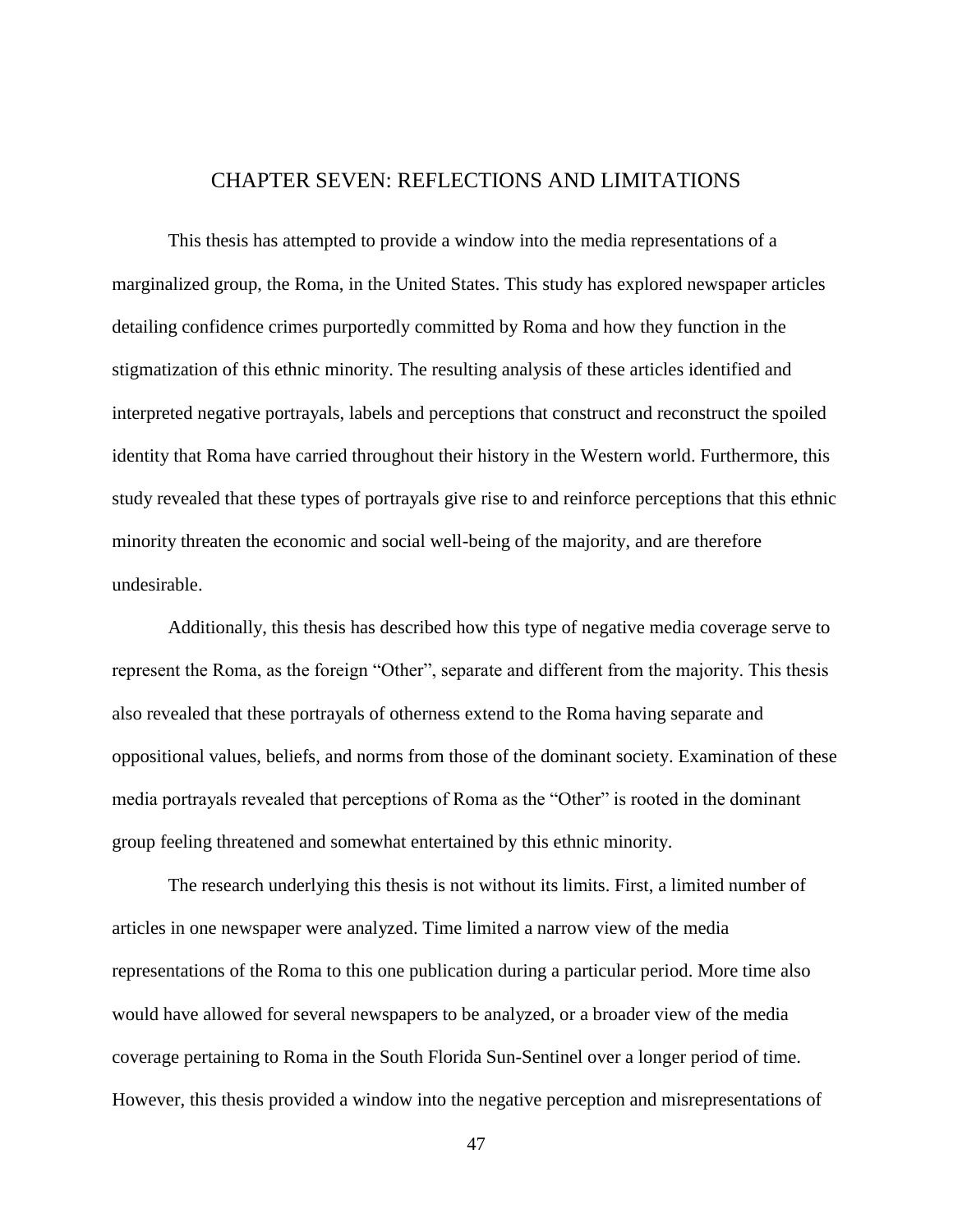## CHAPTER SEVEN: REFLECTIONS AND LIMITATIONS

<span id="page-54-0"></span>This thesis has attempted to provide a window into the media representations of a marginalized group, the Roma, in the United States. This study has explored newspaper articles detailing confidence crimes purportedly committed by Roma and how they function in the stigmatization of this ethnic minority. The resulting analysis of these articles identified and interpreted negative portrayals, labels and perceptions that construct and reconstruct the spoiled identity that Roma have carried throughout their history in the Western world. Furthermore, this study revealed that these types of portrayals give rise to and reinforce perceptions that this ethnic minority threaten the economic and social well-being of the majority, and are therefore undesirable.

Additionally, this thesis has described how this type of negative media coverage serve to represent the Roma, as the foreign "Other", separate and different from the majority. This thesis also revealed that these portrayals of otherness extend to the Roma having separate and oppositional values, beliefs, and norms from those of the dominant society. Examination of these media portrayals revealed that perceptions of Roma as the "Other" is rooted in the dominant group feeling threatened and somewhat entertained by this ethnic minority.

The research underlying this thesis is not without its limits. First, a limited number of articles in one newspaper were analyzed. Time limited a narrow view of the media representations of the Roma to this one publication during a particular period. More time also would have allowed for several newspapers to be analyzed, or a broader view of the media coverage pertaining to Roma in the South Florida Sun-Sentinel over a longer period of time. However, this thesis provided a window into the negative perception and misrepresentations of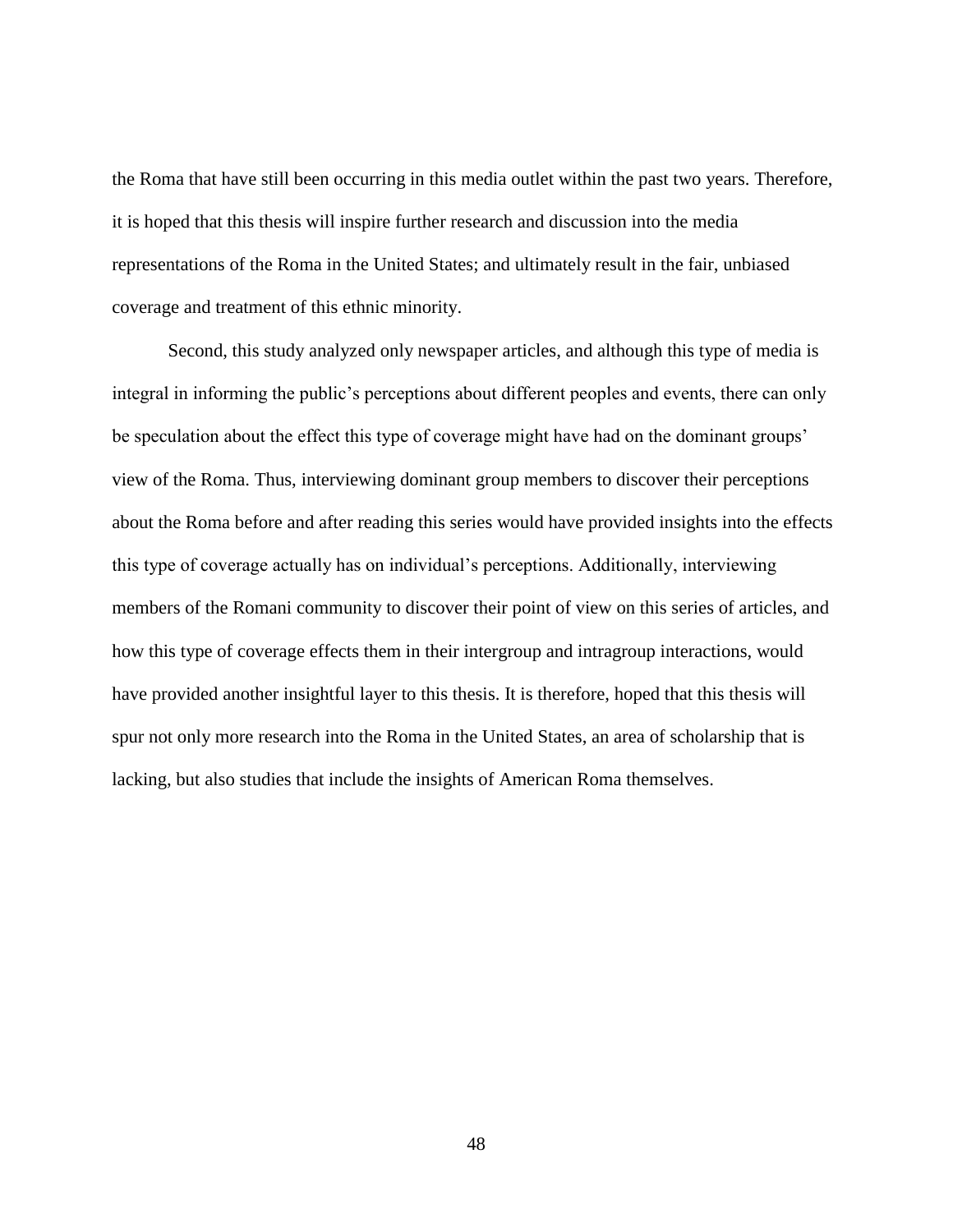the Roma that have still been occurring in this media outlet within the past two years. Therefore, it is hoped that this thesis will inspire further research and discussion into the media representations of the Roma in the United States; and ultimately result in the fair, unbiased coverage and treatment of this ethnic minority.

Second, this study analyzed only newspaper articles, and although this type of media is integral in informing the public's perceptions about different peoples and events, there can only be speculation about the effect this type of coverage might have had on the dominant groups' view of the Roma. Thus, interviewing dominant group members to discover their perceptions about the Roma before and after reading this series would have provided insights into the effects this type of coverage actually has on individual's perceptions. Additionally, interviewing members of the Romani community to discover their point of view on this series of articles, and how this type of coverage effects them in their intergroup and intragroup interactions, would have provided another insightful layer to this thesis. It is therefore, hoped that this thesis will spur not only more research into the Roma in the United States, an area of scholarship that is lacking, but also studies that include the insights of American Roma themselves.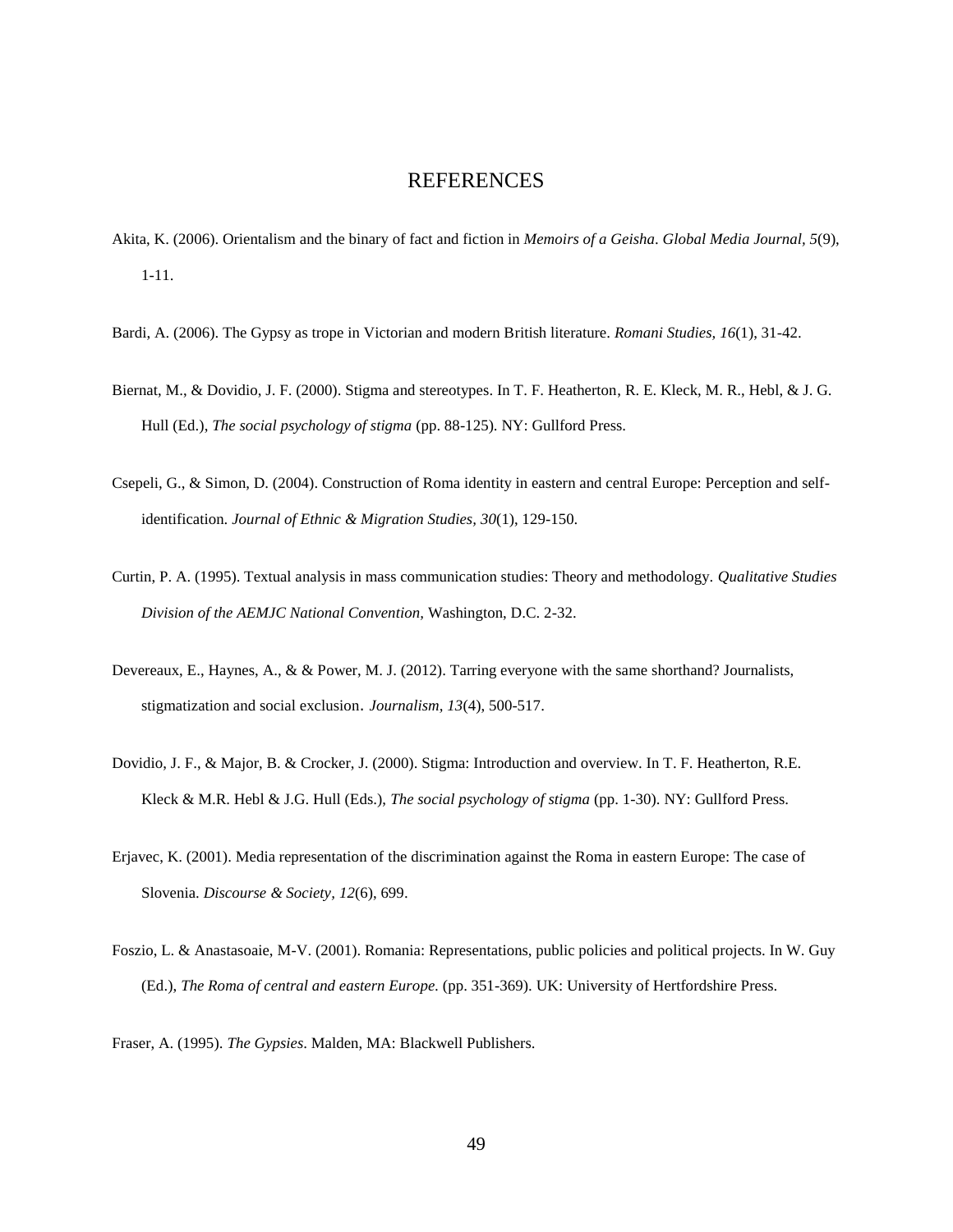#### REFERENCES

- <span id="page-56-0"></span>Akita, K. (2006). Orientalism and the binary of fact and fiction in *Memoirs of a Geisha*. *Global Media Journal, 5*(9), 1-11.
- Bardi, A. (2006). The Gypsy as trope in Victorian and modern British literature. *Romani Studies, 16*(1), 31-42.
- Biernat, M., & Dovidio, J. F. (2000). Stigma and stereotypes. In T. F. Heatherton, R. E. Kleck, M. R., Hebl, & J. G. Hull (Ed.), *The social psychology of stigma* (pp. 88-125). NY: Gullford Press.
- Csepeli, G., & Simon, D. (2004). Construction of Roma identity in eastern and central Europe: Perception and selfidentification. *Journal of Ethnic & Migration Studies, 30*(1), 129-150.
- Curtin, P. A. (1995). Textual analysis in mass communication studies: Theory and methodology. *Qualitative Studies Division of the AEMJC National Convention,* Washington, D.C. 2-32.
- Devereaux, E., Haynes, A., & & Power, M. J. (2012). Tarring everyone with the same shorthand? Journalists, stigmatization and social exclusion. *Journalism, 13*(4), 500-517.
- Dovidio, J. F., & Major, B. & Crocker, J. (2000). Stigma: Introduction and overview. In T. F. Heatherton, R.E. Kleck & M.R. Hebl & J.G. Hull (Eds.), *The social psychology of stigma* (pp. 1-30). NY: Gullford Press.
- Erjavec, K. (2001). Media representation of the discrimination against the Roma in eastern Europe: The case of Slovenia. *Discourse & Society, 12*(6), 699.
- Foszio, L. & Anastasoaie, M-V. (2001). Romania: Representations, public policies and political projects. In W. Guy (Ed.), *The Roma of central and eastern Europe.* (pp. 351-369). UK: University of Hertfordshire Press.
- Fraser, A. (1995). *The Gypsies*. Malden, MA: Blackwell Publishers.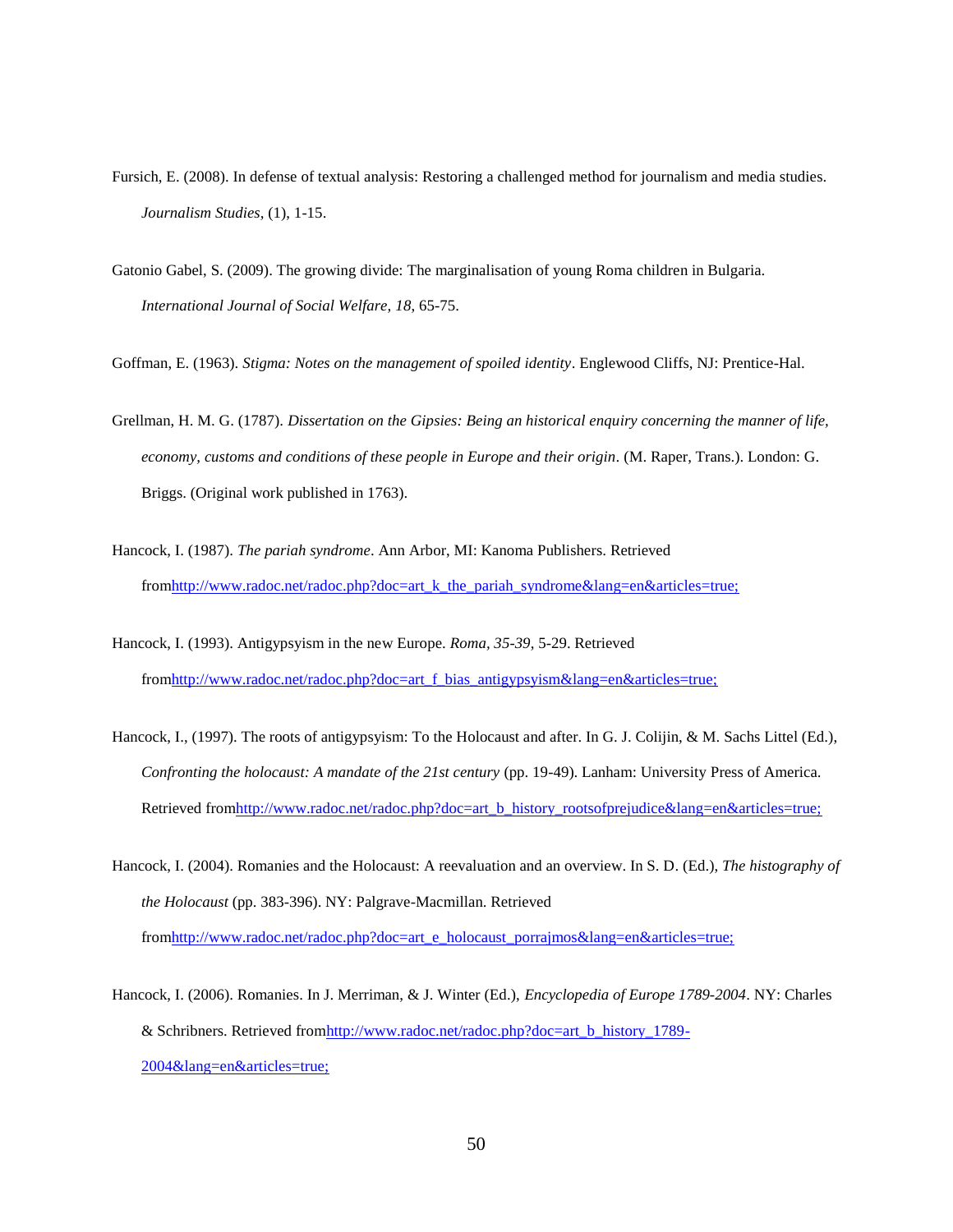- Fursich, E. (2008). In defense of textual analysis: Restoring a challenged method for journalism and media studies. *Journalism Studies,* (1), 1-15.
- Gatonio Gabel, S. (2009). The growing divide: The marginalisation of young Roma children in Bulgaria. *International Journal of Social Welfare, 18*, 65-75.

Goffman, E. (1963). *Stigma: Notes on the management of spoiled identity*. Englewood Cliffs, NJ: Prentice-Hal.

- Grellman, H. M. G. (1787). *Dissertation on the Gipsies: Being an historical enquiry concerning the manner of life, economy, customs and conditions of these people in Europe and their origin.* (M. Raper, Trans.). London: G. Briggs. (Original work published in 1763).
- Hancock, I. (1987). *The pariah syndrome*. Ann Arbor, MI: Kanoma Publishers. Retrieved fro[mhttp://www.radoc.net/radoc.php?doc=art\\_k\\_the\\_pariah\\_syndrome&lang=en&articles=true;](http://www.radoc.net/radoc.php?doc=art_k_the_pariah_syndrome&lang=en&articles=true;)
- Hancock, I. (1993). Antigypsyism in the new Europe. *Roma, 35-39*, 5-29. Retrieved fro[mhttp://www.radoc.net/radoc.php?doc=art\\_f\\_bias\\_antigypsyism&lang=en&articles=true;](http://www.radoc.net/radoc.php?doc=art_f_bias_antigypsyism&lang=en&articles=true;)
- Hancock, I., (1997). The roots of antigypsyism: To the Holocaust and after. In G. J. Colijin, & M. Sachs Littel (Ed.), *Confronting the holocaust: A mandate of the 21st century* (pp. 19-49). Lanham: University Press of America. Retrieved from http://www.radoc.net/radoc.php?doc=art\_b\_history\_rootsofprejudice&lang=en&articles=true;
- Hancock, I. (2004). Romanies and the Holocaust: A reevaluation and an overview. In S. D. (Ed.), *The histography of the Holocaust* (pp. 383-396). NY: Palgrave-Macmillan. Retrieved fro[mhttp://www.radoc.net/radoc.php?doc=art\\_e\\_holocaust\\_porrajmos&lang=en&articles=true;](http://www.radoc.net/radoc.php?doc=art_e_holocaust_porrajmos&lang=en&articles=true;)
- Hancock, I. (2006). Romanies. In J. Merriman, & J. Winter (Ed.), *Encyclopedia of Europe 1789-2004*. NY: Charles & Schribners. Retrieved fro[mhttp://www.radoc.net/radoc.php?doc=art\\_b\\_history\\_1789-](http://www.radoc.net/radoc.php?doc=art_b_history_1789-2004&lang=en&articles=true;) [2004&lang=en&articles=true;](http://www.radoc.net/radoc.php?doc=art_b_history_1789-2004&lang=en&articles=true;)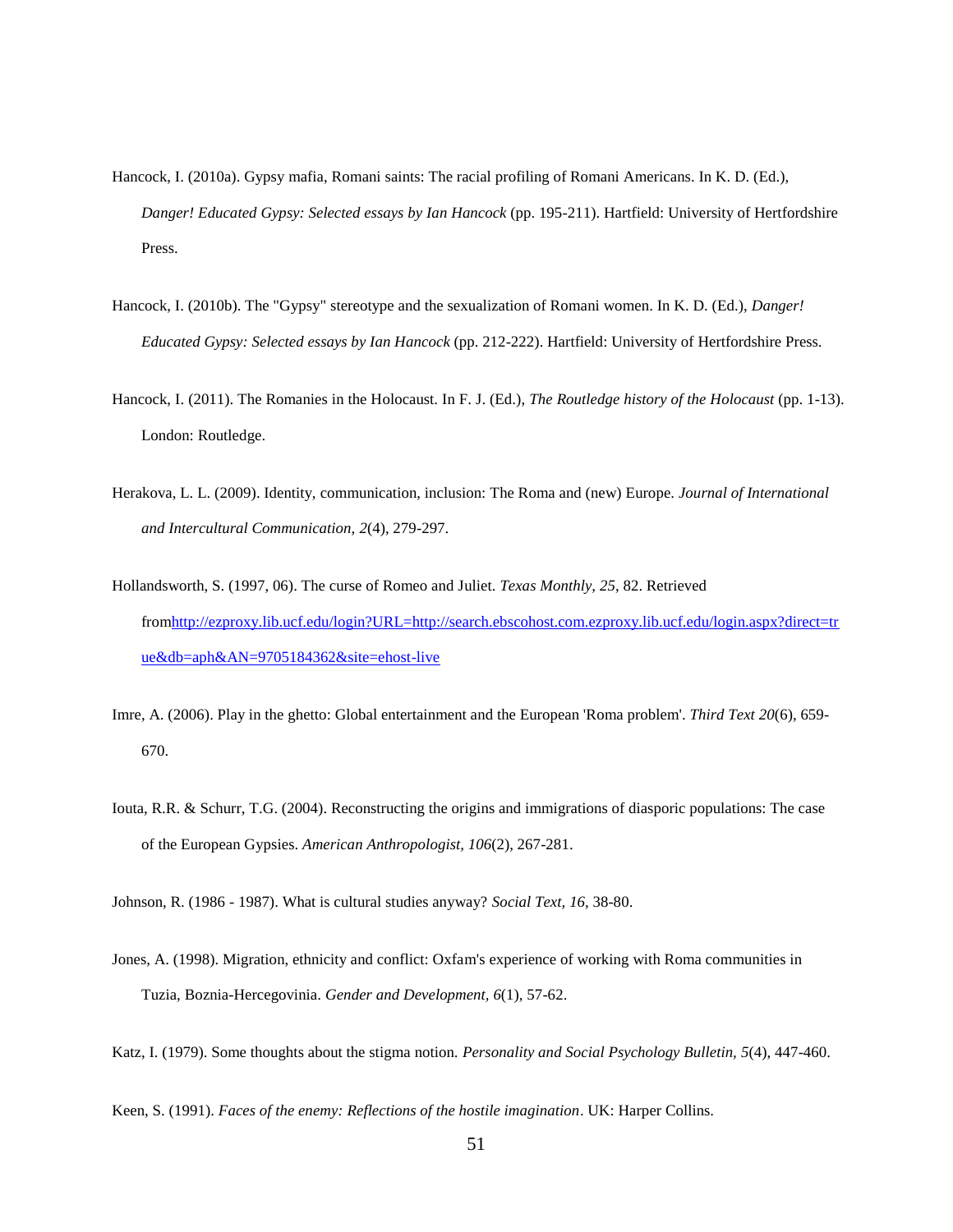- Hancock, I. (2010a). Gypsy mafia, Romani saints: The racial profiling of Romani Americans. In K. D. (Ed.), *Danger! Educated Gypsy: Selected essays by Ian Hancock* (pp. 195-211). Hartfield: University of Hertfordshire Press.
- Hancock, I. (2010b). The "Gypsy" stereotype and the sexualization of Romani women. In K. D. (Ed.), *Danger! Educated Gypsy: Selected essays by Ian Hancock* (pp. 212-222). Hartfield: University of Hertfordshire Press.
- Hancock, I. (2011). The Romanies in the Holocaust. In F. J. (Ed.), *The Routledge history of the Holocaust* (pp. 1-13). London: Routledge.
- Herakova, L. L. (2009). Identity, communication, inclusion: The Roma and (new) Europe. *Journal of International and Intercultural Communication, 2*(4), 279-297.
- Hollandsworth, S. (1997, 06). The curse of Romeo and Juliet. *Texas Monthly, 25*, 82. Retrieved fro[mhttp://ezproxy.lib.ucf.edu/login?URL=http://search.ebscohost.com.ezproxy.lib.ucf.edu/login.aspx?direct=tr](http://ezproxy.lib.ucf.edu/login?URL=http://search.ebscohost.com.ezproxy.lib.ucf.edu/login.aspx?direct=true&db=aph&AN=9705184362&site=ehost-live) [ue&db=aph&AN=9705184362&site=ehost-live](http://ezproxy.lib.ucf.edu/login?URL=http://search.ebscohost.com.ezproxy.lib.ucf.edu/login.aspx?direct=true&db=aph&AN=9705184362&site=ehost-live)
- Imre, A. (2006). Play in the ghetto: Global entertainment and the European 'Roma problem'. *Third Text 20*(6), 659- 670.
- Iouta, R.R. & Schurr, T.G. (2004). Reconstructing the origins and immigrations of diasporic populations: The case of the European Gypsies. *American Anthropologist, 106*(2), 267-281.

Johnson, R. (1986 - 1987). What is cultural studies anyway? *Social Text, 16*, 38-80.

- Jones, A. (1998). Migration, ethnicity and conflict: Oxfam's experience of working with Roma communities in Tuzia, Boznia-Hercegovinia. *Gender and Development, 6*(1), 57-62.
- Katz, I. (1979). Some thoughts about the stigma notion. *Personality and Social Psychology Bulletin, 5*(4), 447-460.

Keen, S. (1991). *Faces of the enemy: Reflections of the hostile imagination*. UK: Harper Collins.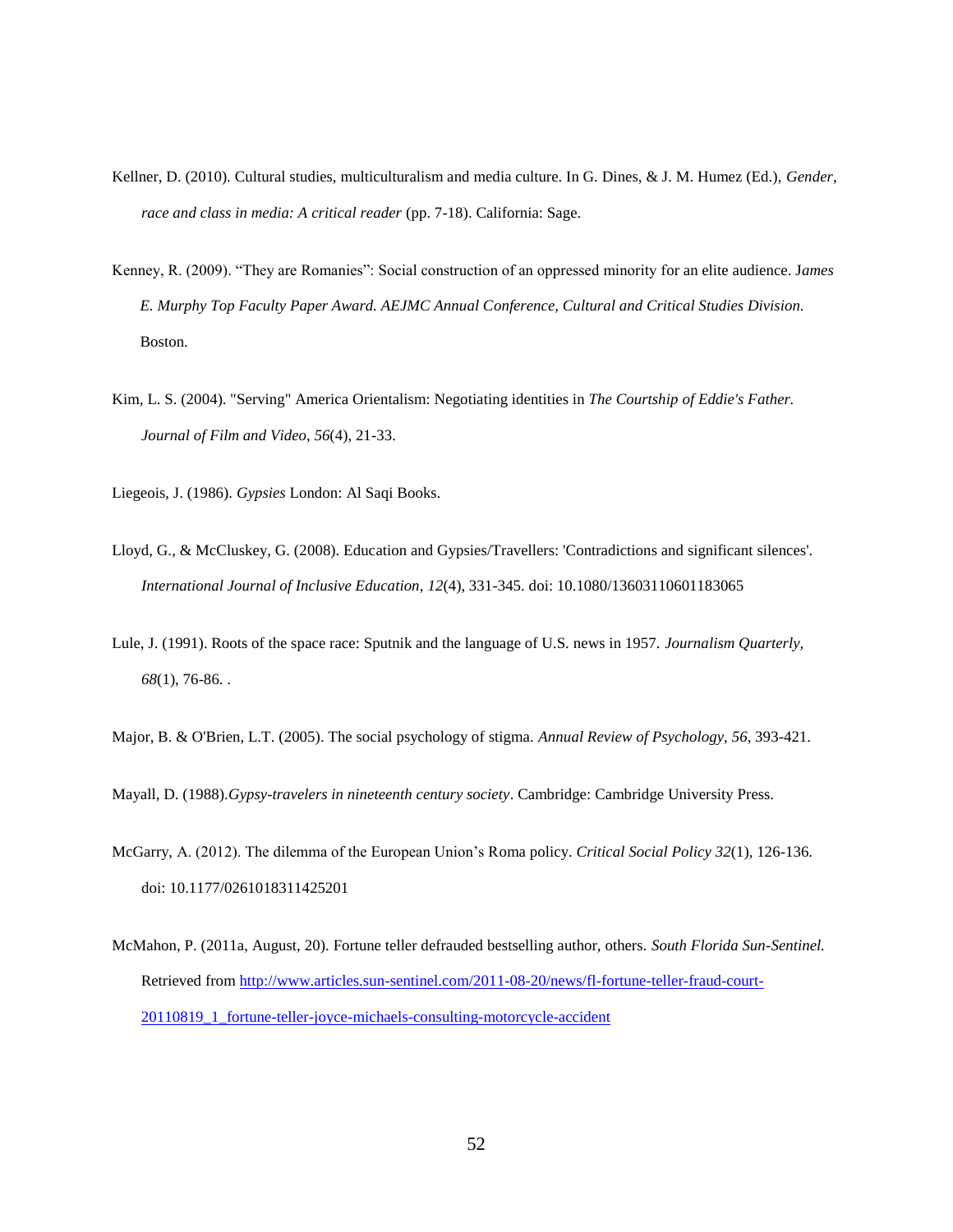- Kellner, D. (2010). Cultural studies, multiculturalism and media culture. In G. Dines, & J. M. Humez (Ed.), *Gender, race and class in media: A critical reader* (pp. 7-18). California: Sage.
- Kenney, R. (2009). "They are Romanies": Social construction of an oppressed minority for an elite audience. James *E. Murphy Top Faculty Paper Award. AEJMC Annual Conference, Cultural and Critical Studies Division.* Boston.
- Kim, L. S. (2004). "Serving" America Orientalism: Negotiating identities in *The Courtship of Eddie's Father. Journal of Film and Video, 56*(4), 21-33.

Liegeois, J. (1986). *Gypsies* London: Al Saqi Books.

- Lloyd, G., & McCluskey, G. (2008). Education and Gypsies/Travellers: 'Contradictions and significant silences'. *International Journal of Inclusive Education, 12*(4), 331-345. doi: 10.1080/13603110601183065
- Lule, J. (1991). Roots of the space race: Sputnik and the language of U.S. news in 1957. *Journalism Quarterly, 68*(1), 76-86. .
- Major, B. & O'Brien, L.T. (2005). The social psychology of stigma. *Annual Review of Psychology, 56*, 393-421.

Mayall, D. (1988).*Gypsy-travelers in nineteenth century society*. Cambridge: Cambridge University Press.

- McGarry, A. (2012). The dilemma of the European Union's Roma policy. *Critical Social Policy 32*(1), 126-136. doi: 10.1177/0261018311425201
- McMahon, P. (2011a, August, 20). Fortune teller defrauded bestselling author, others. *South Florida Sun-Sentinel.* Retrieved from [http://www.articles.sun-sentinel.com/2011-08-20/news/fl-fortune-teller-fraud-court-](http://www.articles.sun-sentinel.com/2011-08-20/news/fl-fortune-teller-fraud-court-20110819_1_fortune-teller-joyce-michaels-consulting-motorcycle-accident)[20110819\\_1\\_fortune-teller-joyce-michaels-consulting-motorcycle-accident](http://www.articles.sun-sentinel.com/2011-08-20/news/fl-fortune-teller-fraud-court-20110819_1_fortune-teller-joyce-michaels-consulting-motorcycle-accident)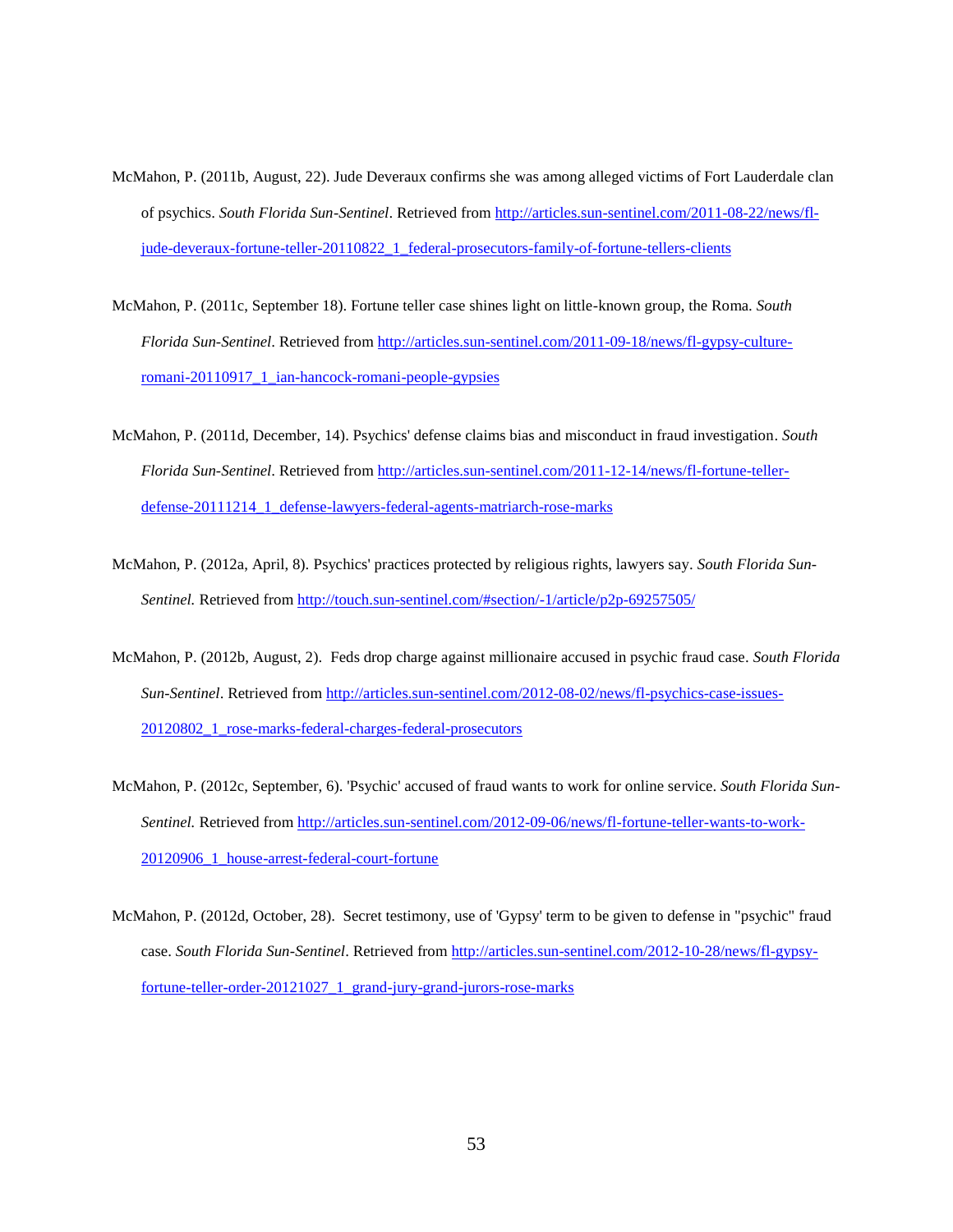- McMahon, P. (2011b, August, 22). Jude Deveraux confirms she was among alleged victims of Fort Lauderdale clan of psychics. *South Florida Sun-Sentinel*. Retrieved from [http://articles.sun-sentinel.com/2011-08-22/news/fl](http://articles.sun-sentinel.com/2011-08-22/news/fl-jude-deveraux-fortune-teller-20110822_1_federal-prosecutors-family-of-fortune-tellers-clients)[jude-deveraux-fortune-teller-20110822\\_1\\_federal-prosecutors-family-of-fortune-tellers-clients](http://articles.sun-sentinel.com/2011-08-22/news/fl-jude-deveraux-fortune-teller-20110822_1_federal-prosecutors-family-of-fortune-tellers-clients)
- McMahon, P. (2011c, September 18). Fortune teller case shines light on little-known group, the Roma. *South Florida Sun-Sentinel*. Retrieved from [http://articles.sun-sentinel.com/2011-09-18/news/fl-gypsy-culture](http://articles.sun-sentinel.com/2011-09-18/news/fl-gypsy-culture-romani-20110917_1_ian-hancock-romani-people-gypsies)[romani-20110917\\_1\\_ian-hancock-romani-people-gypsies](http://articles.sun-sentinel.com/2011-09-18/news/fl-gypsy-culture-romani-20110917_1_ian-hancock-romani-people-gypsies)
- McMahon, P. (2011d, December, 14). Psychics' defense claims bias and misconduct in fraud investigation. *South Florida Sun-Sentinel*. Retrieved from [http://articles.sun-sentinel.com/2011-12-14/news/fl-fortune-teller](http://articles.sun-sentinel.com/2011-12-14/news/fl-fortune-teller-defense-20111214_1_defense-lawyers-federal-agents-matriarch-rose-marks)[defense-20111214\\_1\\_defense-lawyers-federal-agents-matriarch-rose-marks](http://articles.sun-sentinel.com/2011-12-14/news/fl-fortune-teller-defense-20111214_1_defense-lawyers-federal-agents-matriarch-rose-marks)
- McMahon, P. (2012a, April, 8). Psychics' practices protected by religious rights, lawyers say. *South Florida Sun-Sentinel.* Retrieved from <http://touch.sun-sentinel.com/#section/-1/article/p2p-69257505/>
- McMahon, P. (2012b, August, 2). Feds drop charge against millionaire accused in psychic fraud case. *South Florida Sun-Sentinel*. Retrieved from [http://articles.sun-sentinel.com/2012-08-02/news/fl-psychics-case-issues-](http://articles.sun-sentinel.com/2012-08-02/news/fl-psychics-case-issues-20120802_1_rose-marks-federal-charges-federal-prosecutors)[20120802\\_1\\_rose-marks-federal-charges-federal-prosecutors](http://articles.sun-sentinel.com/2012-08-02/news/fl-psychics-case-issues-20120802_1_rose-marks-federal-charges-federal-prosecutors)
- McMahon, P. (2012c, September, 6). 'Psychic' accused of fraud wants to work for online service. *South Florida Sun-Sentinel.* Retrieved from [http://articles.sun-sentinel.com/2012-09-06/news/fl-fortune-teller-wants-to-work-](http://articles.sun-sentinel.com/2012-09-06/news/fl-fortune-teller-wants-to-work-20120906_1_house-arrest-federal-court-fortune)[20120906\\_1\\_house-arrest-federal-court-fortune](http://articles.sun-sentinel.com/2012-09-06/news/fl-fortune-teller-wants-to-work-20120906_1_house-arrest-federal-court-fortune)
- McMahon, P. (2012d, October, 28). Secret testimony, use of 'Gypsy' term to be given to defense in "psychic" fraud case. *South Florida Sun-Sentinel*. Retrieved from [http://articles.sun-sentinel.com/2012-10-28/news/fl-gypsy](http://articles.sun-sentinel.com/2012-10-28/news/fl-gypsy-fortune-teller-order-20121027_1_grand-jury-grand-jurors-rose-marks)[fortune-teller-order-20121027\\_1\\_grand-jury-grand-jurors-rose-marks](http://articles.sun-sentinel.com/2012-10-28/news/fl-gypsy-fortune-teller-order-20121027_1_grand-jury-grand-jurors-rose-marks)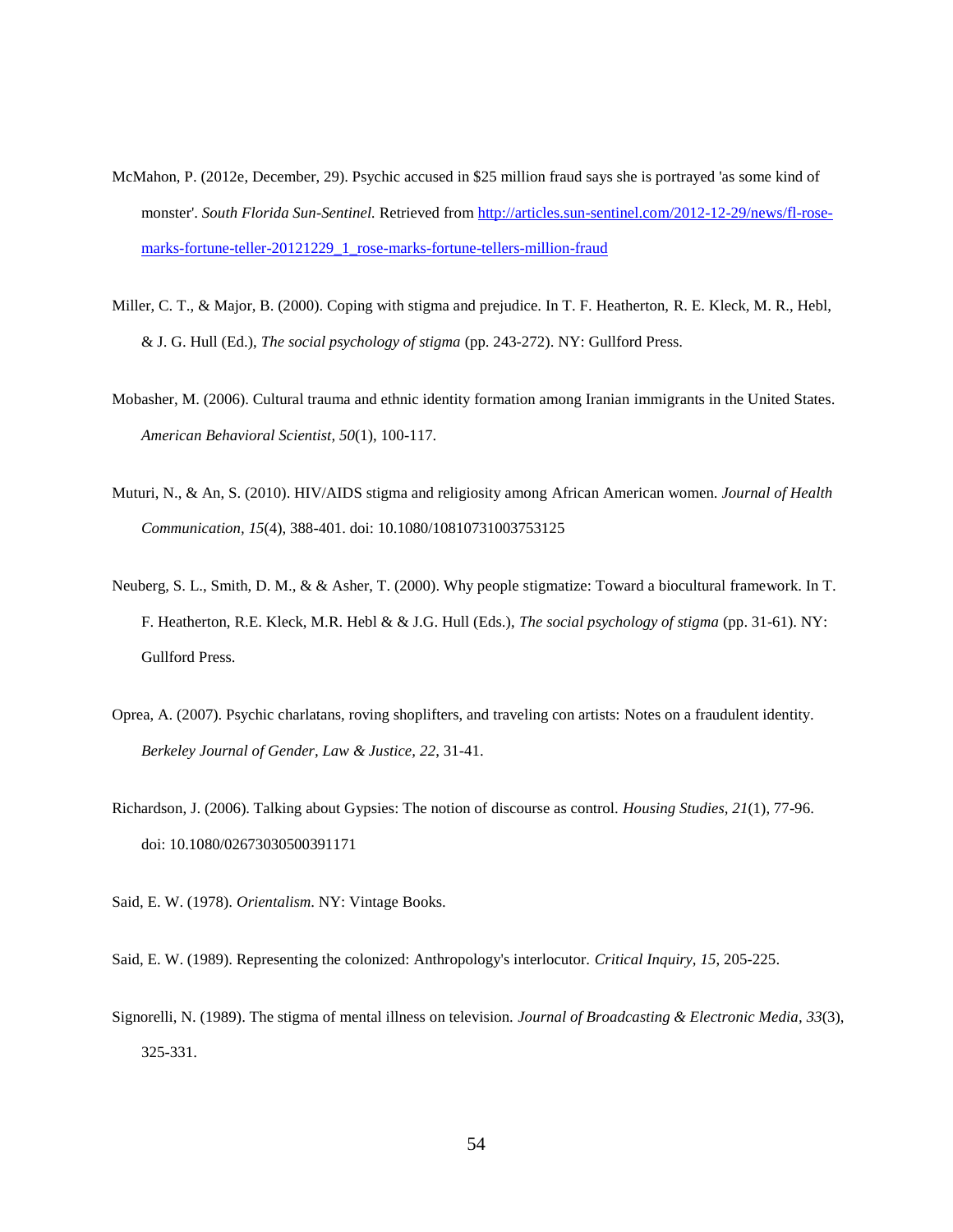- McMahon, P. (2012e, December, 29). Psychic accused in \$25 million fraud says she is portrayed 'as some kind of monster'. *South Florida Sun-Sentinel.* Retrieved from [http://articles.sun-sentinel.com/2012-12-29/news/fl-rose](http://articles.sun-sentinel.com/2012-12-29/news/fl-rose-marks-fortune-teller-20121229_1_rose-marks-fortune-tellers-million-fraud)[marks-fortune-teller-20121229\\_1\\_rose-marks-fortune-tellers-million-fraud](http://articles.sun-sentinel.com/2012-12-29/news/fl-rose-marks-fortune-teller-20121229_1_rose-marks-fortune-tellers-million-fraud)
- Miller, C. T., & Major, B. (2000). Coping with stigma and prejudice. In T. F. Heatherton, R. E. Kleck, M. R., Hebl, & J. G. Hull (Ed.), *The social psychology of stigma* (pp. 243-272). NY: Gullford Press.
- Mobasher, M. (2006). Cultural trauma and ethnic identity formation among Iranian immigrants in the United States. *American Behavioral Scientist, 50*(1), 100-117.
- Muturi, N., & An, S. (2010). HIV/AIDS stigma and religiosity among African American women. *Journal of Health Communication, 15*(4), 388-401. doi: 10.1080/10810731003753125
- Neuberg, S. L., Smith, D. M., & & Asher, T. (2000). Why people stigmatize: Toward a biocultural framework. In T. F. Heatherton, R.E. Kleck, M.R. Hebl & & J.G. Hull (Eds.), *The social psychology of stigma* (pp. 31-61). NY: Gullford Press.
- Oprea, A. (2007). Psychic charlatans, roving shoplifters, and traveling con artists: Notes on a fraudulent identity. *Berkeley Journal of Gender, Law & Justice, 22*, 31-41.
- Richardson, J. (2006). Talking about Gypsies: The notion of discourse as control. *Housing Studies, 21*(1), 77-96. doi: 10.1080/02673030500391171
- Said, E. W. (1978). *Orientalism*. NY: Vintage Books.

Said, E. W. (1989). Representing the colonized: Anthropology's interlocutor. *Critical Inquiry, 15*, 205-225.

Signorelli, N. (1989). The stigma of mental illness on television. *Journal of Broadcasting & Electronic Media, 33*(3), 325-331.